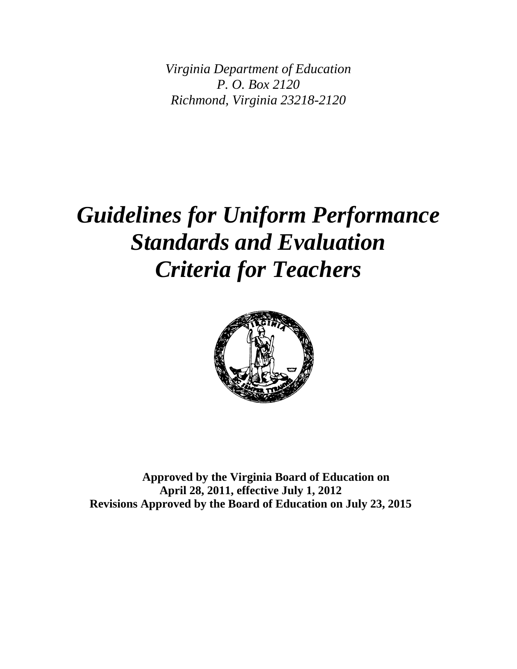*Virginia Department of Education P. O. Box 2120 Richmond, Virginia 23218-2120* 

# *Guidelines for Uniform Performance Standards and Evaluation Criteria for Teachers*



 **Approved by the Virginia Board of Education on April 28, 2011, effective July 1, 2012 Revisions Approved by the Board of Education on July 23, 2015**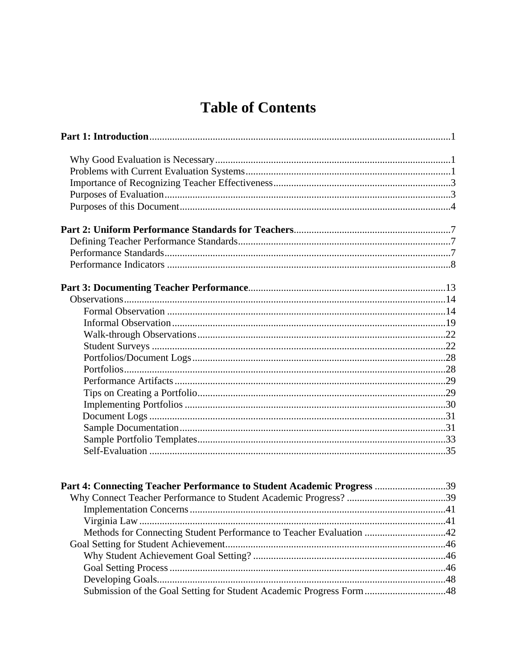## **Table of Contents**

| Part 4: Connecting Teacher Performance to Student Academic Progress 39 |  |
|------------------------------------------------------------------------|--|
|                                                                        |  |
|                                                                        |  |
|                                                                        |  |
| Methods for Connecting Student Performance to Teacher Evaluation 42    |  |
|                                                                        |  |
|                                                                        |  |
|                                                                        |  |
|                                                                        |  |
| Submission of the Goal Setting for Student Academic Progress Form48    |  |
|                                                                        |  |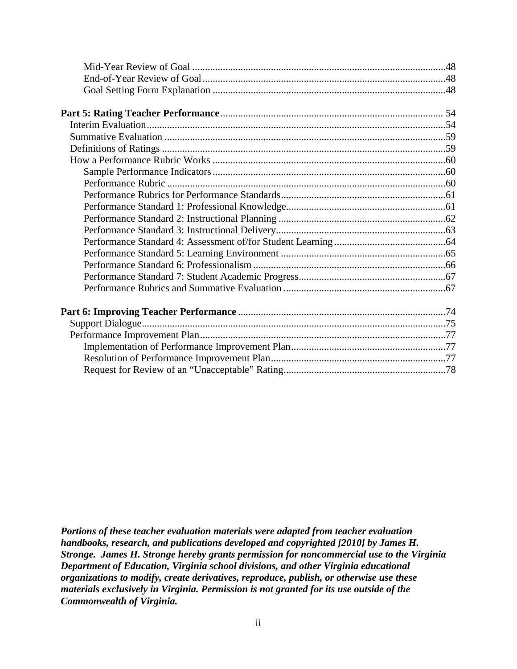*Portions of these teacher evaluation materials were adapted from teacher evaluation handbooks, research, and publications developed and copyrighted [2010] by James H. Stronge. James H. Stronge hereby grants permission for noncommercial use to the Virginia Department of Education, Virginia school divisions, and other Virginia educational organizations to modify, create derivatives, reproduce, publish, or otherwise use these materials exclusively in Virginia. Permission is not granted for its use outside of the Commonwealth of Virginia.*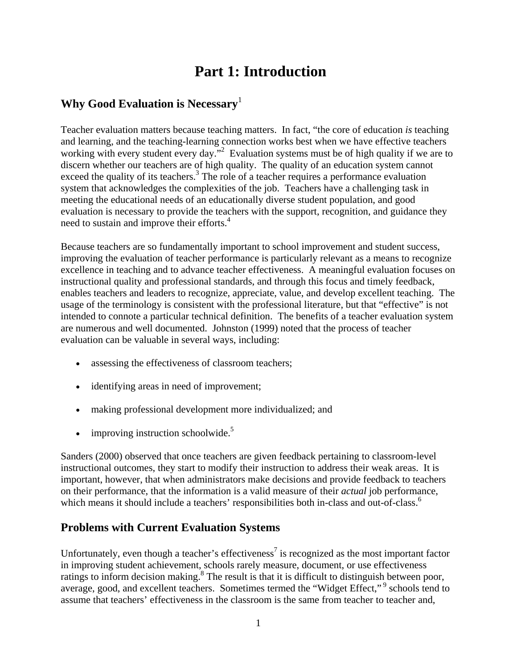## **Part 1: Introduction**

## **Why Good Evaluation is Necessary**<sup>1</sup>

Teacher evaluation matters because teaching matters. In fact, "the core of education *is* teaching and learning, and the teaching-learning connection works best when we have effective teachers working with every student every day."<sup>2</sup> Evaluation systems must be of high quality if we are to discern whether our teachers are of high quality. The quality of an education system cannot exceed the quality of its teachers.<sup>3</sup> The role of a teacher requires a performance evaluation system that acknowledges the complexities of the job. Teachers have a challenging task in meeting the educational needs of an educationally diverse student population, and good evaluation is necessary to provide the teachers with the support, recognition, and guidance they need to sustain and improve their efforts.<sup>4</sup>

Because teachers are so fundamentally important to school improvement and student success, improving the evaluation of teacher performance is particularly relevant as a means to recognize excellence in teaching and to advance teacher effectiveness. A meaningful evaluation focuses on instructional quality and professional standards, and through this focus and timely feedback, enables teachers and leaders to recognize, appreciate, value, and develop excellent teaching. The usage of the terminology is consistent with the professional literature, but that "effective" is not intended to connote a particular technical definition. The benefits of a teacher evaluation system are numerous and well documented. Johnston (1999) noted that the process of teacher evaluation can be valuable in several ways, including:

- assessing the effectiveness of classroom teachers;
- identifying areas in need of improvement;
- making professional development more individualized; and
- $\bullet$  improving instruction schoolwide.<sup>5</sup>

Sanders (2000) observed that once teachers are given feedback pertaining to classroom-level instructional outcomes, they start to modify their instruction to address their weak areas. It is important, however, that when administrators make decisions and provide feedback to teachers on their performance, that the information is a valid measure of their *actual* job performance, which means it should include a teachers' responsibilities both in-class and out-of-class.<sup>6</sup>

## **Problems with Current Evaluation Systems**

Unfortunately, even though a teacher's effectiveness<sup>7</sup> is recognized as the most important factor in improving student achievement, schools rarely measure, document, or use effectiveness ratings to inform decision making. $8$  The result is that it is difficult to distinguish between poor, average, good, and excellent teachers. Sometimes termed the "Widget Effect,"<sup>9</sup> schools tend to assume that teachers' effectiveness in the classroom is the same from teacher to teacher and,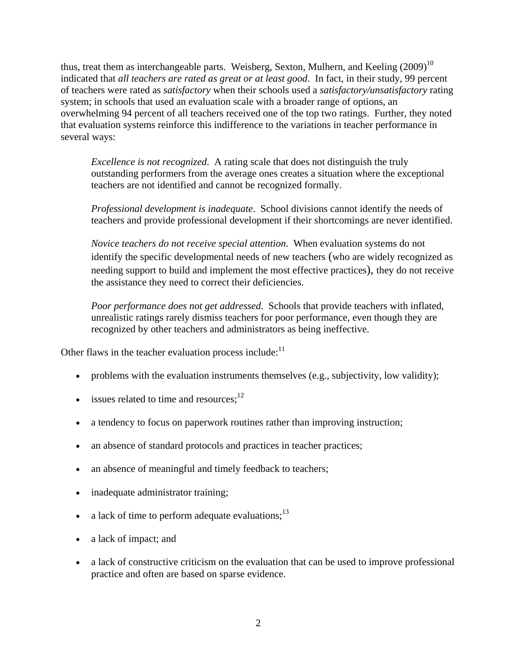thus, treat them as interchangeable parts. Weisberg, Sexton, Mulhern, and Keeling  $(2009)^{10}$ indicated that *all teachers are rated as great or at least good*. In fact, in their study, 99 percent of teachers were rated as *satisfactory* when their schools used a *satisfactory/unsatisfactory* rating system; in schools that used an evaluation scale with a broader range of options, an overwhelming 94 percent of all teachers received one of the top two ratings. Further, they noted that evaluation systems reinforce this indifference to the variations in teacher performance in several ways:

*Excellence is not recognized*. A rating scale that does not distinguish the truly outstanding performers from the average ones creates a situation where the exceptional teachers are not identified and cannot be recognized formally.

*Professional development is inadequate*. School divisions cannot identify the needs of teachers and provide professional development if their shortcomings are never identified.

*Novice teachers do not receive special attention*. When evaluation systems do not identify the specific developmental needs of new teachers (who are widely recognized as needing support to build and implement the most effective practices), they do not receive the assistance they need to correct their deficiencies.

*Poor performance does not get addressed*. Schools that provide teachers with inflated, unrealistic ratings rarely dismiss teachers for poor performance, even though they are recognized by other teachers and administrators as being ineffective.

Other flaws in the teacher evaluation process include: $11$ 

- problems with the evaluation instruments themselves (e.g., subjectivity, low validity);
- issues related to time and resources; $^{12}$
- a tendency to focus on paperwork routines rather than improving instruction;
- an absence of standard protocols and practices in teacher practices;
- an absence of meaningful and timely feedback to teachers;
- inadequate administrator training;
- a lack of time to perform adequate evaluations; $^{13}$
- a lack of impact; and
- a lack of constructive criticism on the evaluation that can be used to improve professional practice and often are based on sparse evidence.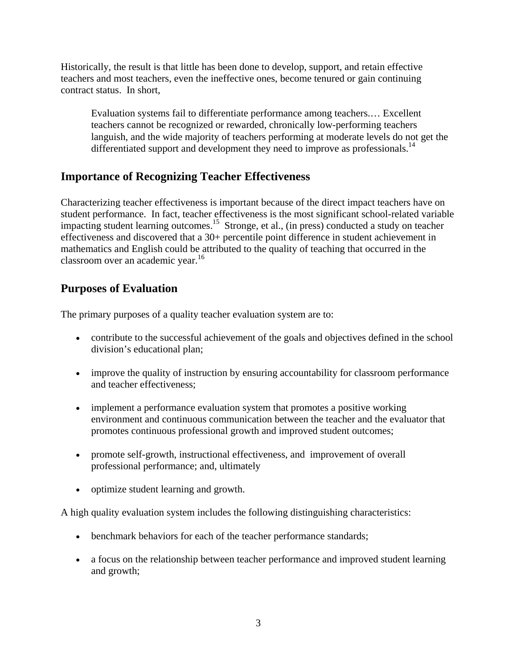Historically, the result is that little has been done to develop, support, and retain effective teachers and most teachers, even the ineffective ones, become tenured or gain continuing contract status. In short,

Evaluation systems fail to differentiate performance among teachers.… Excellent teachers cannot be recognized or rewarded, chronically low-performing teachers languish, and the wide majority of teachers performing at moderate levels do not get the differentiated support and development they need to improve as professionals.<sup>14</sup>

## **Importance of Recognizing Teacher Effectiveness**

Characterizing teacher effectiveness is important because of the direct impact teachers have on student performance. In fact, teacher effectiveness is the most significant school-related variable impacting student learning outcomes.15 Stronge, et al., (in press) conducted a study on teacher effectiveness and discovered that a 30+ percentile point difference in student achievement in mathematics and English could be attributed to the quality of teaching that occurred in the classroom over an academic year.<sup>16</sup>

## **Purposes of Evaluation**

The primary purposes of a quality teacher evaluation system are to:

- contribute to the successful achievement of the goals and objectives defined in the school division's educational plan;
- improve the quality of instruction by ensuring accountability for classroom performance and teacher effectiveness;
- implement a performance evaluation system that promotes a positive working environment and continuous communication between the teacher and the evaluator that promotes continuous professional growth and improved student outcomes;
- promote self-growth, instructional effectiveness, and improvement of overall professional performance; and, ultimately
- optimize student learning and growth.

A high quality evaluation system includes the following distinguishing characteristics:

- benchmark behaviors for each of the teacher performance standards;
- a focus on the relationship between teacher performance and improved student learning and growth;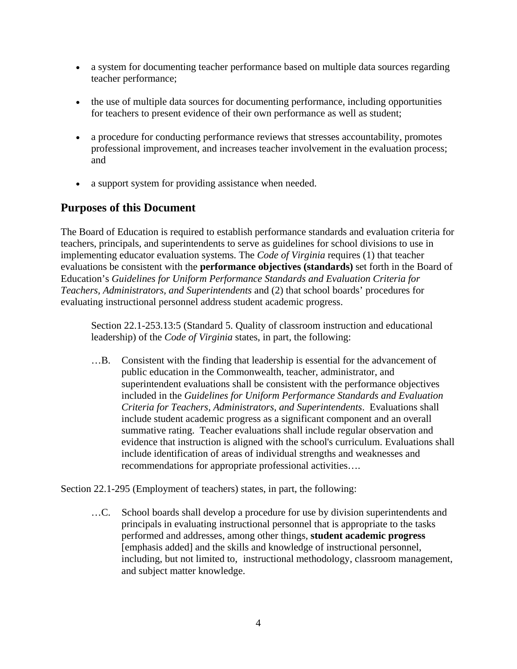- a system for documenting teacher performance based on multiple data sources regarding teacher performance;
- the use of multiple data sources for documenting performance, including opportunities for teachers to present evidence of their own performance as well as student;
- a procedure for conducting performance reviews that stresses accountability, promotes professional improvement, and increases teacher involvement in the evaluation process; and
- a support system for providing assistance when needed.

## **Purposes of this Document**

The Board of Education is required to establish performance standards and evaluation criteria for teachers, principals, and superintendents to serve as guidelines for school divisions to use in implementing educator evaluation systems. The *Code of Virginia* requires (1) that teacher evaluations be consistent with the **performance objectives (standards)** set forth in the Board of Education's *Guidelines for Uniform Performance Standards and Evaluation Criteria for Teachers, Administrators, and Superintendents* and (2) that school boards' procedures for evaluating instructional personnel address student academic progress.

 Section 22.1-253.13:5 (Standard 5. Quality of classroom instruction and educational leadership) of the *Code of Virginia* states, in part, the following:

…B. Consistent with the finding that leadership is essential for the advancement of public education in the Commonwealth, teacher, administrator, and superintendent evaluations shall be consistent with the performance objectives included in the *Guidelines for Uniform Performance Standards and Evaluation Criteria for Teachers, Administrators, and Superintendents*. Evaluations shall include student academic progress as a significant component and an overall summative rating. Teacher evaluations shall include regular observation and evidence that instruction is aligned with the school's curriculum. Evaluations shall include identification of areas of individual strengths and weaknesses and recommendations for appropriate professional activities….

Section 22.1-295 (Employment of teachers) states, in part, the following:

 …C. School boards shall develop a procedure for use by division superintendents and principals in evaluating instructional personnel that is appropriate to the tasks performed and addresses, among other things, **student academic progress** [emphasis added] and the skills and knowledge of instructional personnel, including, but not limited to, instructional methodology, classroom management, and subject matter knowledge.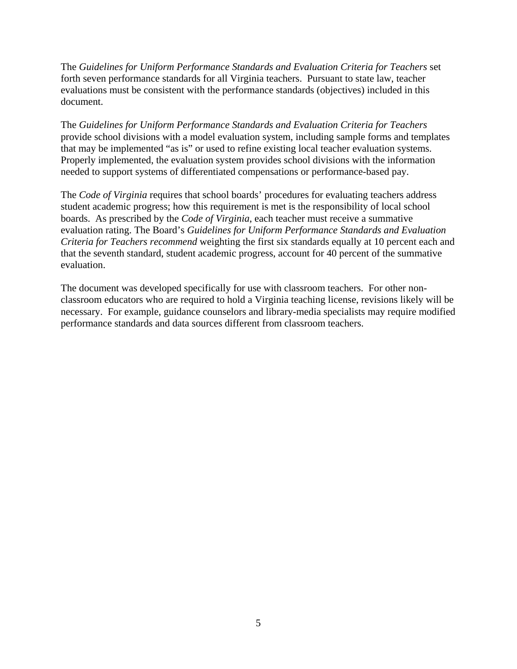The *Guidelines for Uniform Performance Standards and Evaluation Criteria for Teachers* set forth seven performance standards for all Virginia teachers. Pursuant to state law, teacher evaluations must be consistent with the performance standards (objectives) included in this document.

The *Guidelines for Uniform Performance Standards and Evaluation Criteria for Teachers* provide school divisions with a model evaluation system, including sample forms and templates that may be implemented "as is" or used to refine existing local teacher evaluation systems. Properly implemented, the evaluation system provides school divisions with the information needed to support systems of differentiated compensations or performance-based pay.

The *Code of Virginia* requires that school boards' procedures for evaluating teachers address student academic progress; how this requirement is met is the responsibility of local school boards. As prescribed by the *Code of Virginia*, each teacher must receive a summative evaluation rating. The Board's *Guidelines for Uniform Performance Standards and Evaluation Criteria for Teachers recommend* weighting the first six standards equally at 10 percent each and that the seventh standard, student academic progress, account for 40 percent of the summative evaluation.

The document was developed specifically for use with classroom teachers. For other nonclassroom educators who are required to hold a Virginia teaching license, revisions likely will be necessary. For example, guidance counselors and library-media specialists may require modified performance standards and data sources different from classroom teachers.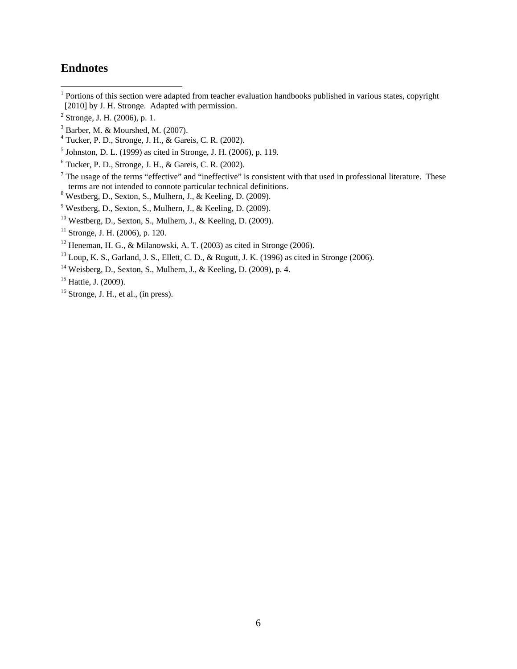## **Endnotes**

<sup>1</sup> Portions of this section were adapted from teacher evaluation handbooks published in various states, copyright [2010] by J. H. Stronge. Adapted with permission.

- $<sup>7</sup>$  The usage of the terms "effective" and "ineffective" is consistent with that used in professional literature. These</sup> terms are not intended to connote particular technical definitions. 8 Westberg, D., Sexton, S., Mulhern, J., & Keeling, D. (2009).
- 
- <sup>9</sup> Westberg, D., Sexton, S., Mulhern, J., & Keeling, D. (2009).
- $10$  Westberg, D., Sexton, S., Mulhern, J., & Keeling, D. (2009).
- 11 Stronge, J. H. (2006), p. 120.
- <sup>12</sup> Heneman, H. G., & Milanowski, A. T. (2003) as cited in Stronge (2006).
- <sup>13</sup> Loup, K. S., Garland, J. S., Ellett, C. D., & Rugutt, J. K. (1996) as cited in Stronge (2006).
- <sup>14</sup> Weisberg, D., Sexton, S., Mulhern, J., & Keeling, D. (2009), p. 4.
- <sup>15</sup> Hattie, J. (2009).
- $16$  Stronge, J. H., et al., (in press).

<sup>&</sup>lt;sup>2</sup> Stronge, J. H. (2006), p. 1.

<sup>&</sup>lt;sup>3</sup> Barber, M. & Mourshed, M. (2007).<br><sup>4</sup> Tucker, P. D., Stronge, J. H., & Gareis, C. R. (2002).

 $<sup>5</sup>$  Johnston, D. L. (1999) as cited in Stronge, J. H. (2006), p. 119.</sup>

<sup>6</sup> Tucker, P. D., Stronge, J. H., & Gareis, C. R. (2002).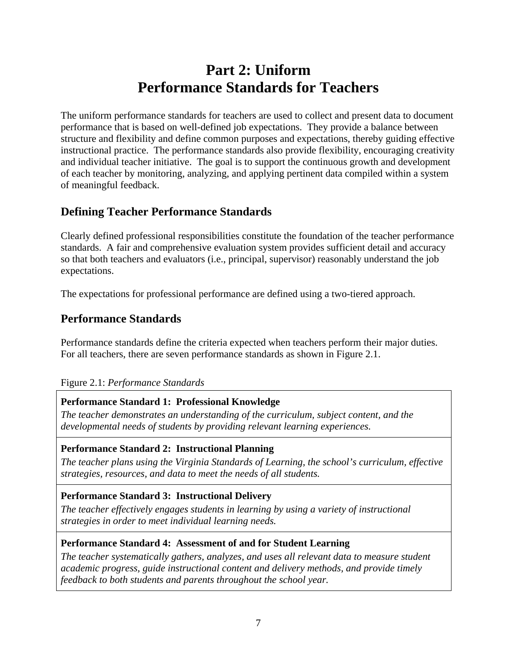## **Part 2: Uniform Performance Standards for Teachers**

The uniform performance standards for teachers are used to collect and present data to document performance that is based on well-defined job expectations. They provide a balance between structure and flexibility and define common purposes and expectations, thereby guiding effective instructional practice. The performance standards also provide flexibility, encouraging creativity and individual teacher initiative. The goal is to support the continuous growth and development of each teacher by monitoring, analyzing, and applying pertinent data compiled within a system of meaningful feedback.

## **Defining Teacher Performance Standards**

Clearly defined professional responsibilities constitute the foundation of the teacher performance standards. A fair and comprehensive evaluation system provides sufficient detail and accuracy so that both teachers and evaluators (i.e., principal, supervisor) reasonably understand the job expectations.

The expectations for professional performance are defined using a two-tiered approach.

## **Performance Standards**

Performance standards define the criteria expected when teachers perform their major duties. For all teachers, there are seven performance standards as shown in Figure 2.1.

Figure 2.1: *Performance Standards*

#### **Performance Standard 1: Professional Knowledge**

*The teacher demonstrates an understanding of the curriculum, subject content, and the developmental needs of students by providing relevant learning experiences.* 

#### **Performance Standard 2: Instructional Planning**

*The teacher plans using the Virginia Standards of Learning, the school's curriculum, effective strategies, resources, and data to meet the needs of all students.* 

#### **Performance Standard 3: Instructional Delivery**

*The teacher effectively engages students in learning by using a variety of instructional strategies in order to meet individual learning needs.* 

#### **Performance Standard 4: Assessment of and for Student Learning**

*The teacher systematically gathers, analyzes, and uses all relevant data to measure student academic progress, guide instructional content and delivery methods, and provide timely feedback to both students and parents throughout the school year.*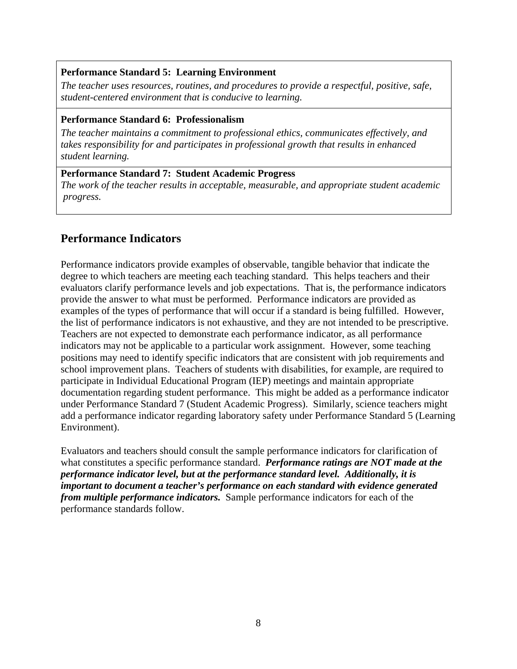#### **Performance Standard 5: Learning Environment**

*The teacher uses resources, routines, and procedures to provide a respectful, positive, safe, student-centered environment that is conducive to learning.* 

#### **Performance Standard 6: Professionalism**

*The teacher maintains a commitment to professional ethics, communicates effectively, and takes responsibility for and participates in professional growth that results in enhanced student learning.* 

#### **Performance Standard 7: Student Academic Progress**

*The work of the teacher results in acceptable, measurable, and appropriate student academic progress.* 

## **Performance Indicators**

Performance indicators provide examples of observable, tangible behavior that indicate the degree to which teachers are meeting each teaching standard. This helps teachers and their evaluators clarify performance levels and job expectations. That is, the performance indicators provide the answer to what must be performed. Performance indicators are provided as examples of the types of performance that will occur if a standard is being fulfilled. However, the list of performance indicators is not exhaustive, and they are not intended to be prescriptive. Teachers are not expected to demonstrate each performance indicator, as all performance indicators may not be applicable to a particular work assignment. However, some teaching positions may need to identify specific indicators that are consistent with job requirements and school improvement plans. Teachers of students with disabilities, for example, are required to participate in Individual Educational Program (IEP) meetings and maintain appropriate documentation regarding student performance. This might be added as a performance indicator under Performance Standard 7 (Student Academic Progress). Similarly, science teachers might add a performance indicator regarding laboratory safety under Performance Standard 5 (Learning Environment).

Evaluators and teachers should consult the sample performance indicators for clarification of what constitutes a specific performance standard. *Performance ratings are NOT made at the performance indicator level, but at the performance standard level. Additionally, it is important to document a teacher's performance on each standard with evidence generated from multiple performance indicators.* Sample performance indicators for each of the performance standards follow.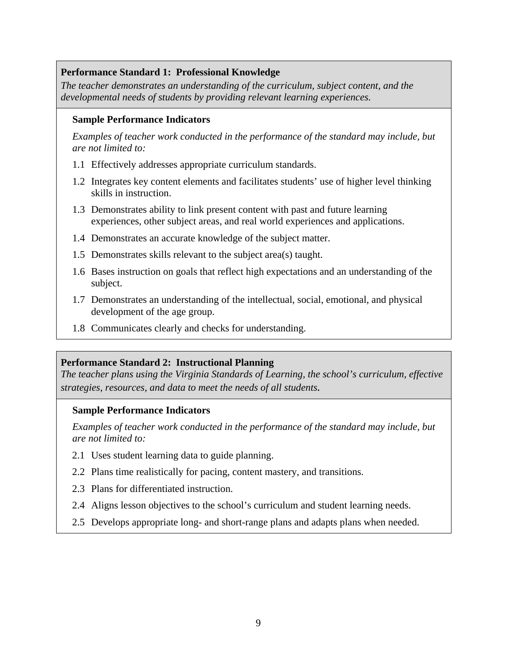#### **Performance Standard 1: Professional Knowledge**

*The teacher demonstrates an understanding of the curriculum, subject content, and the developmental needs of students by providing relevant learning experiences.*

#### **Sample Performance Indicators**

*Examples of teacher work conducted in the performance of the standard may include, but are not limited to:*

- 1.1 Effectively addresses appropriate curriculum standards.
- 1.2 Integrates key content elements and facilitates students' use of higher level thinking skills in instruction.
- 1.3 Demonstrates ability to link present content with past and future learning experiences, other subject areas, and real world experiences and applications.
- 1.4 Demonstrates an accurate knowledge of the subject matter.
- 1.5 Demonstrates skills relevant to the subject area(s) taught.
- 1.6 Bases instruction on goals that reflect high expectations and an understanding of the subject.
- 1.7 Demonstrates an understanding of the intellectual, social, emotional, and physical development of the age group.
- 1.8 Communicates clearly and checks for understanding.

#### **Performance Standard 2: Instructional Planning**

*The teacher plans using the Virginia Standards of Learning, the school's curriculum, effective strategies, resources, and data to meet the needs of all students.*

#### **Sample Performance Indicators**

- 2.1 Uses student learning data to guide planning.
- 2.2 Plans time realistically for pacing, content mastery, and transitions.
- 2.3 Plans for differentiated instruction.
- 2.4 Aligns lesson objectives to the school's curriculum and student learning needs.
- 2.5 Develops appropriate long- and short-range plans and adapts plans when needed.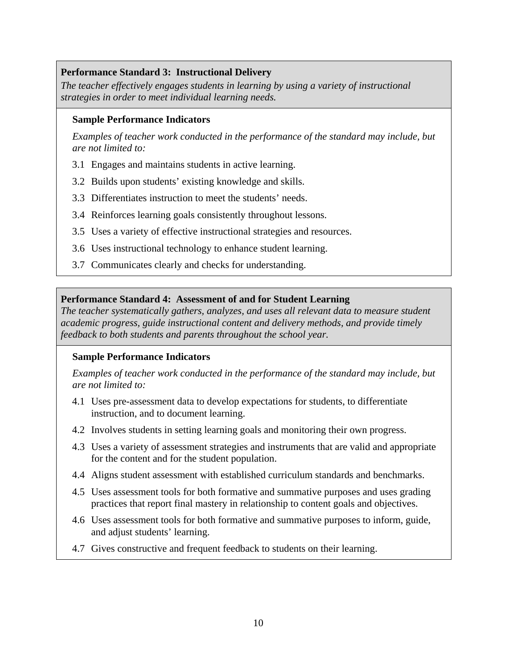#### **Performance Standard 3: Instructional Delivery**

*The teacher effectively engages students in learning by using a variety of instructional strategies in order to meet individual learning needs.*

#### **Sample Performance Indicators**

*Examples of teacher work conducted in the performance of the standard may include, but are not limited to:*

- 3.1 Engages and maintains students in active learning.
- 3.2 Builds upon students' existing knowledge and skills.
- 3.3 Differentiates instruction to meet the students' needs.
- 3.4 Reinforces learning goals consistently throughout lessons.
- 3.5 Uses a variety of effective instructional strategies and resources.
- 3.6 Uses instructional technology to enhance student learning.
- 3.7 Communicates clearly and checks for understanding.

#### **Performance Standard 4: Assessment of and for Student Learning**

*The teacher systematically gathers, analyzes, and uses all relevant data to measure student academic progress, guide instructional content and delivery methods, and provide timely feedback to both students and parents throughout the school year.*

#### **Sample Performance Indicators**

- 4.1 Uses pre-assessment data to develop expectations for students, to differentiate instruction, and to document learning.
- 4.2 Involves students in setting learning goals and monitoring their own progress.
- 4.3 Uses a variety of assessment strategies and instruments that are valid and appropriate for the content and for the student population.
- 4.4 Aligns student assessment with established curriculum standards and benchmarks.
- 4.5 Uses assessment tools for both formative and summative purposes and uses grading practices that report final mastery in relationship to content goals and objectives.
- 4.6 Uses assessment tools for both formative and summative purposes to inform, guide, and adjust students' learning.
- 4.7 Gives constructive and frequent feedback to students on their learning.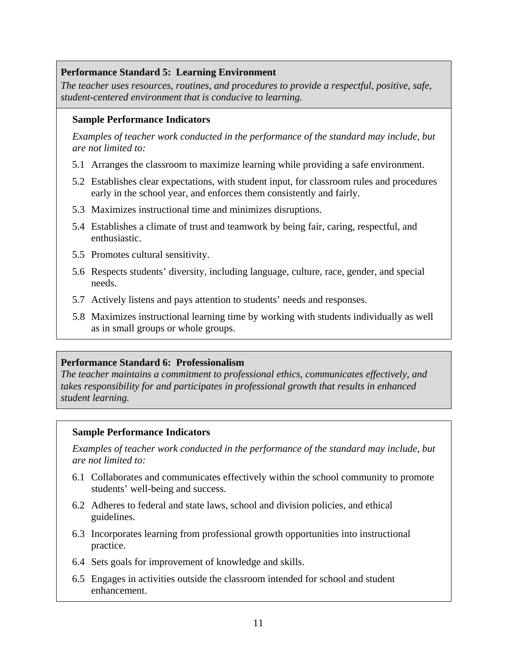#### **Performance Standard 5: Learning Environment**

*The teacher uses resources, routines, and procedures to provide a respectful, positive, safe, student-centered environment that is conducive to learning.*

#### **Sample Performance Indicators**

*Examples of teacher work conducted in the performance of the standard may include, but are not limited to:*

- 5.1 Arranges the classroom to maximize learning while providing a safe environment.
- 5.2 Establishes clear expectations, with student input, for classroom rules and procedures early in the school year, and enforces them consistently and fairly.
- 5.3 Maximizes instructional time and minimizes disruptions.
- 5.4 Establishes a climate of trust and teamwork by being fair, caring, respectful, and enthusiastic.
- 5.5 Promotes cultural sensitivity.
- 5.6 Respects students' diversity, including language, culture, race, gender, and special needs.
- 5.7 Actively listens and pays attention to students' needs and responses.
- 5.8 Maximizes instructional learning time by working with students individually as well as in small groups or whole groups.

#### **Performance Standard 6: Professionalism**

*The teacher maintains a commitment to professional ethics, communicates effectively, and takes responsibility for and participates in professional growth that results in enhanced student learning.*

#### **Sample Performance Indicators**

- 6.1 Collaborates and communicates effectively within the school community to promote students' well-being and success.
- 6.2 Adheres to federal and state laws, school and division policies, and ethical guidelines.
- 6.3 Incorporates learning from professional growth opportunities into instructional practice.
- 6.4 Sets goals for improvement of knowledge and skills.
- 6.5 Engages in activities outside the classroom intended for school and student enhancement.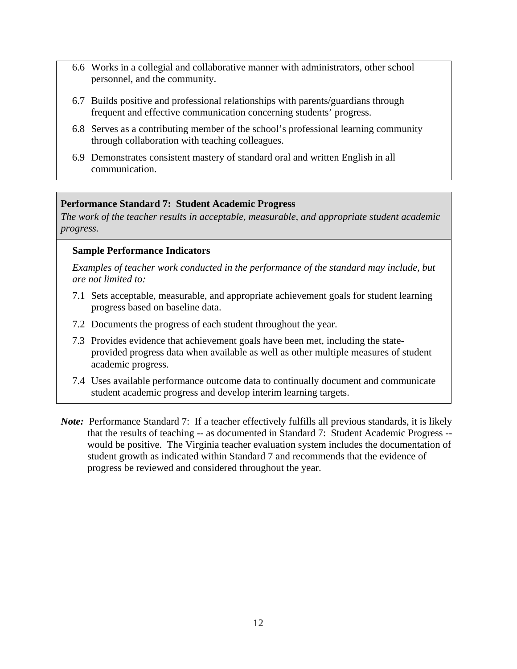- 6.6 Works in a collegial and collaborative manner with administrators, other school personnel, and the community.
- 6.7 Builds positive and professional relationships with parents/guardians through frequent and effective communication concerning students' progress.
- 6.8 Serves as a contributing member of the school's professional learning community through collaboration with teaching colleagues.
- 6.9 Demonstrates consistent mastery of standard oral and written English in all communication.

#### **Performance Standard 7: Student Academic Progress**

*The work of the teacher results in acceptable, measurable, and appropriate student academic progress.* 

#### **Sample Performance Indicators**

- 7.1 Sets acceptable, measurable, and appropriate achievement goals for student learning progress based on baseline data.
- 7.2 Documents the progress of each student throughout the year.
- 7.3 Provides evidence that achievement goals have been met, including the stateprovided progress data when available as well as other multiple measures of student academic progress.
- 7.4 Uses available performance outcome data to continually document and communicate student academic progress and develop interim learning targets.
- *Note:* Performance Standard 7: If a teacher effectively fulfills all previous standards, it is likely that the results of teaching -- as documented in Standard 7: Student Academic Progress - would be positive. The Virginia teacher evaluation system includes the documentation of student growth as indicated within Standard 7 and recommends that the evidence of progress be reviewed and considered throughout the year.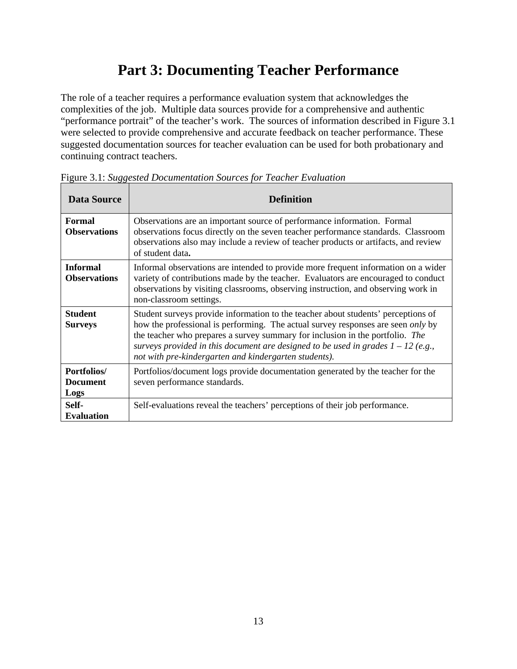## **Part 3: Documenting Teacher Performance**

The role of a teacher requires a performance evaluation system that acknowledges the complexities of the job. Multiple data sources provide for a comprehensive and authentic "performance portrait" of the teacher's work. The sources of information described in Figure 3.1 were selected to provide comprehensive and accurate feedback on teacher performance. These suggested documentation sources for teacher evaluation can be used for both probationary and continuing contract teachers.

| Data Source                            | Definition                                                                                                                                                                                                                                                                                                                                                                                                    |
|----------------------------------------|---------------------------------------------------------------------------------------------------------------------------------------------------------------------------------------------------------------------------------------------------------------------------------------------------------------------------------------------------------------------------------------------------------------|
| Formal<br><b>Observations</b>          | Observations are an important source of performance information. Formal<br>observations focus directly on the seven teacher performance standards. Classroom<br>observations also may include a review of teacher products or artifacts, and review<br>of student data.                                                                                                                                       |
| <b>Informal</b><br><b>Observations</b> | Informal observations are intended to provide more frequent information on a wider<br>variety of contributions made by the teacher. Evaluators are encouraged to conduct<br>observations by visiting classrooms, observing instruction, and observing work in<br>non-classroom settings.                                                                                                                      |
| <b>Student</b><br><b>Surveys</b>       | Student surveys provide information to the teacher about students' perceptions of<br>how the professional is performing. The actual survey responses are seen <i>only</i> by<br>the teacher who prepares a survey summary for inclusion in the portfolio. The<br>surveys provided in this document are designed to be used in grades $1 - 12$ (e.g.,<br>not with pre-kindergarten and kindergarten students). |
| Portfolios/<br><b>Document</b><br>Logs | Portfolios/document logs provide documentation generated by the teacher for the<br>seven performance standards.                                                                                                                                                                                                                                                                                               |
| Self-<br><b>Evaluation</b>             | Self-evaluations reveal the teachers' perceptions of their job performance.                                                                                                                                                                                                                                                                                                                                   |

Figure 3.1: *Suggested Documentation Sources for Teacher Evaluation*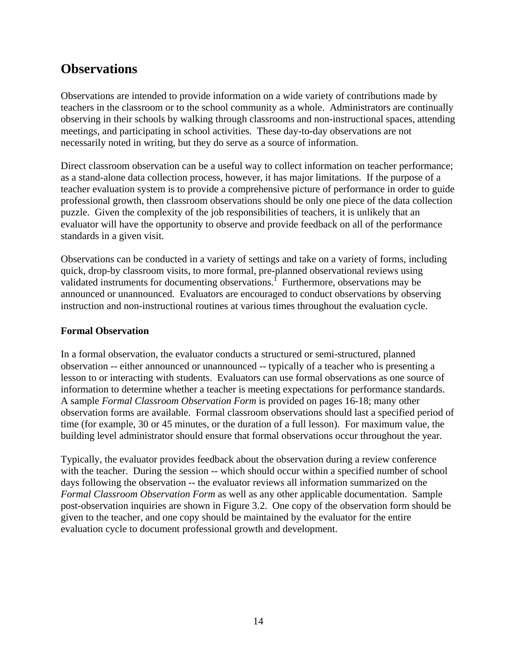## **Observations**

Observations are intended to provide information on a wide variety of contributions made by teachers in the classroom or to the school community as a whole. Administrators are continually observing in their schools by walking through classrooms and non-instructional spaces, attending meetings, and participating in school activities. These day-to-day observations are not necessarily noted in writing, but they do serve as a source of information.

Direct classroom observation can be a useful way to collect information on teacher performance; as a stand-alone data collection process, however, it has major limitations. If the purpose of a teacher evaluation system is to provide a comprehensive picture of performance in order to guide professional growth, then classroom observations should be only one piece of the data collection puzzle. Given the complexity of the job responsibilities of teachers, it is unlikely that an evaluator will have the opportunity to observe and provide feedback on all of the performance standards in a given visit.

Observations can be conducted in a variety of settings and take on a variety of forms, including quick, drop-by classroom visits, to more formal, pre-planned observational reviews using validated instruments for documenting observations.<sup>1</sup> Furthermore, observations may be announced or unannounced. Evaluators are encouraged to conduct observations by observing instruction and non-instructional routines at various times throughout the evaluation cycle.

#### **Formal Observation**

In a formal observation*,* the evaluator conducts a structured or semi-structured, planned observation -- either announced or unannounced -- typically of a teacher who is presenting a lesson to or interacting with students. Evaluators can use formal observations as one source of information to determine whether a teacher is meeting expectations for performance standards. A sample *Formal Classroom Observation Form* is provided on pages 16-18; many other observation forms are available. Formal classroom observations should last a specified period of time (for example, 30 or 45 minutes, or the duration of a full lesson). For maximum value, the building level administrator should ensure that formal observations occur throughout the year.

Typically, the evaluator provides feedback about the observation during a review conference with the teacher. During the session -- which should occur within a specified number of school days following the observation -- the evaluator reviews all information summarized on the *Formal Classroom Observation Form* as well as any other applicable documentation. Sample post-observation inquiries are shown in Figure 3.2. One copy of the observation form should be given to the teacher, and one copy should be maintained by the evaluator for the entire evaluation cycle to document professional growth and development.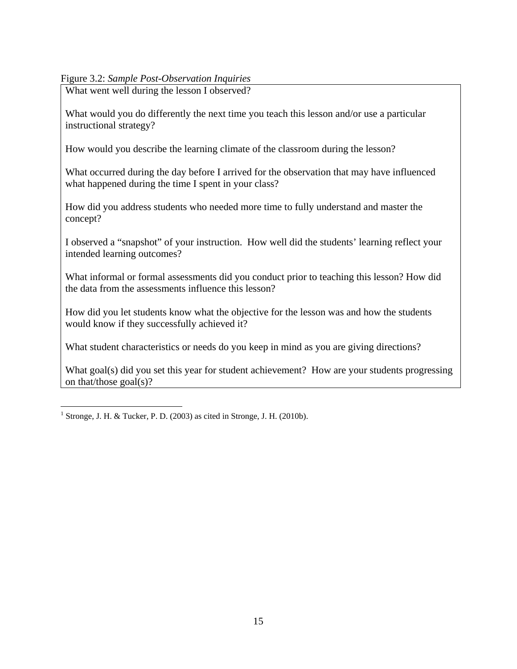#### Figure 3.2: *Sample Post-Observation Inquiries*

What went well during the lesson I observed?

What would you do differently the next time you teach this lesson and/or use a particular instructional strategy?

How would you describe the learning climate of the classroom during the lesson?

What occurred during the day before I arrived for the observation that may have influenced what happened during the time I spent in your class?

How did you address students who needed more time to fully understand and master the concept?

I observed a "snapshot" of your instruction. How well did the students' learning reflect your intended learning outcomes?

What informal or formal assessments did you conduct prior to teaching this lesson? How did the data from the assessments influence this lesson?

How did you let students know what the objective for the lesson was and how the students would know if they successfully achieved it?

What student characteristics or needs do you keep in mind as you are giving directions?

What goal(s) did you set this year for student achievement? How are your students progressing on that/those goal(s)?

 $\overline{a}$ 

<sup>&</sup>lt;sup>1</sup> Stronge, J. H. & Tucker, P. D. (2003) as cited in Stronge, J. H. (2010b).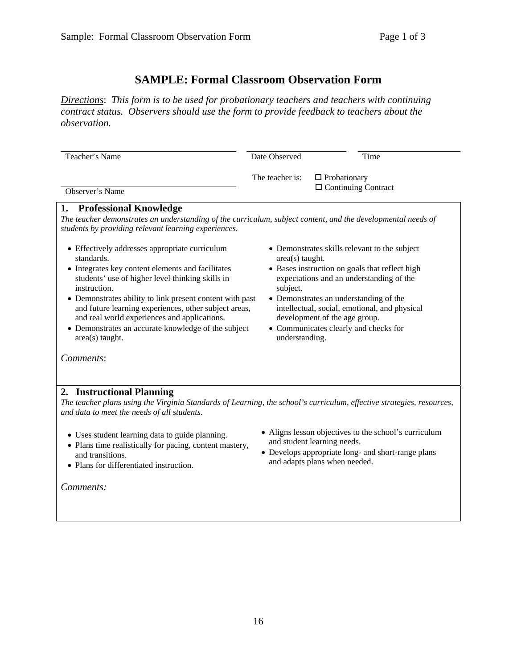## **SAMPLE: Formal Classroom Observation Form**

*Directions*: *This form is to be used for probationary teachers and teachers with continuing contract status. Observers should use the form to provide feedback to teachers about the observation.* 

| Teacher's Name                                                                                                                                                                                                                                                                                                                                                                                                                                                                                                                                                                                                                                                                                                                                                                                                                                                                                                                                                                                                             | Date Observed   | Time                                                                                                                                                                        |  |
|----------------------------------------------------------------------------------------------------------------------------------------------------------------------------------------------------------------------------------------------------------------------------------------------------------------------------------------------------------------------------------------------------------------------------------------------------------------------------------------------------------------------------------------------------------------------------------------------------------------------------------------------------------------------------------------------------------------------------------------------------------------------------------------------------------------------------------------------------------------------------------------------------------------------------------------------------------------------------------------------------------------------------|-----------------|-----------------------------------------------------------------------------------------------------------------------------------------------------------------------------|--|
| Observer's Name                                                                                                                                                                                                                                                                                                                                                                                                                                                                                                                                                                                                                                                                                                                                                                                                                                                                                                                                                                                                            | The teacher is: | $\Box$ Probationary<br>$\Box$ Continuing Contract                                                                                                                           |  |
| <b>Professional Knowledge</b><br>1.<br>The teacher demonstrates an understanding of the curriculum, subject content, and the developmental needs of<br>students by providing relevant learning experiences.<br>• Effectively addresses appropriate curriculum<br>• Demonstrates skills relevant to the subject<br>standards.<br>area(s) taught.<br>• Integrates key content elements and facilitates<br>• Bases instruction on goals that reflect high<br>students' use of higher level thinking skills in<br>expectations and an understanding of the<br>instruction.<br>subject.<br>• Demonstrates ability to link present content with past<br>• Demonstrates an understanding of the<br>intellectual, social, emotional, and physical<br>and future learning experiences, other subject areas,<br>and real world experiences and applications.<br>development of the age group.<br>• Demonstrates an accurate knowledge of the subject<br>• Communicates clearly and checks for<br>understanding.<br>$area(s)$ taught. |                 |                                                                                                                                                                             |  |
| Comments:                                                                                                                                                                                                                                                                                                                                                                                                                                                                                                                                                                                                                                                                                                                                                                                                                                                                                                                                                                                                                  |                 |                                                                                                                                                                             |  |
| 2. Instructional Planning<br>The teacher plans using the Virginia Standards of Learning, the school's curriculum, effective strategies, resources,<br>and data to meet the needs of all students.                                                                                                                                                                                                                                                                                                                                                                                                                                                                                                                                                                                                                                                                                                                                                                                                                          |                 |                                                                                                                                                                             |  |
| • Uses student learning data to guide planning.<br>• Plans time realistically for pacing, content mastery,<br>and transitions.<br>• Plans for differentiated instruction.                                                                                                                                                                                                                                                                                                                                                                                                                                                                                                                                                                                                                                                                                                                                                                                                                                                  |                 | • Aligns lesson objectives to the school's curriculum<br>and student learning needs.<br>• Develops appropriate long- and short-range plans<br>and adapts plans when needed. |  |

*Comments:* 

16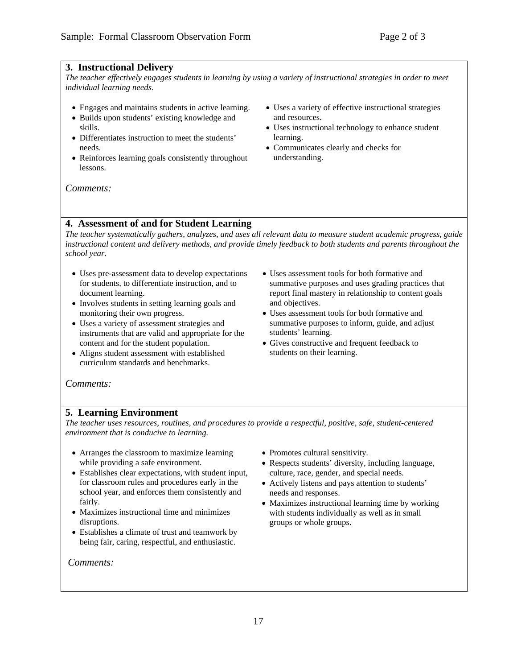#### **3. Instructional Delivery**

*The teacher effectively engages students in learning by using a variety of instructional strategies in order to meet individual learning needs.* 

- Engages and maintains students in active learning.
- Builds upon students' existing knowledge and skills.
- Differentiates instruction to meet the students' needs.
- Reinforces learning goals consistently throughout lessons.
- Uses a variety of effective instructional strategies and resources.
- Uses instructional technology to enhance student learning.
- Communicates clearly and checks for understanding.

*Comments:* 

#### **4. Assessment of and for Student Learning**

*The teacher systematically gathers, analyzes, and uses all relevant data to measure student academic progress, guide instructional content and delivery methods, and provide timely feedback to both students and parents throughout the school year.* 

- Uses pre-assessment data to develop expectations for students, to differentiate instruction, and to document learning.
- Involves students in setting learning goals and monitoring their own progress.
- Uses a variety of assessment strategies and instruments that are valid and appropriate for the content and for the student population.
- Aligns student assessment with established curriculum standards and benchmarks.
- Uses assessment tools for both formative and summative purposes and uses grading practices that report final mastery in relationship to content goals and objectives.
- Uses assessment tools for both formative and summative purposes to inform, guide, and adjust students' learning.
- Gives constructive and frequent feedback to students on their learning.

*Comments:* 

#### **5. Learning Environment**

*The teacher uses resources, routines, and procedures to provide a respectful, positive, safe, student-centered environment that is conducive to learning.* 

- Arranges the classroom to maximize learning while providing a safe environment.
- Establishes clear expectations, with student input, for classroom rules and procedures early in the school year, and enforces them consistently and fairly.
- Maximizes instructional time and minimizes disruptions.
- Establishes a climate of trust and teamwork by being fair, caring, respectful, and enthusiastic.
- Promotes cultural sensitivity.
- Respects students' diversity, including language, culture, race, gender, and special needs.
- Actively listens and pays attention to students' needs and responses.
- Maximizes instructional learning time by working with students individually as well as in small groups or whole groups.

 *Comments:*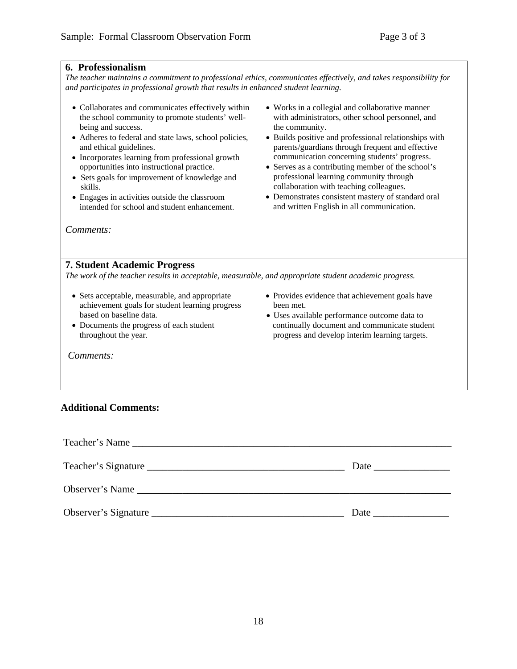#### **6. Professionalism**

*The teacher maintains a commitment to professional ethics, communicates effectively, and takes responsibility for and participates in professional growth that results in enhanced student learning.* 

- Collaborates and communicates effectively within the school community to promote students' wellbeing and success.
- Adheres to federal and state laws, school policies, and ethical guidelines.
- Incorporates learning from professional growth opportunities into instructional practice.
- Sets goals for improvement of knowledge and skills.
- Engages in activities outside the classroom intended for school and student enhancement.
- Works in a collegial and collaborative manner with administrators, other school personnel, and the community.
- Builds positive and professional relationships with parents/guardians through frequent and effective communication concerning students' progress.
- Serves as a contributing member of the school's professional learning community through collaboration with teaching colleagues.
- Demonstrates consistent mastery of standard oral and written English in all communication.

*Comments:* 

#### **7. Student Academic Progress**

*The work of the teacher results in acceptable, measurable, and appropriate student academic progress.* 

- Sets acceptable, measurable, and appropriate achievement goals for student learning progress based on baseline data.
- Documents the progress of each student throughout the year.
- Provides evidence that achievement goals have been met.
- Uses available performance outcome data to continually document and communicate student progress and develop interim learning targets.

 *Comments:* 

#### **Additional Comments:**

| Teacher's Name  |      |
|-----------------|------|
|                 |      |
| Observer's Name |      |
|                 | Date |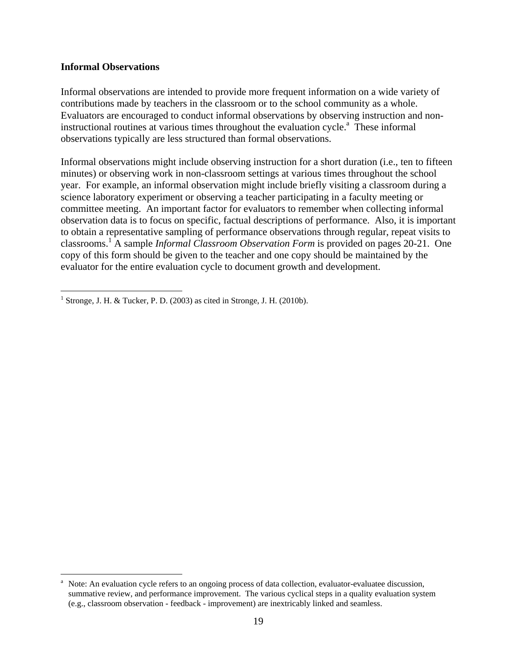#### **Informal Observations**

 $\overline{a}$ 

Informal observations are intended to provide more frequent information on a wide variety of contributions made by teachers in the classroom or to the school community as a whole. Evaluators are encouraged to conduct informal observations by observing instruction and noninstructional routines at various times throughout the evaluation cycle. $^{\alpha}$  These informal observations typically are less structured than formal observations.

Informal observations might include observing instruction for a short duration (i.e., ten to fifteen minutes) or observing work in non-classroom settings at various times throughout the school year. For example, an informal observation might include briefly visiting a classroom during a science laboratory experiment or observing a teacher participating in a faculty meeting or committee meeting. An important factor for evaluators to remember when collecting informal observation data is to focus on specific, factual descriptions of performance. Also, it is important to obtain a representative sampling of performance observations through regular, repeat visits to classrooms.<sup>1</sup> A sample *Informal Classroom Observation Form* is provided on pages 20-21. One copy of this form should be given to the teacher and one copy should be maintained by the evaluator for the entire evaluation cycle to document growth and development.

 $\overline{a}$ <sup>1</sup> Stronge, J. H. & Tucker, P. D. (2003) as cited in Stronge, J. H. (2010b).

a Note: An evaluation cycle refers to an ongoing process of data collection, evaluator-evaluatee discussion, summative review, and performance improvement. The various cyclical steps in a quality evaluation system (e.g., classroom observation - feedback - improvement) are inextricably linked and seamless.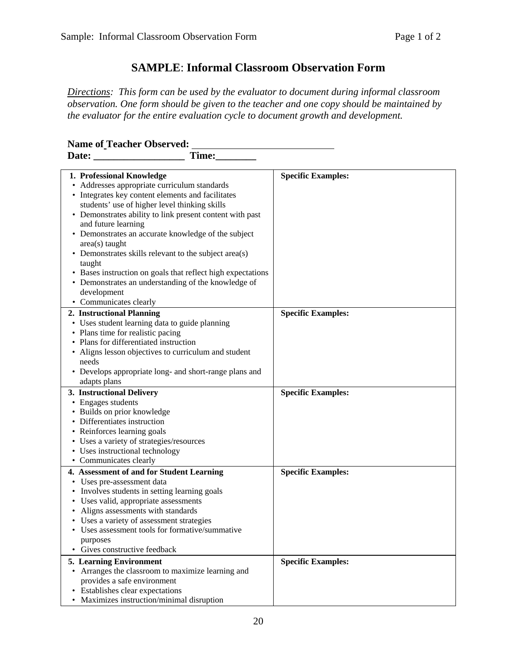**Name of Teacher Observed:** 

## **SAMPLE**: **Informal Classroom Observation Form**

*Directions: This form can be used by the evaluator to document during informal classroom observation. One form should be given to the teacher and one copy should be maintained by the evaluator for the entire evaluation cycle to document growth and development.* 

| Time:<br>Date:                                                                                                                                                                                                                                                                                                                                                                                                                                                                                                                                                                  |                           |
|---------------------------------------------------------------------------------------------------------------------------------------------------------------------------------------------------------------------------------------------------------------------------------------------------------------------------------------------------------------------------------------------------------------------------------------------------------------------------------------------------------------------------------------------------------------------------------|---------------------------|
| 1. Professional Knowledge<br>• Addresses appropriate curriculum standards<br>• Integrates key content elements and facilitates<br>students' use of higher level thinking skills<br>• Demonstrates ability to link present content with past<br>and future learning<br>• Demonstrates an accurate knowledge of the subject<br>$area(s)$ taught<br>• Demonstrates skills relevant to the subject area(s)<br>taught<br>• Bases instruction on goals that reflect high expectations<br>• Demonstrates an understanding of the knowledge of<br>development<br>• Communicates clearly | <b>Specific Examples:</b> |
| 2. Instructional Planning<br>• Uses student learning data to guide planning<br>• Plans time for realistic pacing<br>• Plans for differentiated instruction<br>• Aligns lesson objectives to curriculum and student<br>needs<br>• Develops appropriate long- and short-range plans and<br>adapts plans                                                                                                                                                                                                                                                                           | <b>Specific Examples:</b> |
| 3. Instructional Delivery<br>• Engages students<br>• Builds on prior knowledge<br>• Differentiates instruction<br>• Reinforces learning goals<br>• Uses a variety of strategies/resources<br>• Uses instructional technology<br>• Communicates clearly                                                                                                                                                                                                                                                                                                                          | <b>Specific Examples:</b> |
| 4. Assessment of and for Student Learning<br>• Uses pre-assessment data<br>Involves students in setting learning goals<br>• Uses valid, appropriate assessments<br>Aligns assessments with standards<br>• Uses a variety of assessment strategies<br>Uses assessment tools for formative/summative<br>purposes<br>• Gives constructive feedback                                                                                                                                                                                                                                 | <b>Specific Examples:</b> |
| 5. Learning Environment<br>• Arranges the classroom to maximize learning and<br>provides a safe environment<br>• Establishes clear expectations<br>• Maximizes instruction/minimal disruption                                                                                                                                                                                                                                                                                                                                                                                   | <b>Specific Examples:</b> |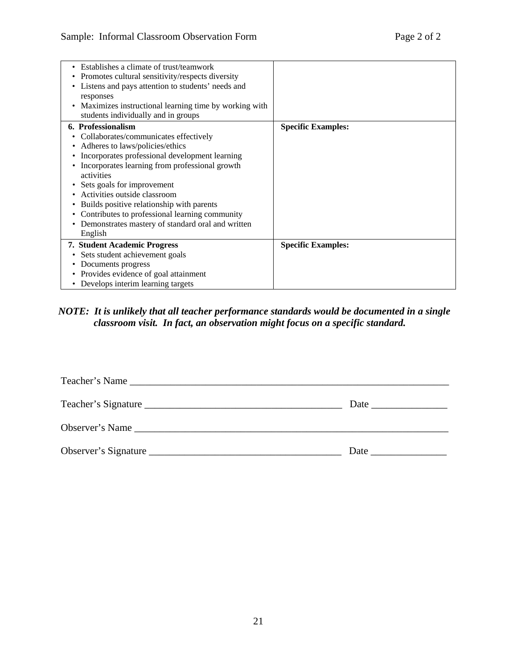| Establishes a climate of trust/teamwork<br>Promotes cultural sensitivity/respects diversity<br>Listens and pays attention to students' needs and<br>responses<br>Maximizes instructional learning time by working with<br>students individually and in groups                                                                                                                                                                                           |                           |
|---------------------------------------------------------------------------------------------------------------------------------------------------------------------------------------------------------------------------------------------------------------------------------------------------------------------------------------------------------------------------------------------------------------------------------------------------------|---------------------------|
| 6. Professionalism<br>Collaborates/communicates effectively<br>٠<br>Adheres to laws/policies/ethics<br>٠<br>Incorporates professional development learning<br>Incorporates learning from professional growth<br>activities<br>Sets goals for improvement<br>Activities outside classroom<br>Builds positive relationship with parents<br>Contributes to professional learning community<br>Demonstrates mastery of standard oral and written<br>English | <b>Specific Examples:</b> |
| 7. Student Academic Progress<br>Sets student achievement goals<br>٠<br>Documents progress<br>Provides evidence of goal attainment<br>Develops interim learning targets                                                                                                                                                                                                                                                                                  | <b>Specific Examples:</b> |

#### *NOTE: It is unlikely that all teacher performance standards would be documented in a single classroom visit. In fact, an observation might focus on a specific standard.*

| Observer's Name |                                                                                                                                                                                                                               |
|-----------------|-------------------------------------------------------------------------------------------------------------------------------------------------------------------------------------------------------------------------------|
|                 | Date and the same state of the state of the state of the state of the state of the state of the state of the state of the state of the state of the state of the state of the state of the state of the state of the state of |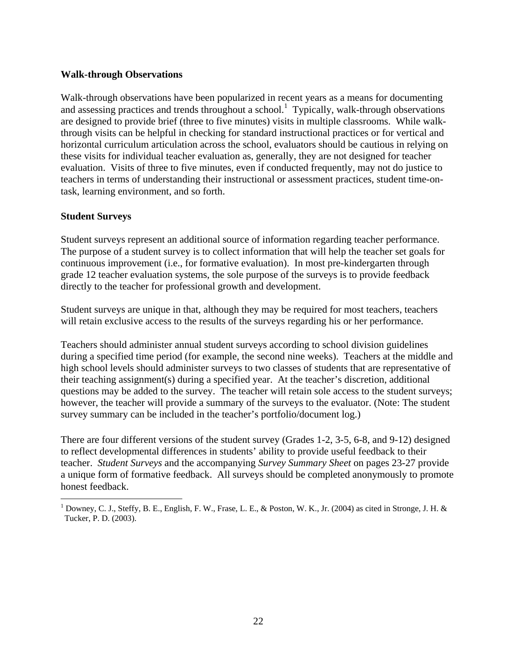#### **Walk-through Observations**

Walk-through observations have been popularized in recent years as a means for documenting and assessing practices and trends throughout a school.<sup>1</sup> Typically, walk-through observations are designed to provide brief (three to five minutes) visits in multiple classrooms. While walkthrough visits can be helpful in checking for standard instructional practices or for vertical and horizontal curriculum articulation across the school, evaluators should be cautious in relying on these visits for individual teacher evaluation as, generally, they are not designed for teacher evaluation. Visits of three to five minutes, even if conducted frequently, may not do justice to teachers in terms of understanding their instructional or assessment practices, student time-ontask, learning environment, and so forth.

#### **Student Surveys**

 $\overline{a}$ 

Student surveys represent an additional source of information regarding teacher performance. The purpose of a student survey is to collect information that will help the teacher set goals for continuous improvement (i.e., for formative evaluation). In most pre-kindergarten through grade 12 teacher evaluation systems, the sole purpose of the surveys is to provide feedback directly to the teacher for professional growth and development.

Student surveys are unique in that, although they may be required for most teachers, teachers will retain exclusive access to the results of the surveys regarding his or her performance.

Teachers should administer annual student surveys according to school division guidelines during a specified time period (for example, the second nine weeks). Teachers at the middle and high school levels should administer surveys to two classes of students that are representative of their teaching assignment(s) during a specified year. At the teacher's discretion, additional questions may be added to the survey. The teacher will retain sole access to the student surveys; however, the teacher will provide a summary of the surveys to the evaluator. (Note: The student survey summary can be included in the teacher's portfolio/document log.)

There are four different versions of the student survey (Grades 1-2, 3-5, 6-8, and 9-12) designed to reflect developmental differences in students' ability to provide useful feedback to their teacher. *Student Surveys* and the accompanying *Survey Summary Sheet* on pages 23-27 provide a unique form of formative feedback. All surveys should be completed anonymously to promote honest feedback.

<sup>&</sup>lt;sup>1</sup> Downey, C. J., Steffy, B. E., English, F. W., Frase, L. E., & Poston, W. K., Jr. (2004) as cited in Stronge, J. H. & Tucker, P. D. (2003).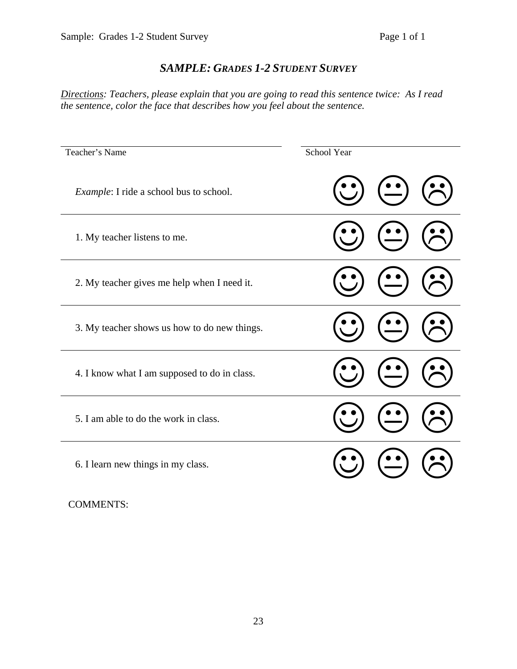## *SAMPLE: GRADES 1-2 STUDENT SURVEY*

*Directions: Teachers, please explain that you are going to read this sentence twice: As I read the sentence, color the face that describes how you feel about the sentence.* 

| Teacher's Name                                 | School Year                          |
|------------------------------------------------|--------------------------------------|
| <i>Example:</i> I ride a school bus to school. | $\left( \bullet$ $\bullet$ $\right)$ |
| 1. My teacher listens to me.                   |                                      |
| 2. My teacher gives me help when I need it.    |                                      |
| 3. My teacher shows us how to do new things.   |                                      |
| 4. I know what I am supposed to do in class.   |                                      |
| 5. I am able to do the work in class.          |                                      |
| 6. I learn new things in my class.             |                                      |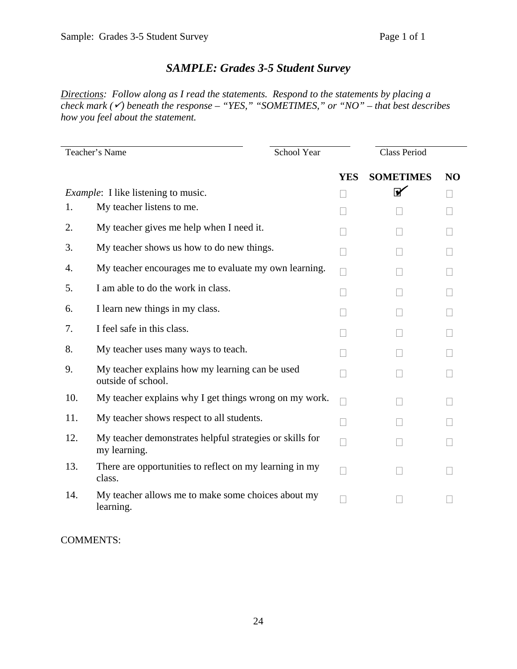## *SAMPLE: Grades 3-5 Student Survey*

*Directions: Follow along as I read the statements. Respond to the statements by placing a check mark () beneath the response – "YES," "SOMETIMES," or "NO" – that best describes how you feel about the statement.* 

|     | Teacher's Name                                                           | School Year |            | Class Period     |                |
|-----|--------------------------------------------------------------------------|-------------|------------|------------------|----------------|
|     |                                                                          |             | <b>YES</b> | <b>SOMETIMES</b> | N <sub>O</sub> |
|     | <i>Example</i> : I like listening to music.                              |             |            | $\mathbf{V}$     |                |
| 1.  | My teacher listens to me.                                                |             |            |                  |                |
| 2.  | My teacher gives me help when I need it.                                 |             |            |                  |                |
| 3.  | My teacher shows us how to do new things.                                |             |            |                  |                |
| 4.  | My teacher encourages me to evaluate my own learning.                    |             |            |                  |                |
| 5.  | I am able to do the work in class.                                       |             |            |                  |                |
| 6.  | I learn new things in my class.                                          |             |            |                  |                |
| 7.  | I feel safe in this class.                                               |             |            |                  | $\Box$         |
| 8.  | My teacher uses many ways to teach.                                      |             |            |                  | П              |
| 9.  | My teacher explains how my learning can be used<br>outside of school.    |             |            |                  | $\Box$         |
| 10. | My teacher explains why I get things wrong on my work.                   |             |            |                  |                |
| 11. | My teacher shows respect to all students.                                |             |            |                  |                |
| 12. | My teacher demonstrates helpful strategies or skills for<br>my learning. |             |            |                  |                |
| 13. | There are opportunities to reflect on my learning in my<br>class.        |             |            |                  |                |
| 14. | My teacher allows me to make some choices about my<br>learning.          |             |            |                  |                |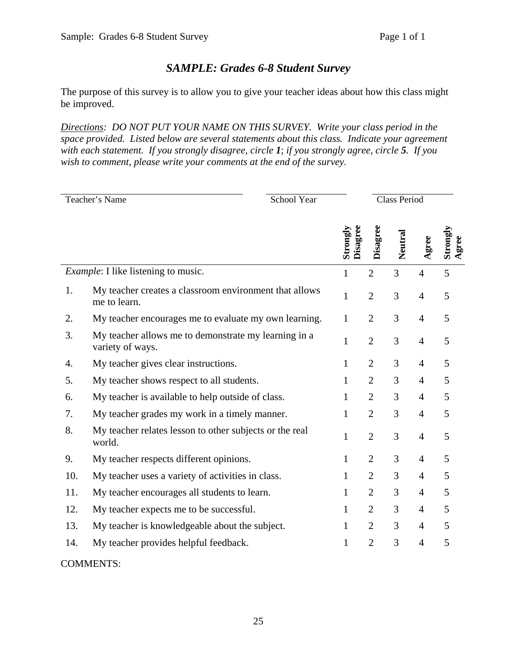## *SAMPLE: Grades 6-8 Student Survey*

The purpose of this survey is to allow you to give your teacher ideas about how this class might be improved.

*Directions: DO NOT PUT YOUR NAME ON THIS SURVEY. Write your class period in the space provided. Listed below are several statements about this class. Indicate your agreement with each statement. If you strongly disagree, circle 1*; *if you strongly agree, circle 5. If you wish to comment, please write your comments at the end of the survey.* 

| Teacher's Name |                                                                          | <b>School Year</b> |                      |                | <b>Class Period</b> |                |                   |  |
|----------------|--------------------------------------------------------------------------|--------------------|----------------------|----------------|---------------------|----------------|-------------------|--|
|                |                                                                          |                    | Disagree<br>Strongly | Disagree       | Neutral             | Agree          | Strongly<br>Agree |  |
|                | <i>Example</i> : I like listening to music.                              |                    | $\mathbf{1}$         | $\overline{2}$ | 3                   | $\overline{4}$ | 5                 |  |
| 1.             | My teacher creates a classroom environment that allows<br>me to learn.   |                    | $\mathbf{1}$         | $\overline{2}$ | 3                   | $\overline{4}$ | 5                 |  |
| 2.             | My teacher encourages me to evaluate my own learning.                    |                    | $\mathbf{1}$         | $\overline{2}$ | 3                   | $\overline{4}$ | 5                 |  |
| 3.             | My teacher allows me to demonstrate my learning in a<br>variety of ways. |                    | 1                    | $\overline{2}$ | 3                   | $\overline{4}$ | 5                 |  |
| 4.             | My teacher gives clear instructions.                                     |                    | $\mathbf{1}$         | $\overline{2}$ | 3                   | 4              | 5                 |  |
| 5.             | My teacher shows respect to all students.                                |                    | 1                    | $\overline{2}$ | 3                   | $\overline{4}$ | 5                 |  |
| 6.             | My teacher is available to help outside of class.                        |                    | 1                    | $\overline{2}$ | 3                   | 4              | 5                 |  |
| 7.             | My teacher grades my work in a timely manner.                            |                    | $\mathbf{1}$         | $\overline{2}$ | 3                   | 4              | 5                 |  |
| 8.             | My teacher relates lesson to other subjects or the real<br>world.        |                    | 1                    | $\overline{2}$ | 3                   | 4              | 5                 |  |
| 9.             | My teacher respects different opinions.                                  |                    | 1                    | $\overline{2}$ | 3                   | 4              | 5                 |  |
| 10.            | My teacher uses a variety of activities in class.                        |                    | 1                    | $\overline{2}$ | 3                   | 4              | 5                 |  |
| 11.            | My teacher encourages all students to learn.                             |                    | $\mathbf{1}$         | $\overline{2}$ | 3                   | 4              | 5                 |  |
| 12.            | My teacher expects me to be successful.                                  |                    | $\mathbf{1}$         | $\overline{2}$ | 3                   | 4              | 5                 |  |
| 13.            | My teacher is knowledgeable about the subject.                           |                    | 1                    | $\overline{2}$ | 3                   | 4              | 5                 |  |
| 14.            | My teacher provides helpful feedback.                                    |                    | 1                    | $\overline{2}$ | 3                   | $\overline{4}$ | 5                 |  |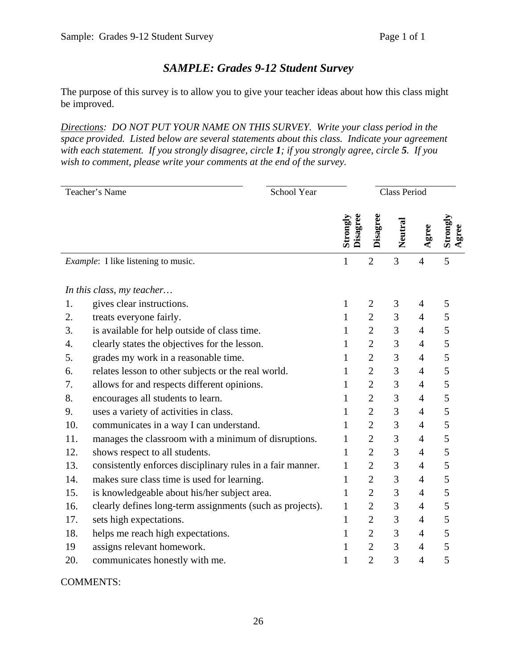## *SAMPLE: Grades 9-12 Student Survey*

The purpose of this survey is to allow you to give your teacher ideas about how this class might be improved.

*Directions: DO NOT PUT YOUR NAME ON THIS SURVEY. Write your class period in the space provided. Listed below are several statements about this class. Indicate your agreement with each statement. If you strongly disagree, circle 1; if you strongly agree, circle 5. If you wish to comment, please write your comments at the end of the survey.* 

| Teacher's Name                              |                                                            | School Year | Class Period         |                |                |                |                   |
|---------------------------------------------|------------------------------------------------------------|-------------|----------------------|----------------|----------------|----------------|-------------------|
|                                             |                                                            |             | Disagree<br>Strongly | Disagree       | Neutral        | Agree          | Strongly<br>Agree |
| <i>Example</i> : I like listening to music. |                                                            |             | $\mathbf{1}$         | $\overline{2}$ | $\overline{3}$ | $\overline{4}$ | 5                 |
|                                             | In this class, my teacher                                  |             |                      |                |                |                |                   |
| 1.                                          | gives clear instructions.                                  |             | 1                    | $\overline{2}$ | 3              | $\overline{4}$ | 5                 |
| 2.                                          | treats everyone fairly.                                    |             | 1                    | $\overline{2}$ | 3              | $\overline{4}$ | 5                 |
| 3.                                          | is available for help outside of class time.               |             | 1                    | $\overline{2}$ | 3              | $\overline{4}$ | 5                 |
| 4.                                          | clearly states the objectives for the lesson.              |             | 1                    | $\overline{2}$ | 3              | $\overline{4}$ | 5                 |
| 5.                                          | grades my work in a reasonable time.                       |             | 1                    | $\overline{2}$ | 3              | $\overline{4}$ | 5                 |
| 6.                                          | relates lesson to other subjects or the real world.        |             | 1                    | $\overline{2}$ | 3              | $\overline{4}$ | 5                 |
| 7.                                          | allows for and respects different opinions.                |             | 1                    | $\overline{2}$ | 3              | $\overline{4}$ | 5                 |
| 8.                                          | encourages all students to learn.                          |             | 1                    | $\overline{2}$ | 3              | $\overline{4}$ | 5                 |
| 9.                                          | uses a variety of activities in class.                     |             | 1                    | $\overline{2}$ | 3              | $\overline{4}$ | 5                 |
| 10.                                         | communicates in a way I can understand.                    |             | 1                    | $\overline{2}$ | 3              | $\overline{4}$ | 5                 |
| 11.                                         | manages the classroom with a minimum of disruptions.       |             | 1                    | $\overline{2}$ | 3              | $\overline{4}$ | 5                 |
| 12.                                         | shows respect to all students.                             |             | 1                    | $\overline{2}$ | 3              | $\overline{4}$ | 5                 |
| 13.                                         | consistently enforces disciplinary rules in a fair manner. |             | 1                    | $\overline{2}$ | 3              | $\overline{4}$ | 5                 |
| 14.                                         | makes sure class time is used for learning.                |             | 1                    | $\overline{2}$ | 3              | $\overline{4}$ | 5                 |
| 15.                                         | is knowledgeable about his/her subject area.               |             | 1                    | $\overline{2}$ | 3              | $\overline{4}$ | 5                 |
| 16.                                         | clearly defines long-term assignments (such as projects).  |             | 1                    | $\overline{2}$ | 3              | $\overline{4}$ | 5                 |
| 17.                                         | sets high expectations.                                    |             | 1                    | $\overline{2}$ | 3              | $\overline{4}$ | 5                 |
| 18.                                         | helps me reach high expectations.                          |             | 1                    | $\overline{2}$ | 3              | $\overline{4}$ | 5                 |
| 19                                          | assigns relevant homework.                                 |             | 1                    | $\overline{2}$ | $\mathfrak{Z}$ | $\overline{4}$ | 5                 |
| 20.                                         | communicates honestly with me.                             |             | 1                    | $\overline{2}$ | 3              | $\overline{4}$ | 5                 |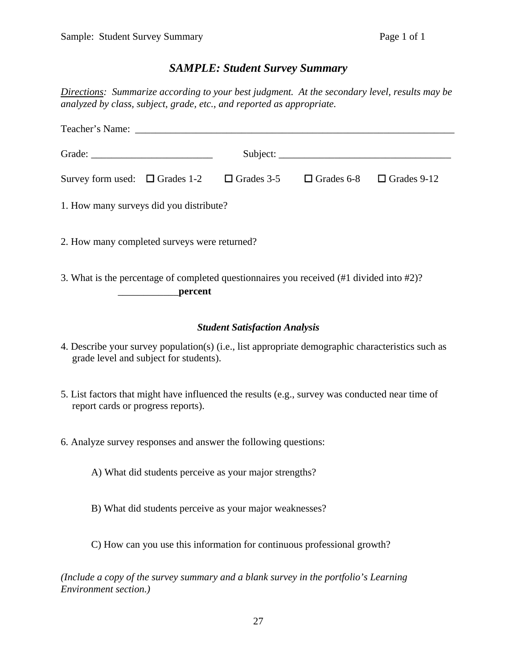## *SAMPLE: Student Survey Summary*

*Directions: Summarize according to your best judgment. At the secondary level, results may be analyzed by class, subject, grade, etc., and reported as appropriate.*

| Survey form used: $\Box$ Grades 1-2 $\Box$ Grades 3-5                                                                                       |  |                                                        |  | $\Box$ Grades 6-8 $\Box$ Grades 9-12 |  |  |  |  |  |  |
|---------------------------------------------------------------------------------------------------------------------------------------------|--|--------------------------------------------------------|--|--------------------------------------|--|--|--|--|--|--|
| 1. How many surveys did you distribute?                                                                                                     |  |                                                        |  |                                      |  |  |  |  |  |  |
| 2. How many completed surveys were returned?                                                                                                |  |                                                        |  |                                      |  |  |  |  |  |  |
| 3. What is the percentage of completed questionnaires you received (#1 divided into #2)?<br>_____________________percent                    |  |                                                        |  |                                      |  |  |  |  |  |  |
| <b>Student Satisfaction Analysis</b>                                                                                                        |  |                                                        |  |                                      |  |  |  |  |  |  |
| 4. Describe your survey population(s) (i.e., list appropriate demographic characteristics such as<br>grade level and subject for students). |  |                                                        |  |                                      |  |  |  |  |  |  |
| 5. List factors that might have influenced the results (e.g., survey was conducted near time of<br>report cards or progress reports).       |  |                                                        |  |                                      |  |  |  |  |  |  |
| 6. Analyze survey responses and answer the following questions:                                                                             |  |                                                        |  |                                      |  |  |  |  |  |  |
|                                                                                                                                             |  | A) What did students perceive as your major strengths? |  |                                      |  |  |  |  |  |  |

- B) What did students perceive as your major weaknesses?
- C) How can you use this information for continuous professional growth?

*(Include a copy of the survey summary and a blank survey in the portfolio's Learning Environment section.)*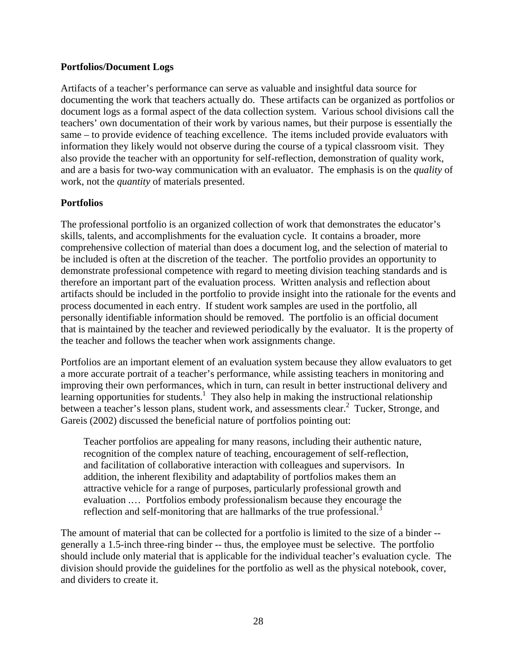#### **Portfolios/Document Logs**

Artifacts of a teacher's performance can serve as valuable and insightful data source for documenting the work that teachers actually do. These artifacts can be organized as portfolios or document logs as a formal aspect of the data collection system. Various school divisions call the teachers' own documentation of their work by various names, but their purpose is essentially the same – to provide evidence of teaching excellence. The items included provide evaluators with information they likely would not observe during the course of a typical classroom visit. They also provide the teacher with an opportunity for self-reflection, demonstration of quality work, and are a basis for two-way communication with an evaluator. The emphasis is on the *quality* of work, not the *quantity* of materials presented.

#### **Portfolios**

The professional portfolio is an organized collection of work that demonstrates the educator's skills, talents, and accomplishments for the evaluation cycle. It contains a broader, more comprehensive collection of material than does a document log, and the selection of material to be included is often at the discretion of the teacher. The portfolio provides an opportunity to demonstrate professional competence with regard to meeting division teaching standards and is therefore an important part of the evaluation process. Written analysis and reflection about artifacts should be included in the portfolio to provide insight into the rationale for the events and process documented in each entry. If student work samples are used in the portfolio, all personally identifiable information should be removed. The portfolio is an official document that is maintained by the teacher and reviewed periodically by the evaluator. It is the property of the teacher and follows the teacher when work assignments change.

Portfolios are an important element of an evaluation system because they allow evaluators to get a more accurate portrait of a teacher's performance, while assisting teachers in monitoring and improving their own performances, which in turn, can result in better instructional delivery and learning opportunities for students.<sup>1</sup> They also help in making the instructional relationship between a teacher's lesson plans, student work, and assessments clear.<sup>2</sup> Tucker, Stronge, and Gareis (2002) discussed the beneficial nature of portfolios pointing out:

Teacher portfolios are appealing for many reasons, including their authentic nature, recognition of the complex nature of teaching, encouragement of self-reflection, and facilitation of collaborative interaction with colleagues and supervisors. In addition, the inherent flexibility and adaptability of portfolios makes them an attractive vehicle for a range of purposes, particularly professional growth and evaluation .… Portfolios embody professionalism because they encourage the reflection and self-monitoring that are hallmarks of the true professional.<sup>3</sup>

The amount of material that can be collected for a portfolio is limited to the size of a binder - generally a 1.5-inch three-ring binder -- thus, the employee must be selective. The portfolio should include only material that is applicable for the individual teacher's evaluation cycle. The division should provide the guidelines for the portfolio as well as the physical notebook, cover, and dividers to create it.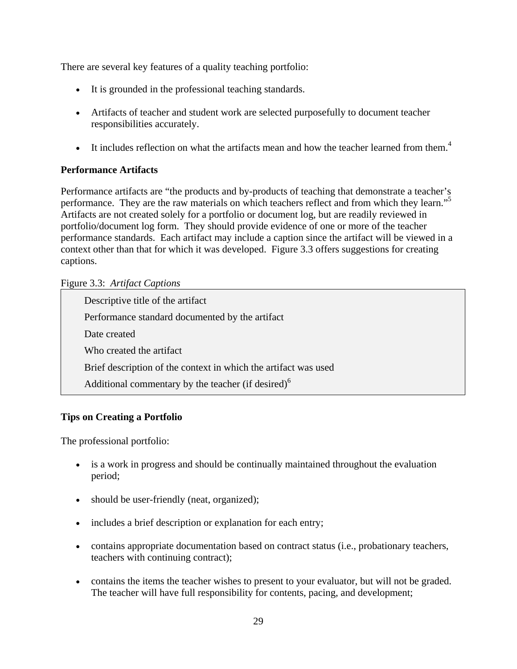There are several key features of a quality teaching portfolio:

- It is grounded in the professional teaching standards.
- Artifacts of teacher and student work are selected purposefully to document teacher responsibilities accurately.
- It includes reflection on what the artifacts mean and how the teacher learned from them.<sup>4</sup>

#### **Performance Artifacts**

Performance artifacts are "the products and by-products of teaching that demonstrate a teacher's performance. They are the raw materials on which teachers reflect and from which they learn."<sup>5</sup> Artifacts are not created solely for a portfolio or document log, but are readily reviewed in portfolio/document log form. They should provide evidence of one or more of the teacher performance standards. Each artifact may include a caption since the artifact will be viewed in a context other than that for which it was developed. Figure 3.3 offers suggestions for creating captions.

#### Figure 3.3: *Artifact Captions*

Descriptive title of the artifact Performance standard documented by the artifact Date created Who created the artifact Brief description of the context in which the artifact was used Additional commentary by the teacher (if desired) $<sup>6</sup>$ </sup>

#### **Tips on Creating a Portfolio**

The professional portfolio:

- is a work in progress and should be continually maintained throughout the evaluation period;
- should be user-friendly (neat, organized);
- includes a brief description or explanation for each entry;
- contains appropriate documentation based on contract status (i.e., probationary teachers, teachers with continuing contract);
- contains the items the teacher wishes to present to your evaluator, but will not be graded. The teacher will have full responsibility for contents, pacing, and development;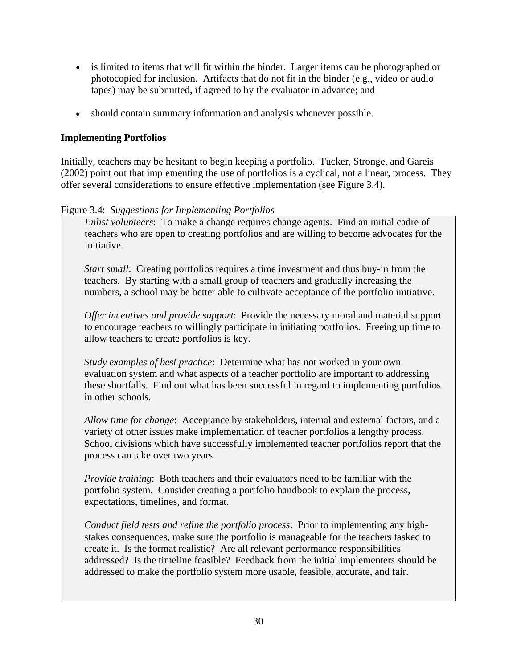- is limited to items that will fit within the binder. Larger items can be photographed or photocopied for inclusion. Artifacts that do not fit in the binder (e.g., video or audio tapes) may be submitted, if agreed to by the evaluator in advance; and
- should contain summary information and analysis whenever possible.

#### **Implementing Portfolios**

Initially, teachers may be hesitant to begin keeping a portfolio. Tucker, Stronge, and Gareis (2002) point out that implementing the use of portfolios is a cyclical, not a linear, process. They offer several considerations to ensure effective implementation (see Figure 3.4).

#### Figure 3.4: *Suggestions for Implementing Portfolios*

*Enlist volunteers*: To make a change requires change agents. Find an initial cadre of teachers who are open to creating portfolios and are willing to become advocates for the initiative.

*Start small:* Creating portfolios requires a time investment and thus buy-in from the teachers. By starting with a small group of teachers and gradually increasing the numbers, a school may be better able to cultivate acceptance of the portfolio initiative.

*Offer incentives and provide support*: Provide the necessary moral and material support to encourage teachers to willingly participate in initiating portfolios. Freeing up time to allow teachers to create portfolios is key.

*Study examples of best practice*: Determine what has not worked in your own evaluation system and what aspects of a teacher portfolio are important to addressing these shortfalls. Find out what has been successful in regard to implementing portfolios in other schools.

*Allow time for change*: Acceptance by stakeholders, internal and external factors, and a variety of other issues make implementation of teacher portfolios a lengthy process. School divisions which have successfully implemented teacher portfolios report that the process can take over two years.

*Provide training*: Both teachers and their evaluators need to be familiar with the portfolio system. Consider creating a portfolio handbook to explain the process, expectations, timelines, and format.

*Conduct field tests and refine the portfolio process*: Prior to implementing any highstakes consequences, make sure the portfolio is manageable for the teachers tasked to create it. Is the format realistic? Are all relevant performance responsibilities addressed? Is the timeline feasible? Feedback from the initial implementers should be addressed to make the portfolio system more usable, feasible, accurate, and fair.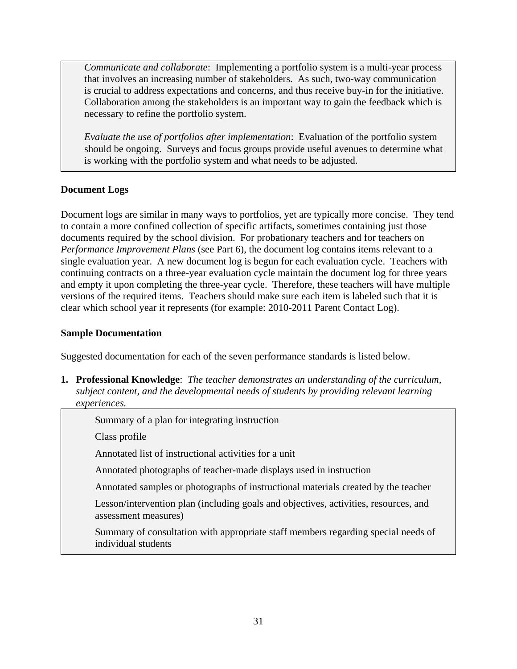*Communicate and collaborate*: Implementing a portfolio system is a multi-year process that involves an increasing number of stakeholders. As such, two-way communication is crucial to address expectations and concerns, and thus receive buy-in for the initiative. Collaboration among the stakeholders is an important way to gain the feedback which is necessary to refine the portfolio system.

*Evaluate the use of portfolios after implementation*: Evaluation of the portfolio system should be ongoing. Surveys and focus groups provide useful avenues to determine what is working with the portfolio system and what needs to be adjusted.

#### **Document Logs**

Document logs are similar in many ways to portfolios, yet are typically more concise. They tend to contain a more confined collection of specific artifacts, sometimes containing just those documents required by the school division. For probationary teachers and for teachers on *Performance Improvement Plans* (see Part 6), the document log contains items relevant to a single evaluation year. A new document log is begun for each evaluation cycle. Teachers with continuing contracts on a three-year evaluation cycle maintain the document log for three years and empty it upon completing the three-year cycle. Therefore, these teachers will have multiple versions of the required items. Teachers should make sure each item is labeled such that it is clear which school year it represents (for example: 2010-2011 Parent Contact Log).

#### **Sample Documentation**

Suggested documentation for each of the seven performance standards is listed below.

**1. Professional Knowledge**: *The teacher demonstrates an understanding of the curriculum, subject content, and the developmental needs of students by providing relevant learning experiences.* 

Summary of a plan for integrating instruction

Class profile

Annotated list of instructional activities for a unit

Annotated photographs of teacher-made displays used in instruction

Annotated samples or photographs of instructional materials created by the teacher

Lesson/intervention plan (including goals and objectives, activities, resources, and assessment measures)

Summary of consultation with appropriate staff members regarding special needs of individual students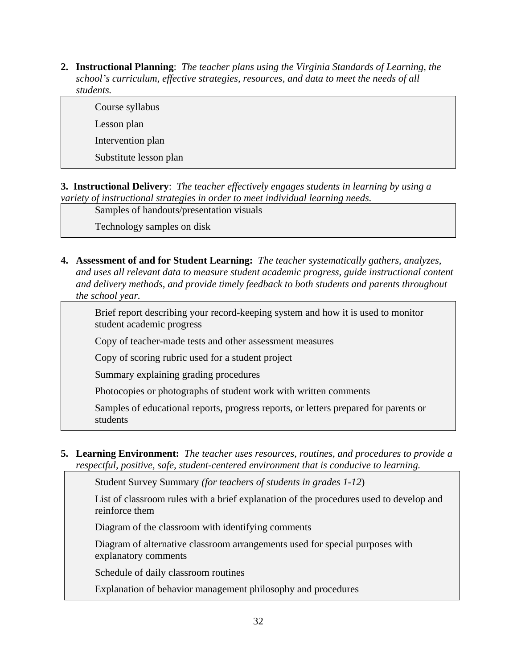**2. Instructional Planning**: *The teacher plans using the Virginia Standards of Learning, the school's curriculum, effective strategies, resources, and data to meet the needs of all students.* 

Course syllabus Lesson plan Intervention plan Substitute lesson plan

**3. Instructional Delivery**: *The teacher effectively engages students in learning by using a variety of instructional strategies in order to meet individual learning needs.* 

Samples of handouts/presentation visuals

Technology samples on disk

**4. Assessment of and for Student Learning:** *The teacher systematically gathers, analyzes, and uses all relevant data to measure student academic progress, guide instructional content and delivery methods, and provide timely feedback to both students and parents throughout the school year.* 

Brief report describing your record-keeping system and how it is used to monitor student academic progress

Copy of teacher-made tests and other assessment measures

Copy of scoring rubric used for a student project

Summary explaining grading procedures

Photocopies or photographs of student work with written comments

Samples of educational reports, progress reports, or letters prepared for parents or students

**5. Learning Environment:** *The teacher uses resources, routines, and procedures to provide a respectful, positive, safe, student-centered environment that is conducive to learning.* 

Student Survey Summary *(for teachers of students in grades 1-12*)

List of classroom rules with a brief explanation of the procedures used to develop and reinforce them

Diagram of the classroom with identifying comments

Diagram of alternative classroom arrangements used for special purposes with explanatory comments

Schedule of daily classroom routines

Explanation of behavior management philosophy and procedures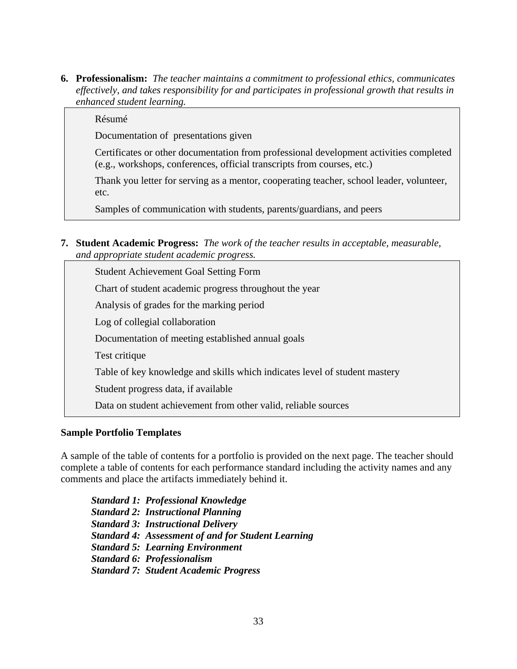**6. Professionalism:** *The teacher maintains a commitment to professional ethics, communicates effectively, and takes responsibility for and participates in professional growth that results in enhanced student learning.* 

#### Résumé

Documentation of presentations given

Certificates or other documentation from professional development activities completed (e.g., workshops, conferences, official transcripts from courses, etc.)

Thank you letter for serving as a mentor, cooperating teacher, school leader, volunteer, etc.

Samples of communication with students, parents/guardians, and peers

**7. Student Academic Progress:** *The work of the teacher results in acceptable, measurable, and appropriate student academic progress.* 

Student Achievement Goal Setting Form Chart of student academic progress throughout the year Analysis of grades for the marking period Log of collegial collaboration Documentation of meeting established annual goals Test critique Table of key knowledge and skills which indicates level of student mastery Student progress data, if available Data on student achievement from other valid, reliable sources

#### **Sample Portfolio Templates**

A sample of the table of contents for a portfolio is provided on the next page. The teacher should complete a table of contents for each performance standard including the activity names and any comments and place the artifacts immediately behind it.

*Standard 1: Professional Knowledge Standard 2: Instructional Planning Standard 3: Instructional Delivery Standard 4: Assessment of and for Student Learning Standard 5: Learning Environment Standard 6: Professionalism Standard 7: Student Academic Progress*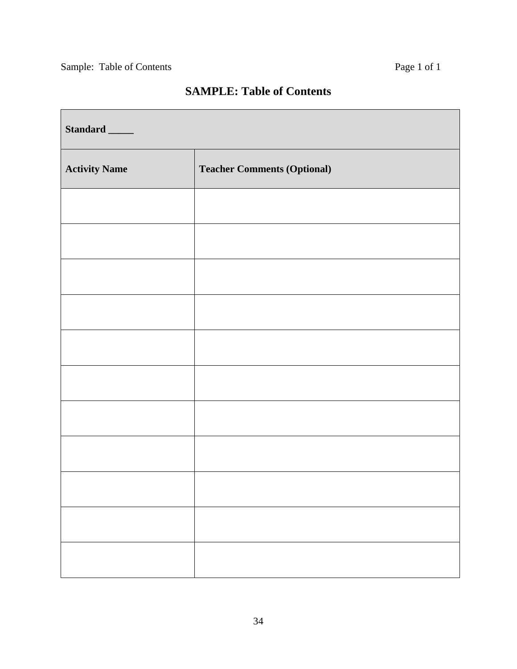# **SAMPLE: Table of Contents**

| Standard             |                                    |  |
|----------------------|------------------------------------|--|
| <b>Activity Name</b> | <b>Teacher Comments (Optional)</b> |  |
|                      |                                    |  |
|                      |                                    |  |
|                      |                                    |  |
|                      |                                    |  |
|                      |                                    |  |
|                      |                                    |  |
|                      |                                    |  |
|                      |                                    |  |
|                      |                                    |  |
|                      |                                    |  |
|                      |                                    |  |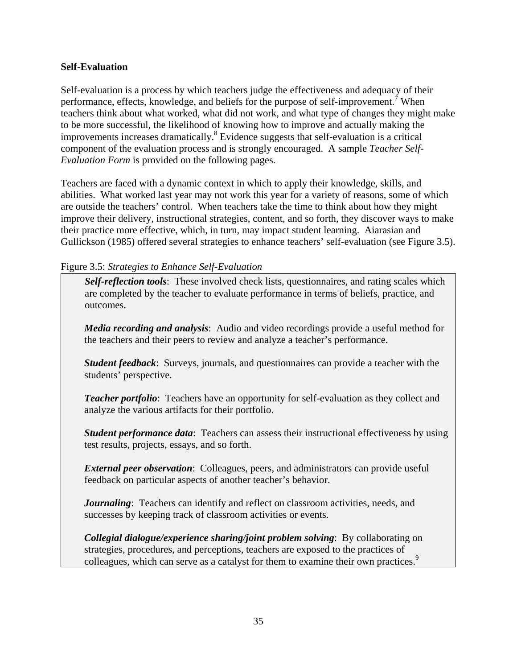#### **Self-Evaluation**

Self-evaluation is a process by which teachers judge the effectiveness and adequacy of their performance, effects, knowledge, and beliefs for the purpose of self-improvement.<sup>7</sup> When teachers think about what worked, what did not work, and what type of changes they might make to be more successful, the likelihood of knowing how to improve and actually making the improvements increases dramatically.<sup>8</sup> Evidence suggests that self-evaluation is a critical component of the evaluation process and is strongly encouraged. A sample *Teacher Self-Evaluation Form* is provided on the following pages.

Teachers are faced with a dynamic context in which to apply their knowledge, skills, and abilities. What worked last year may not work this year for a variety of reasons, some of which are outside the teachers' control. When teachers take the time to think about how they might improve their delivery, instructional strategies, content, and so forth, they discover ways to make their practice more effective, which, in turn, may impact student learning. Aiarasian and Gullickson (1985) offered several strategies to enhance teachers' self-evaluation (see Figure 3.5).

#### Figure 3.5: *Strategies to Enhance Self-Evaluation*

*Self-reflection tools*: These involved check lists, questionnaires, and rating scales which are completed by the teacher to evaluate performance in terms of beliefs, practice, and outcomes.

*Media recording and analysis*: Audio and video recordings provide a useful method for the teachers and their peers to review and analyze a teacher's performance.

*Student feedback*: Surveys, journals, and questionnaires can provide a teacher with the students' perspective.

*Teacher portfolio*: Teachers have an opportunity for self-evaluation as they collect and analyze the various artifacts for their portfolio.

*Student performance data*: Teachers can assess their instructional effectiveness by using test results, projects, essays, and so forth.

*External peer observation*: Colleagues, peers, and administrators can provide useful feedback on particular aspects of another teacher's behavior.

*Journaling*: Teachers can identify and reflect on classroom activities, needs, and successes by keeping track of classroom activities or events.

*Collegial dialogue/experience sharing/joint problem solving*: By collaborating on strategies, procedures, and perceptions, teachers are exposed to the practices of colleagues, which can serve as a catalyst for them to examine their own practices.<sup>9</sup>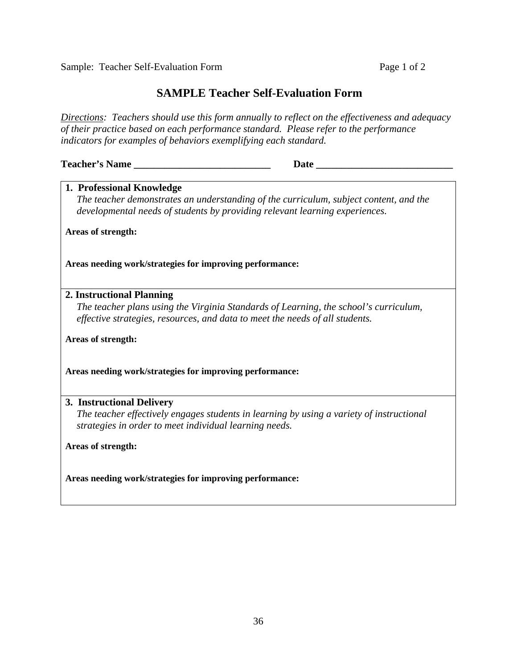Sample: Teacher Self-Evaluation Form Page 1 of 2

### **SAMPLE Teacher Self-Evaluation Form**

*Directions: Teachers should use this form annually to reflect on the effectiveness and adequacy of their practice based on each performance standard. Please refer to the performance indicators for examples of behaviors exemplifying each standard.* 

| 1. Professional Knowledge<br>The teacher demonstrates an understanding of the curriculum, subject content, and the<br>developmental needs of students by providing relevant learning experiences.<br>Areas of strength:<br>Areas needing work/strategies for improving performance:<br>2. Instructional Planning<br>The teacher plans using the Virginia Standards of Learning, the school's curriculum,<br>effective strategies, resources, and data to meet the needs of all students. |
|------------------------------------------------------------------------------------------------------------------------------------------------------------------------------------------------------------------------------------------------------------------------------------------------------------------------------------------------------------------------------------------------------------------------------------------------------------------------------------------|
|                                                                                                                                                                                                                                                                                                                                                                                                                                                                                          |
|                                                                                                                                                                                                                                                                                                                                                                                                                                                                                          |
|                                                                                                                                                                                                                                                                                                                                                                                                                                                                                          |
|                                                                                                                                                                                                                                                                                                                                                                                                                                                                                          |
|                                                                                                                                                                                                                                                                                                                                                                                                                                                                                          |
|                                                                                                                                                                                                                                                                                                                                                                                                                                                                                          |
|                                                                                                                                                                                                                                                                                                                                                                                                                                                                                          |
|                                                                                                                                                                                                                                                                                                                                                                                                                                                                                          |
|                                                                                                                                                                                                                                                                                                                                                                                                                                                                                          |
|                                                                                                                                                                                                                                                                                                                                                                                                                                                                                          |
|                                                                                                                                                                                                                                                                                                                                                                                                                                                                                          |
|                                                                                                                                                                                                                                                                                                                                                                                                                                                                                          |
|                                                                                                                                                                                                                                                                                                                                                                                                                                                                                          |
|                                                                                                                                                                                                                                                                                                                                                                                                                                                                                          |
| Areas of strength:                                                                                                                                                                                                                                                                                                                                                                                                                                                                       |
|                                                                                                                                                                                                                                                                                                                                                                                                                                                                                          |
|                                                                                                                                                                                                                                                                                                                                                                                                                                                                                          |
| Areas needing work/strategies for improving performance:                                                                                                                                                                                                                                                                                                                                                                                                                                 |
|                                                                                                                                                                                                                                                                                                                                                                                                                                                                                          |
| 3. Instructional Delivery                                                                                                                                                                                                                                                                                                                                                                                                                                                                |
| The teacher effectively engages students in learning by using a variety of instructional                                                                                                                                                                                                                                                                                                                                                                                                 |
| strategies in order to meet individual learning needs.                                                                                                                                                                                                                                                                                                                                                                                                                                   |
|                                                                                                                                                                                                                                                                                                                                                                                                                                                                                          |
| Areas of strength:                                                                                                                                                                                                                                                                                                                                                                                                                                                                       |
|                                                                                                                                                                                                                                                                                                                                                                                                                                                                                          |
|                                                                                                                                                                                                                                                                                                                                                                                                                                                                                          |
| Areas needing work/strategies for improving performance:                                                                                                                                                                                                                                                                                                                                                                                                                                 |
|                                                                                                                                                                                                                                                                                                                                                                                                                                                                                          |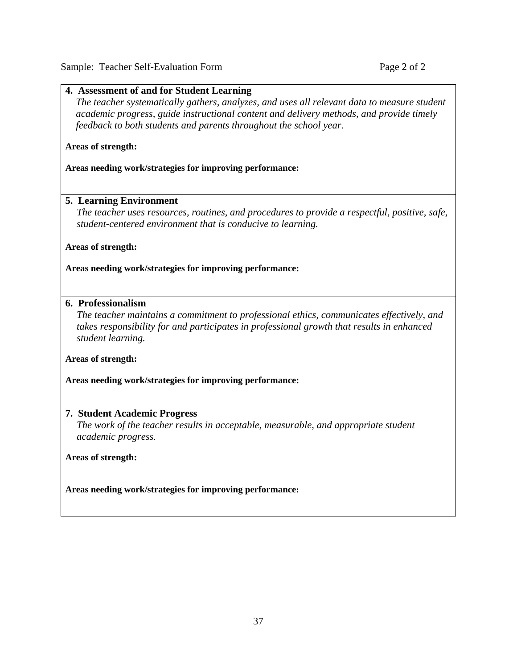#### **4. Assessment of and for Student Learning**

*The teacher systematically gathers, analyzes, and uses all relevant data to measure student academic progress, guide instructional content and delivery methods, and provide timely feedback to both students and parents throughout the school year.*

#### **Areas of strength:**

**Areas needing work/strategies for improving performance:** 

#### **5. Learning Environment**

*The teacher uses resources, routines, and procedures to provide a respectful, positive, safe, student-centered environment that is conducive to learning.*

**Areas of strength:** 

**Areas needing work/strategies for improving performance:**

#### **6. Professionalism**

*The teacher maintains a commitment to professional ethics, communicates effectively, and takes responsibility for and participates in professional growth that results in enhanced student learning.*

**Areas of strength:** 

**Areas needing work/strategies for improving performance:** 

#### **7. Student Academic Progress**

*The work of the teacher results in acceptable, measurable, and appropriate student academic progress.*

**Areas of strength:** 

**Areas needing work/strategies for improving performance:**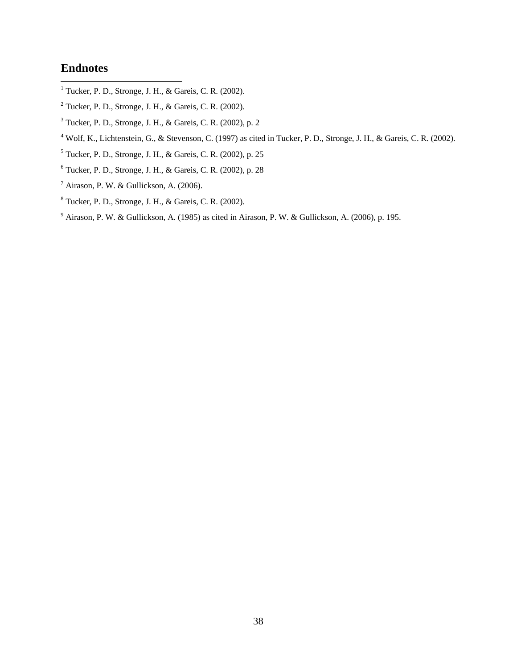### **Endnotes**

- 1 Tucker, P. D., Stronge, J. H., & Gareis, C. R. (2002).
- <sup>2</sup> Tucker, P. D., Stronge, J. H., & Gareis, C. R. (2002).
- 3 Tucker, P. D., Stronge, J. H., & Gareis, C. R. (2002), p. 2
- $4 \text{ Wolf, K., Lichtenstein, G., & Stevenson, C. (1997) as cited in Tucker, P. D., Stronge, J. H., & Gareis, C. R. (2002).}$
- 5 Tucker, P. D., Stronge, J. H., & Gareis, C. R. (2002), p. 25
- 6 Tucker, P. D., Stronge, J. H., & Gareis, C. R. (2002), p. 28
- $^7$  Airason, P. W. & Gullickson, A. (2006).
- 8 Tucker, P. D., Stronge, J. H., & Gareis, C. R. (2002).
- $9$  Airason, P. W. & Gullickson, A. (1985) as cited in Airason, P. W. & Gullickson, A. (2006), p. 195.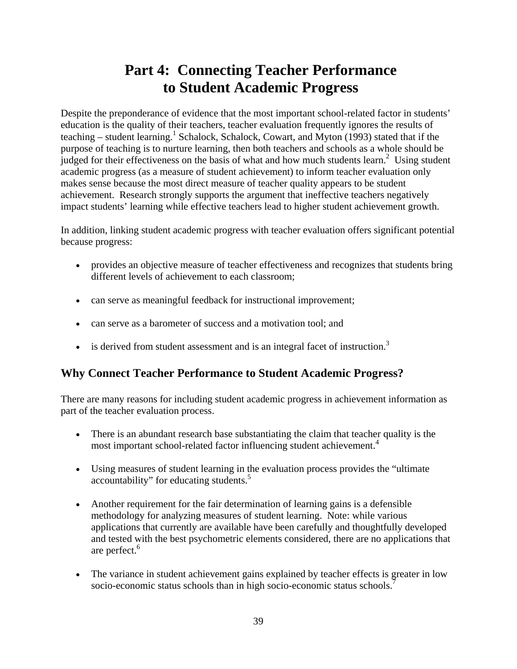# **Part 4: Connecting Teacher Performance to Student Academic Progress**

Despite the preponderance of evidence that the most important school-related factor in students' education is the quality of their teachers, teacher evaluation frequently ignores the results of teaching – student learning.<sup>1</sup> Schalock, Schalock, Cowart, and Myton (1993) stated that if the purpose of teaching is to nurture learning, then both teachers and schools as a whole should be judged for their effectiveness on the basis of what and how much students learn.<sup>2</sup> Using student academic progress (as a measure of student achievement) to inform teacher evaluation only makes sense because the most direct measure of teacher quality appears to be student achievement. Research strongly supports the argument that ineffective teachers negatively impact students' learning while effective teachers lead to higher student achievement growth.

In addition, linking student academic progress with teacher evaluation offers significant potential because progress:

- provides an objective measure of teacher effectiveness and recognizes that students bring different levels of achievement to each classroom;
- can serve as meaningful feedback for instructional improvement;
- can serve as a barometer of success and a motivation tool; and
- is derived from student assessment and is an integral facet of instruction.<sup>3</sup>

## **Why Connect Teacher Performance to Student Academic Progress?**

There are many reasons for including student academic progress in achievement information as part of the teacher evaluation process.

- There is an abundant research base substantiating the claim that teacher quality is the most important school-related factor influencing student achievement.<sup>4</sup>
- Using measures of student learning in the evaluation process provides the "ultimate accountability" for educating students.<sup>5</sup>
- Another requirement for the fair determination of learning gains is a defensible methodology for analyzing measures of student learning. Note: while various applications that currently are available have been carefully and thoughtfully developed and tested with the best psychometric elements considered, there are no applications that are perfect.<sup>6</sup>
- The variance in student achievement gains explained by teacher effects is greater in low socio-economic status schools than in high socio-economic status schools.<sup>7</sup>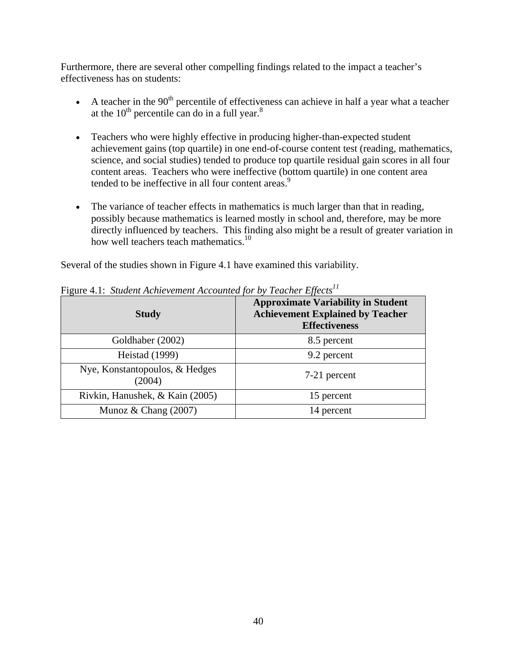Furthermore, there are several other compelling findings related to the impact a teacher's effectiveness has on students:

- A teacher in the  $90<sup>th</sup>$  percentile of effectiveness can achieve in half a year what a teacher at the  $10^{th}$  percentile can do in a full year.<sup>8</sup>
- Teachers who were highly effective in producing higher-than-expected student achievement gains (top quartile) in one end-of-course content test (reading, mathematics, science, and social studies) tended to produce top quartile residual gain scores in all four content areas. Teachers who were ineffective (bottom quartile) in one content area tended to be ineffective in all four content areas.<sup>9</sup>
- The variance of teacher effects in mathematics is much larger than that in reading, possibly because mathematics is learned mostly in school and, therefore, may be more directly influenced by teachers. This finding also might be a result of greater variation in how well teachers teach mathematics.<sup>10</sup>

Several of the studies shown in Figure 4.1 have examined this variability.

| <b>Study</b>                             | <b>Approximate Variability in Student</b><br><b>Achievement Explained by Teacher</b><br><b>Effectiveness</b> |
|------------------------------------------|--------------------------------------------------------------------------------------------------------------|
| Goldhaber (2002)                         | 8.5 percent                                                                                                  |
| <b>Heistad</b> (1999)                    | 9.2 percent                                                                                                  |
| Nye, Konstantopoulos, & Hedges<br>(2004) | 7-21 percent                                                                                                 |
| Rivkin, Hanushek, & Kain (2005)          | 15 percent                                                                                                   |
| Munoz & Chang $(2007)$                   | 14 percent                                                                                                   |

Figure 4.1: *Student Achievement Accounted for by Teacher Effects*<sup>11</sup>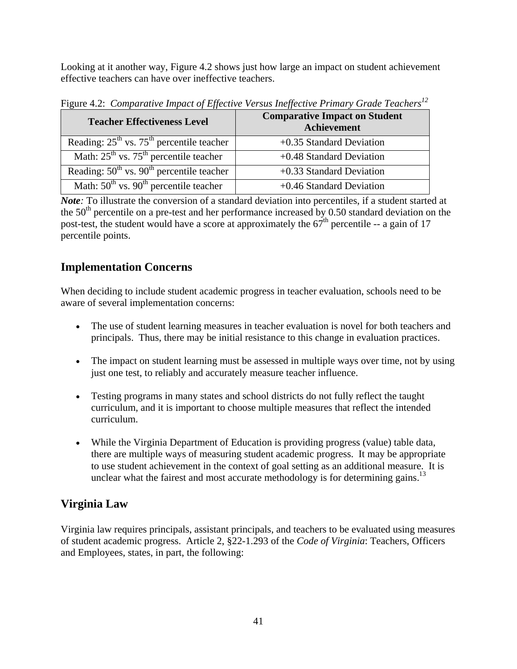Looking at it another way, Figure 4.2 shows just how large an impact on student achievement effective teachers can have over ineffective teachers.

| <b>Teacher Effectiveness Level</b>                                | <b>Comparative Impact on Student</b><br>Achievement |
|-------------------------------------------------------------------|-----------------------------------------------------|
| Reading: $25^{th}$ vs. $75^{th}$ percentile teacher               | +0.35 Standard Deviation                            |
| Math: $25^{\text{th}}$ vs. $75^{\text{th}}$ percentile teacher    | +0.48 Standard Deviation                            |
| Reading: $50^{\text{th}}$ vs. $90^{\text{th}}$ percentile teacher | +0.33 Standard Deviation                            |
| Math: $50^{\text{th}}$ vs. $90^{\text{th}}$ percentile teacher    | $+0.46$ Standard Deviation                          |

Figure 4.2: *Comparative Impact of Effective Versus Ineffective Primary Grade Teachers*<sup>12</sup>

*Note*: To illustrate the conversion of a standard deviation into percentiles, if a student started at the  $50<sup>th</sup>$  percentile on a pre-test and her performance increased by 0.50 standard deviation on the post-test, the student would have a score at approximately the  $67<sup>th</sup>$  percentile -- a gain of 17 percentile points.

### **Implementation Concerns**

When deciding to include student academic progress in teacher evaluation, schools need to be aware of several implementation concerns:

- The use of student learning measures in teacher evaluation is novel for both teachers and principals. Thus, there may be initial resistance to this change in evaluation practices.
- The impact on student learning must be assessed in multiple ways over time, not by using just one test, to reliably and accurately measure teacher influence.
- Testing programs in many states and school districts do not fully reflect the taught curriculum, and it is important to choose multiple measures that reflect the intended curriculum.
- While the Virginia Department of Education is providing progress (value) table data, there are multiple ways of measuring student academic progress. It may be appropriate to use student achievement in the context of goal setting as an additional measure. It is unclear what the fairest and most accurate methodology is for determining gains.<sup>13</sup>

## **Virginia Law**

Virginia law requires principals, assistant principals, and teachers to be evaluated using measures of student academic progress. Article 2, §22-1.293 of the *Code of Virginia*: Teachers, Officers and Employees, states, in part, the following: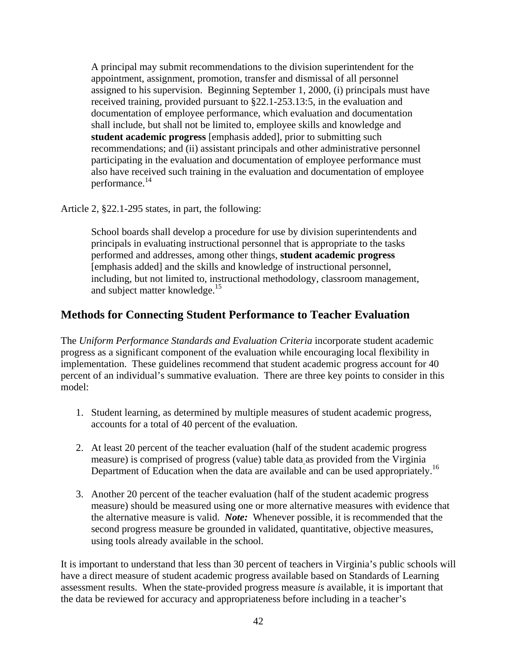A principal may submit recommendations to the division superintendent for the appointment, assignment, promotion, transfer and dismissal of all personnel assigned to his supervision. Beginning September 1, 2000, (i) principals must have received training, provided pursuant to §22.1-253.13:5, in the evaluation and documentation of employee performance, which evaluation and documentation shall include, but shall not be limited to, employee skills and knowledge and **student academic progress** [emphasis added], prior to submitting such recommendations; and (ii) assistant principals and other administrative personnel participating in the evaluation and documentation of employee performance must also have received such training in the evaluation and documentation of employee performance.14

Article 2, §22.1-295 states, in part, the following:

School boards shall develop a procedure for use by division superintendents and principals in evaluating instructional personnel that is appropriate to the tasks performed and addresses, among other things, **student academic progress** [emphasis added] and the skills and knowledge of instructional personnel, including, but not limited to, instructional methodology, classroom management, and subject matter knowledge.<sup>15</sup>

### **Methods for Connecting Student Performance to Teacher Evaluation**

The *Uniform Performance Standards and Evaluation Criteria* incorporate student academic progress as a significant component of the evaluation while encouraging local flexibility in implementation. These guidelines recommend that student academic progress account for 40 percent of an individual's summative evaluation. There are three key points to consider in this model:

- 1. Student learning, as determined by multiple measures of student academic progress, accounts for a total of 40 percent of the evaluation.
- 2. At least 20 percent of the teacher evaluation (half of the student academic progress measure) is comprised of progress (value) table data as provided from the Virginia Department of Education when the data are available and can be used appropriately.<sup>16</sup>
- 3. Another 20 percent of the teacher evaluation (half of the student academic progress measure) should be measured using one or more alternative measures with evidence that the alternative measure is valid. *Note:* Whenever possible, it is recommended that the second progress measure be grounded in validated, quantitative, objective measures, using tools already available in the school.

It is important to understand that less than 30 percent of teachers in Virginia's public schools will have a direct measure of student academic progress available based on Standards of Learning assessment results. When the state-provided progress measure *is* available, it is important that the data be reviewed for accuracy and appropriateness before including in a teacher's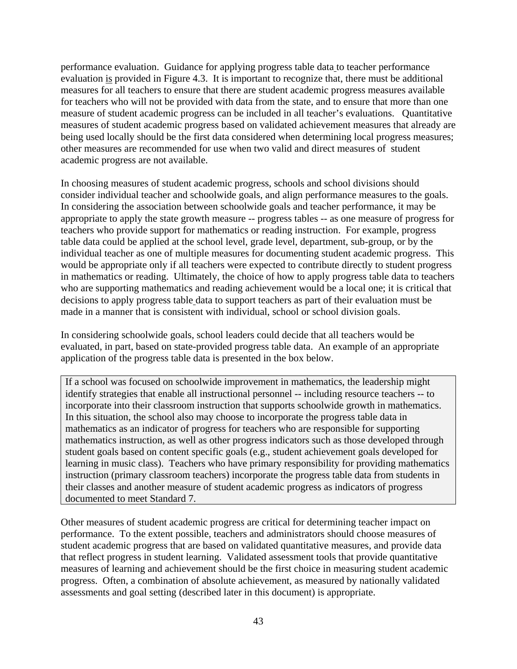performance evaluation. Guidance for applying progress table data to teacher performance evaluation is provided in Figure 4.3. It is important to recognize that, there must be additional measures for all teachers to ensure that there are student academic progress measures available for teachers who will not be provided with data from the state, and to ensure that more than one measure of student academic progress can be included in all teacher's evaluations. Quantitative measures of student academic progress based on validated achievement measures that already are being used locally should be the first data considered when determining local progress measures; other measures are recommended for use when two valid and direct measures of student academic progress are not available.

In choosing measures of student academic progress, schools and school divisions should consider individual teacher and schoolwide goals, and align performance measures to the goals. In considering the association between schoolwide goals and teacher performance, it may be appropriate to apply the state growth measure -- progress tables -- as one measure of progress for teachers who provide support for mathematics or reading instruction. For example, progress table data could be applied at the school level, grade level, department, sub-group, or by the individual teacher as one of multiple measures for documenting student academic progress. This would be appropriate only if all teachers were expected to contribute directly to student progress in mathematics or reading. Ultimately, the choice of how to apply progress table data to teachers who are supporting mathematics and reading achievement would be a local one; it is critical that decisions to apply progress table data to support teachers as part of their evaluation must be made in a manner that is consistent with individual, school or school division goals.

In considering schoolwide goals, school leaders could decide that all teachers would be evaluated, in part, based on state-provided progress table data. An example of an appropriate application of the progress table data is presented in the box below.

If a school was focused on schoolwide improvement in mathematics, the leadership might identify strategies that enable all instructional personnel -- including resource teachers -- to incorporate into their classroom instruction that supports schoolwide growth in mathematics. In this situation, the school also may choose to incorporate the progress table data in mathematics as an indicator of progress for teachers who are responsible for supporting mathematics instruction, as well as other progress indicators such as those developed through student goals based on content specific goals (e.g., student achievement goals developed for learning in music class). Teachers who have primary responsibility for providing mathematics instruction (primary classroom teachers) incorporate the progress table data from students in their classes and another measure of student academic progress as indicators of progress documented to meet Standard 7.

Other measures of student academic progress are critical for determining teacher impact on performance. To the extent possible, teachers and administrators should choose measures of student academic progress that are based on validated quantitative measures, and provide data that reflect progress in student learning. Validated assessment tools that provide quantitative measures of learning and achievement should be the first choice in measuring student academic progress. Often, a combination of absolute achievement, as measured by nationally validated assessments and goal setting (described later in this document) is appropriate.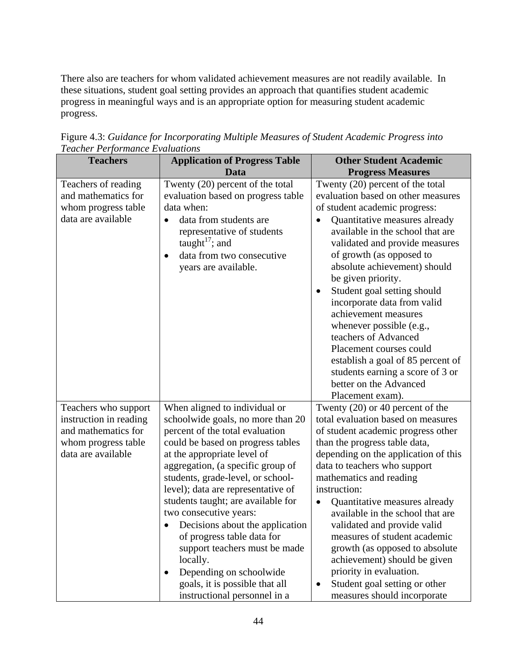There also are teachers for whom validated achievement measures are not readily available. In these situations, student goal setting provides an approach that quantifies student academic progress in meaningful ways and is an appropriate option for measuring student academic progress.

| <b>Teachers</b>                                                                                                    | <b>Application of Progress Table</b>                                                                                                                                                                                                                                                                                                                                                                                                                                                                                                                                                           | <b>Other Student Academic</b>                                                                                                                                                                                                                                                                                                                                                                                                                                                                                                                                                                |
|--------------------------------------------------------------------------------------------------------------------|------------------------------------------------------------------------------------------------------------------------------------------------------------------------------------------------------------------------------------------------------------------------------------------------------------------------------------------------------------------------------------------------------------------------------------------------------------------------------------------------------------------------------------------------------------------------------------------------|----------------------------------------------------------------------------------------------------------------------------------------------------------------------------------------------------------------------------------------------------------------------------------------------------------------------------------------------------------------------------------------------------------------------------------------------------------------------------------------------------------------------------------------------------------------------------------------------|
|                                                                                                                    | Data                                                                                                                                                                                                                                                                                                                                                                                                                                                                                                                                                                                           | <b>Progress Measures</b>                                                                                                                                                                                                                                                                                                                                                                                                                                                                                                                                                                     |
| Teachers of reading<br>and mathematics for<br>whom progress table<br>data are available                            | Twenty (20) percent of the total<br>evaluation based on progress table<br>data when:<br>data from students are<br>representative of students<br>taught $^{17}$ ; and<br>data from two consecutive<br>years are available.                                                                                                                                                                                                                                                                                                                                                                      | Twenty (20) percent of the total<br>evaluation based on other measures<br>of student academic progress:<br>Quantitative measures already<br>available in the school that are<br>validated and provide measures<br>of growth (as opposed to<br>absolute achievement) should<br>be given priority.<br>Student goal setting should<br>incorporate data from valid<br>achievement measures<br>whenever possible (e.g.,<br>teachers of Advanced<br>Placement courses could<br>establish a goal of 85 percent of<br>students earning a score of 3 or<br>better on the Advanced<br>Placement exam). |
| Teachers who support<br>instruction in reading<br>and mathematics for<br>whom progress table<br>data are available | When aligned to individual or<br>schoolwide goals, no more than 20<br>percent of the total evaluation<br>could be based on progress tables<br>at the appropriate level of<br>aggregation, (a specific group of<br>students, grade-level, or school-<br>level); data are representative of<br>students taught; are available for<br>two consecutive years:<br>Decisions about the application<br>$\bullet$<br>of progress table data for<br>support teachers must be made<br>locally.<br>Depending on schoolwide<br>$\bullet$<br>goals, it is possible that all<br>instructional personnel in a | Twenty $(20)$ or 40 percent of the<br>total evaluation based on measures<br>of student academic progress other<br>than the progress table data,<br>depending on the application of this<br>data to teachers who support<br>mathematics and reading<br>instruction:<br>Quantitative measures already<br>$\bullet$<br>available in the school that are<br>validated and provide valid<br>measures of student academic<br>growth (as opposed to absolute<br>achievement) should be given<br>priority in evaluation.<br>Student goal setting or other<br>measures should incorporate             |

Figure 4.3: *Guidance for Incorporating Multiple Measures of Student Academic Progress into Teacher Performance Evaluations*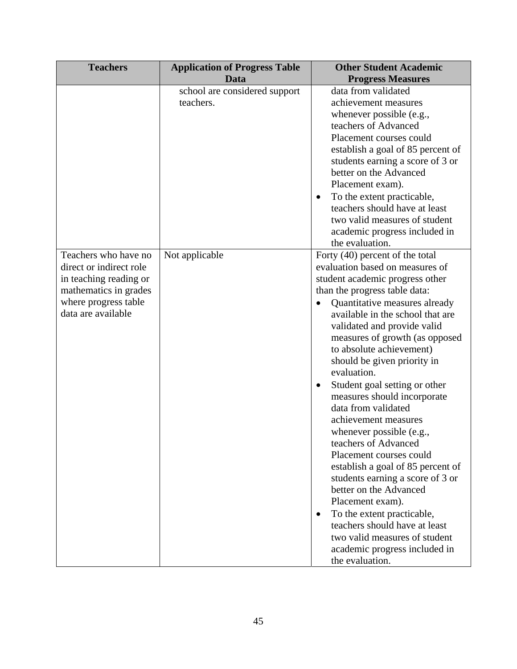| <b>Teachers</b>                                                                                                                                  | <b>Application of Progress Table</b>       | <b>Other Student Academic</b>                                                                                                                                                                                                                                                                                                                                                                                                                                                                                                                                                                                                                                                                                                                                                                                                                     |
|--------------------------------------------------------------------------------------------------------------------------------------------------|--------------------------------------------|---------------------------------------------------------------------------------------------------------------------------------------------------------------------------------------------------------------------------------------------------------------------------------------------------------------------------------------------------------------------------------------------------------------------------------------------------------------------------------------------------------------------------------------------------------------------------------------------------------------------------------------------------------------------------------------------------------------------------------------------------------------------------------------------------------------------------------------------------|
|                                                                                                                                                  | Data                                       | <b>Progress Measures</b>                                                                                                                                                                                                                                                                                                                                                                                                                                                                                                                                                                                                                                                                                                                                                                                                                          |
|                                                                                                                                                  | school are considered support<br>teachers. | data from validated<br>achievement measures<br>whenever possible (e.g.,<br>teachers of Advanced<br>Placement courses could<br>establish a goal of 85 percent of<br>students earning a score of 3 or<br>better on the Advanced<br>Placement exam).<br>To the extent practicable,<br>$\bullet$<br>teachers should have at least<br>two valid measures of student<br>academic progress included in<br>the evaluation.                                                                                                                                                                                                                                                                                                                                                                                                                                |
| Teachers who have no<br>direct or indirect role<br>in teaching reading or<br>mathematics in grades<br>where progress table<br>data are available | Not applicable                             | Forty (40) percent of the total<br>evaluation based on measures of<br>student academic progress other<br>than the progress table data:<br>Quantitative measures already<br>available in the school that are<br>validated and provide valid<br>measures of growth (as opposed<br>to absolute achievement)<br>should be given priority in<br>evaluation.<br>Student goal setting or other<br>٠<br>measures should incorporate<br>data from validated<br>achievement measures<br>whenever possible (e.g.,<br>teachers of Advanced<br>Placement courses could<br>establish a goal of 85 percent of<br>students earning a score of 3 or<br>better on the Advanced<br>Placement exam).<br>To the extent practicable,<br>$\bullet$<br>teachers should have at least<br>two valid measures of student<br>academic progress included in<br>the evaluation. |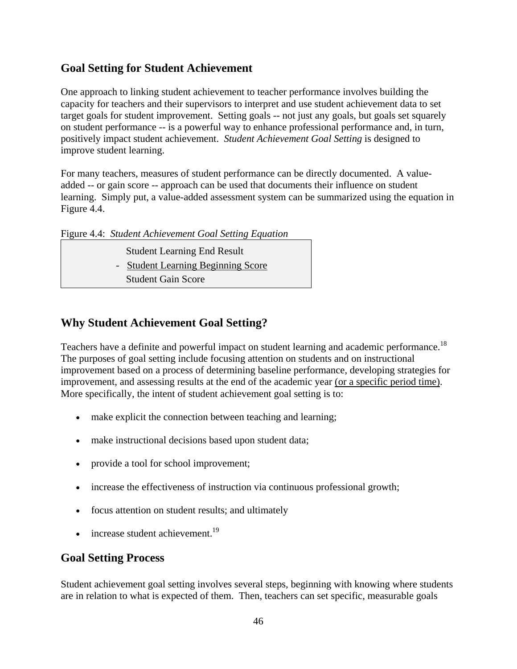### **Goal Setting for Student Achievement**

One approach to linking student achievement to teacher performance involves building the capacity for teachers and their supervisors to interpret and use student achievement data to set target goals for student improvement. Setting goals -- not just any goals, but goals set squarely on student performance -- is a powerful way to enhance professional performance and, in turn, positively impact student achievement. *Student Achievement Goal Setting* is designed to improve student learning.

For many teachers, measures of student performance can be directly documented. A valueadded -- or gain score -- approach can be used that documents their influence on student learning. Simply put, a value-added assessment system can be summarized using the equation in Figure 4.4.

|  | Figure 4.4: Student Achievement Goal Setting Equation |
|--|-------------------------------------------------------|
|  |                                                       |

- Student Learning End Result
- Student Learning Beginning Score

Student Gain Score

## **Why Student Achievement Goal Setting?**

Teachers have a definite and powerful impact on student learning and academic performance.<sup>18</sup> The purposes of goal setting include focusing attention on students and on instructional improvement based on a process of determining baseline performance, developing strategies for improvement, and assessing results at the end of the academic year (or a specific period time). More specifically, the intent of student achievement goal setting is to:

- make explicit the connection between teaching and learning;
- make instructional decisions based upon student data;
- provide a tool for school improvement;
- increase the effectiveness of instruction via continuous professional growth;
- focus attention on student results; and ultimately
- $\bullet$  increase student achievement.<sup>19</sup>

### **Goal Setting Process**

Student achievement goal setting involves several steps, beginning with knowing where students are in relation to what is expected of them. Then, teachers can set specific, measurable goals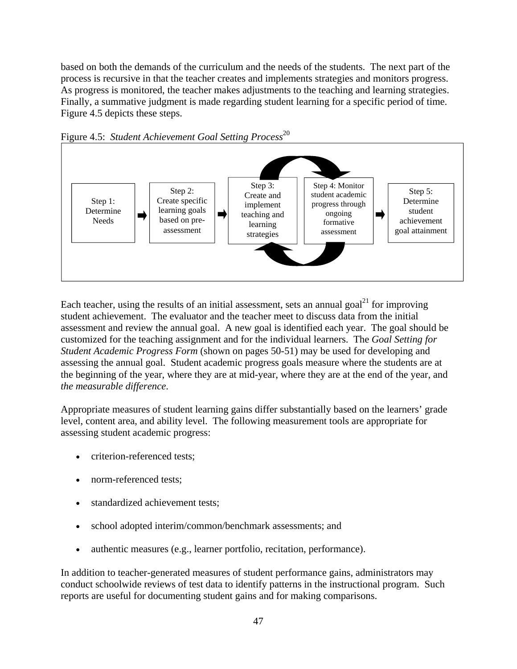based on both the demands of the curriculum and the needs of the students. The next part of the process is recursive in that the teacher creates and implements strategies and monitors progress. As progress is monitored, the teacher makes adjustments to the teaching and learning strategies. Finally, a summative judgment is made regarding student learning for a specific period of time. Figure 4.5 depicts these steps.





Each teacher, using the results of an initial assessment, sets an annual goal<sup>21</sup> for improving student achievement. The evaluator and the teacher meet to discuss data from the initial assessment and review the annual goal. A new goal is identified each year. The goal should be customized for the teaching assignment and for the individual learners. The *Goal Setting for Student Academic Progress Form* (shown on pages 50-51) may be used for developing and assessing the annual goal. Student academic progress goals measure where the students are at the beginning of the year, where they are at mid-year, where they are at the end of the year, and *the measurable difference*.

Appropriate measures of student learning gains differ substantially based on the learners' grade level, content area, and ability level. The following measurement tools are appropriate for assessing student academic progress:

- criterion-referenced tests;
- norm-referenced tests:
- standardized achievement tests;
- school adopted interim/common/benchmark assessments; and
- authentic measures (e.g., learner portfolio, recitation, performance).

In addition to teacher-generated measures of student performance gains, administrators may conduct schoolwide reviews of test data to identify patterns in the instructional program. Such reports are useful for documenting student gains and for making comparisons.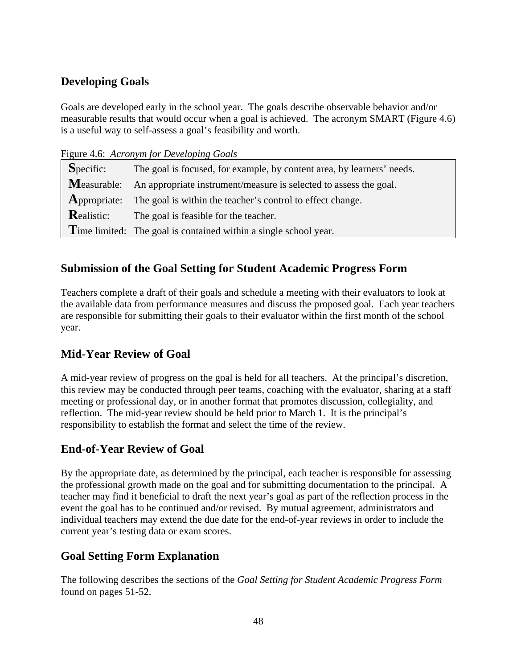## **Developing Goals**

Goals are developed early in the school year. The goals describe observable behavior and/or measurable results that would occur when a goal is achieved. The acronym SMART (Figure 4.6) is a useful way to self-assess a goal's feasibility and worth.

Figure 4.6: *Acronym for Developing Goals* 

| S <sub>pecific</sub> : | The goal is focused, for example, by content area, by learners' needs.               |
|------------------------|--------------------------------------------------------------------------------------|
|                        | <b>Measurable:</b> An appropriate instrument/measure is selected to assess the goal. |
|                        | <b>Appropriate:</b> The goal is within the teacher's control to effect change.       |
| <b>Realistic:</b>      | The goal is feasible for the teacher.                                                |
|                        | Time limited: The goal is contained within a single school year.                     |

# **Submission of the Goal Setting for Student Academic Progress Form**

Teachers complete a draft of their goals and schedule a meeting with their evaluators to look at the available data from performance measures and discuss the proposed goal. Each year teachers are responsible for submitting their goals to their evaluator within the first month of the school year.

## **Mid-Year Review of Goal**

A mid-year review of progress on the goal is held for all teachers. At the principal's discretion, this review may be conducted through peer teams, coaching with the evaluator, sharing at a staff meeting or professional day, or in another format that promotes discussion, collegiality, and reflection. The mid-year review should be held prior to March 1. It is the principal's responsibility to establish the format and select the time of the review.

## **End-of-Year Review of Goal**

By the appropriate date, as determined by the principal, each teacher is responsible for assessing the professional growth made on the goal and for submitting documentation to the principal. A teacher may find it beneficial to draft the next year's goal as part of the reflection process in the event the goal has to be continued and/or revised. By mutual agreement, administrators and individual teachers may extend the due date for the end-of-year reviews in order to include the current year's testing data or exam scores.

# **Goal Setting Form Explanation**

The following describes the sections of the *Goal Setting for Student Academic Progress Form* found on pages 51-52.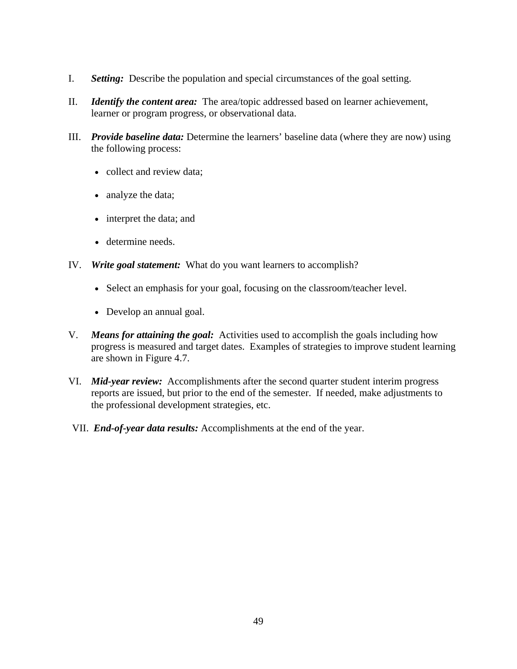- I. *Setting:* Describe the population and special circumstances of the goal setting.
- II. *Identify the content area:* The area/topic addressed based on learner achievement, learner or program progress, or observational data.
- III. *Provide baseline data:* Determine the learners' baseline data (where they are now) using the following process:
	- collect and review data;
	- analyze the data;
	- interpret the data; and
	- determine needs.
- IV. *Write goal statement:* What do you want learners to accomplish?
	- Select an emphasis for your goal, focusing on the classroom/teacher level.
	- Develop an annual goal.
- V. *Means for attaining the goal:* Activities used to accomplish the goals including how progress is measured and target dates. Examples of strategies to improve student learning are shown in Figure 4.7.
- VI. *Mid-year review:* Accomplishments after the second quarter student interim progress reports are issued, but prior to the end of the semester. If needed, make adjustments to the professional development strategies, etc.
- VII. *End-of-year data results:* Accomplishments at the end of the year.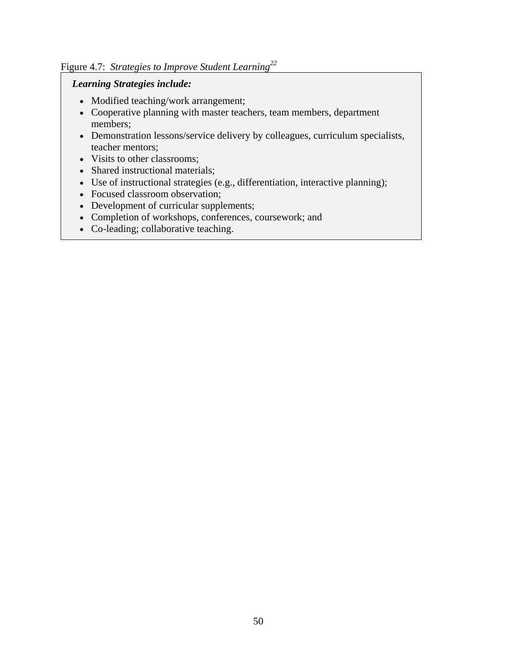Figure 4.7: *Strategies to Improve Student Learning22*

#### *Learning Strategies include:*

- Modified teaching/work arrangement;
- Cooperative planning with master teachers, team members, department members;
- Demonstration lessons/service delivery by colleagues, curriculum specialists, teacher mentors;
- Visits to other classrooms:
- Shared instructional materials;
- Use of instructional strategies (e.g., differentiation, interactive planning);
- Focused classroom observation;
- Development of curricular supplements;
- Completion of workshops, conferences, coursework; and
- Co-leading; collaborative teaching.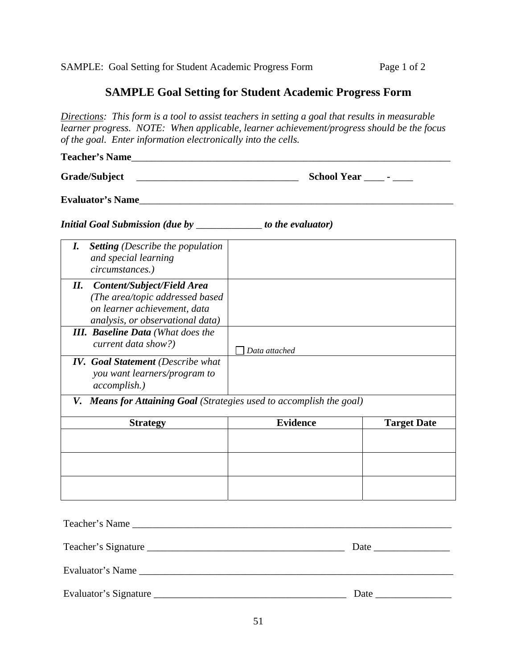### **SAMPLE Goal Setting for Student Academic Progress Form**

*Directions: This form is a tool to assist teachers in setting a goal that results in measurable learner progress. NOTE: When applicable, learner achievement/progress should be the focus of the goal. Enter information electronically into the cells.* 

| <b>Teacher's Name</b> |  |  |
|-----------------------|--|--|
|                       |  |  |

**Grade/Subject** \_\_\_\_\_\_\_\_\_\_\_\_\_\_\_\_\_\_\_\_\_\_\_\_\_\_\_\_\_\_\_\_ **School Year** \_\_\_\_ **-** \_\_\_\_

**Evaluator's Name** 

*Initial Goal Submission (due by \_\_\_\_\_\_\_\_\_\_\_\_\_ to the evaluator)* 

| <b>Setting</b> (Describe the population<br>I.<br>and special learning<br>circumstances.)                                                        |                 |                                                                                                                                                                                                                               |
|-------------------------------------------------------------------------------------------------------------------------------------------------|-----------------|-------------------------------------------------------------------------------------------------------------------------------------------------------------------------------------------------------------------------------|
| <b>Content/Subject/Field Area</b><br>II.<br>(The area/topic addressed based<br>on learner achievement, data<br>analysis, or observational data) |                 |                                                                                                                                                                                                                               |
| <b>III.</b> Baseline Data (What does the<br>current data show?)                                                                                 | Data attached   |                                                                                                                                                                                                                               |
| <b>IV.</b> Goal Statement (Describe what<br>you want learners/program to<br>accomplish.)                                                        |                 |                                                                                                                                                                                                                               |
| V. Means for Attaining Goal (Strategies used to accomplish the goal)                                                                            |                 |                                                                                                                                                                                                                               |
| <b>Strategy</b>                                                                                                                                 | <b>Evidence</b> | <b>Target Date</b>                                                                                                                                                                                                            |
|                                                                                                                                                 |                 |                                                                                                                                                                                                                               |
|                                                                                                                                                 |                 |                                                                                                                                                                                                                               |
|                                                                                                                                                 |                 |                                                                                                                                                                                                                               |
| Teacher's Name                                                                                                                                  |                 |                                                                                                                                                                                                                               |
|                                                                                                                                                 |                 | Date and the same state of the state of the state of the state of the state of the state of the state of the state of the state of the state of the state of the state of the state of the state of the state of the state of |
|                                                                                                                                                 |                 |                                                                                                                                                                                                                               |
| Evaluator's Signature                                                                                                                           |                 | Date                                                                                                                                                                                                                          |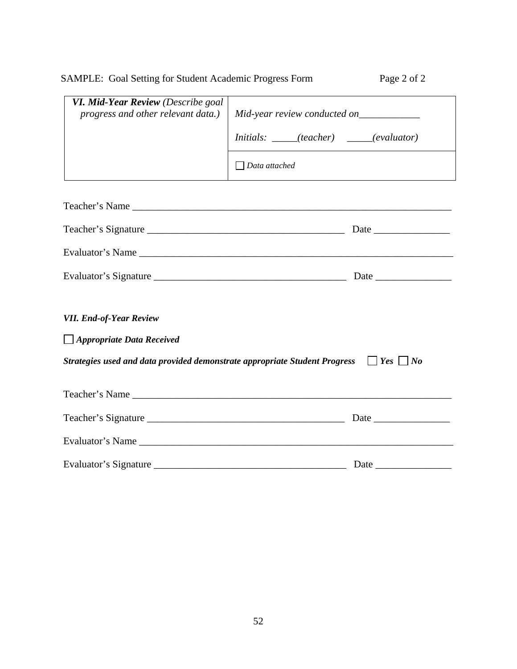SAMPLE: Goal Setting for Student Academic Progress Form Page 2 of 2

| VI. Mid-Year Review (Describe goal<br>progress and other relevant data.)   | Mid-year review conducted on_____________ |
|----------------------------------------------------------------------------|-------------------------------------------|
|                                                                            | Initials: ____(teacher) ____(evaluator)   |
|                                                                            | $\Box$ Data attached                      |
|                                                                            | Teacher's Name                            |
|                                                                            |                                           |
|                                                                            | Evaluator's Name                          |
|                                                                            |                                           |
| <b>VII. End-of-Year Review</b>                                             |                                           |
| $\Box$ Appropriate Data Received                                           |                                           |
| Strategies used and data provided demonstrate appropriate Student Progress | $ $   Yes     No                          |
|                                                                            | Teacher's Name                            |
|                                                                            |                                           |
|                                                                            |                                           |
|                                                                            |                                           |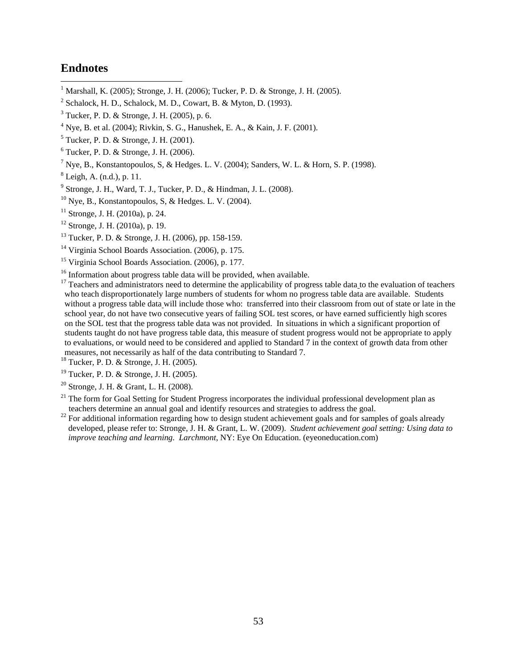### **Endnotes**

- 1 Marshall, K. (2005); Stronge, J. H. (2006); Tucker, P. D. & Stronge, J. H. (2005).
- $2^2$  Schalock, H. D., Schalock, M. D., Cowart, B. & Myton, D. (1993).
- 3 Tucker, P. D. & Stronge, J. H. (2005), p. 6.
- <sup>4</sup> Nye, B. et al. (2004); Rivkin, S. G., Hanushek, E. A., & Kain, J. F. (2001).
- $5$  Tucker, P. D. & Stronge, J. H. (2001).
- 6 Tucker, P. D. & Stronge, J. H. (2006).
- <sup>7</sup> Nye, B., Konstantopoulos, S, & Hedges. L. V. (2004); Sanders, W. L. & Horn, S. P. (1998). <sup>8</sup> Leigh A. (n d.), p. 11
- ${}^{8}$  Leigh, A. (n.d.), p. 11.
- <sup>9</sup> Stronge, J. H., Ward, T. J., Tucker, P. D., & Hindman, J. L. (2008).
- $10$  Nye, B., Konstantopoulos, S, & Hedges. L. V. (2004).
- $11$  Stronge, J. H. (2010a), p. 24.
- 12 Stronge, J. H. (2010a), p. 19.
- 13 Tucker, P. D. & Stronge, J. H. (2006), pp. 158-159.
- <sup>14</sup> Virginia School Boards Association. (2006), p. 175.
- <sup>15</sup> Virginia School Boards Association. (2006), p. 177.
- <sup>16</sup> Information about progress table data will be provided, when available.
- $17$  Teachers and administrators need to determine the applicability of progress table data to the evaluation of teachers who teach disproportionately large numbers of students for whom no progress table data are available. Students without a progress table data will include those who: transferred into their classroom from out of state or late in the school year, do not have two consecutive years of failing SOL test scores, or have earned sufficiently high scores on the SOL test that the progress table data was not provided. In situations in which a significant proportion of students taught do not have progress table data, this measure of student progress would not be appropriate to apply to evaluations, or would need to be considered and applied to Standard 7 in the context of growth data from other measures, not necessarily as half of the data contributing to Standard 7.
- 18 Tucker, P. D. & Stronge, J. H. (2005).
- 19 Tucker, P. D. & Stronge, J. H. (2005).
- 20 Stronge, J. H. & Grant, L. H. (2008).
- <sup>21</sup> The form for Goal Setting for Student Progress incorporates the individual professional development plan as teachers determine an annual goal and identify resources and strategies to address the goal.
- <sup>22</sup> For additional information regarding how to design student achievement goals and for samples of goals already developed, please refer to: Stronge, J. H. & Grant, L. W. (2009). *Student achievement goal setting: Using data to improve teaching and learning. Larchmont*, NY: Eye On Education. (eyeoneducation.com)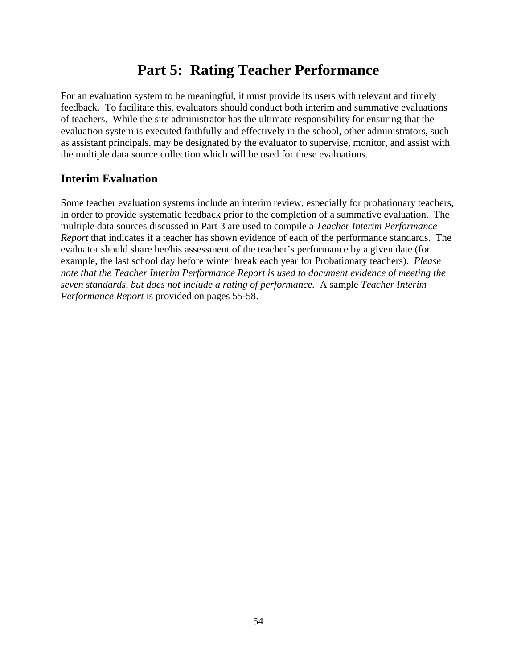# **Part 5: Rating Teacher Performance**

For an evaluation system to be meaningful, it must provide its users with relevant and timely feedback. To facilitate this, evaluators should conduct both interim and summative evaluations of teachers. While the site administrator has the ultimate responsibility for ensuring that the evaluation system is executed faithfully and effectively in the school, other administrators, such as assistant principals, may be designated by the evaluator to supervise, monitor, and assist with the multiple data source collection which will be used for these evaluations.

### **Interim Evaluation**

Some teacher evaluation systems include an interim review, especially for probationary teachers, in order to provide systematic feedback prior to the completion of a summative evaluation. The multiple data sources discussed in Part 3 are used to compile a *Teacher Interim Performance Report* that indicates if a teacher has shown evidence of each of the performance standards. The evaluator should share her/his assessment of the teacher's performance by a given date (for example, the last school day before winter break each year for Probationary teachers). *Please note that the Teacher Interim Performance Report is used to document evidence of meeting the seven standards, but does not include a rating of performance.* A sample *Teacher Interim Performance Report* is provided on pages 55-58.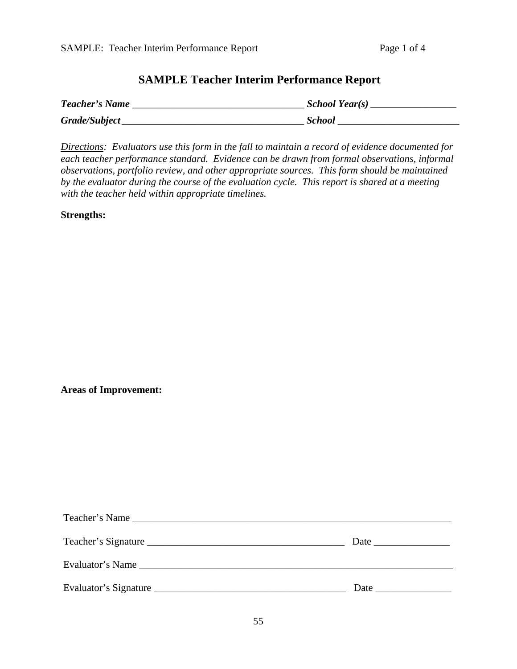### **SAMPLE Teacher Interim Performance Report**

| <b>Teacher's Name</b> | School Year(s) |
|-----------------------|----------------|
| Grade/Subject         | <b>School</b>  |

*Directions: Evaluators use this form in the fall to maintain a record of evidence documented for each teacher performance standard. Evidence can be drawn from formal observations, informal observations, portfolio review, and other appropriate sources. This form should be maintained by the evaluator during the course of the evaluation cycle. This report is shared at a meeting with the teacher held within appropriate timelines.* 

**Strengths:** 

#### **Areas of Improvement:**

| Teacher's Name        |      |
|-----------------------|------|
| Teacher's Signature   |      |
| Evaluator's Name      |      |
| Evaluator's Signature | Date |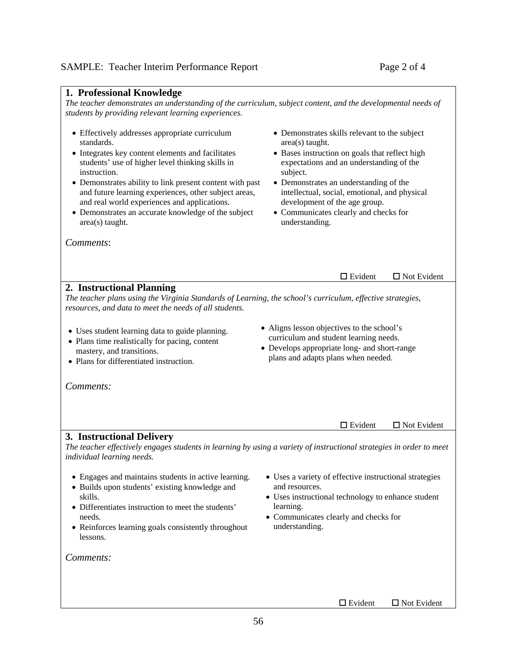#### **1. Professional Knowledge**

*The teacher demonstrates an understanding of the curriculum, subject content, and the developmental needs of students by providing relevant learning experiences.* 

- Effectively addresses appropriate curriculum standards.
- Integrates key content elements and facilitates students' use of higher level thinking skills in instruction.
- Demonstrates ability to link present content with past and future learning experiences, other subject areas, and real world experiences and applications.
- Demonstrates an accurate knowledge of the subject area(s) taught.
- Demonstrates skills relevant to the subject area(s) taught.
- Bases instruction on goals that reflect high expectations and an understanding of the subject.
- Demonstrates an understanding of the intellectual, social, emotional, and physical development of the age group.
- Communicates clearly and checks for understanding.

*Comments*:

#### **2. Instructional Planning**

*The teacher plans using the Virginia Standards of Learning, the school's curriculum, effective strategies, resources, and data to meet the needs of all students.* 

Uses student learning data to guide planning.

• Plans time realistically for pacing, content mastery, and transitions.

• Plans for differentiated instruction.

*Comments:* 

- Aligns lesson objectives to the school's curriculum and student learning needs.
- Develops appropriate long- and short-range plans and adapts plans when needed.

 $\Box$  Evident  $\Box$  Not Evident

 $\Box$  Evident  $\Box$  Not Evident

#### **3. Instructional Delivery**

*The teacher effectively engages students in learning by using a variety of instructional strategies in order to meet individual learning needs.* 

- Engages and maintains students in active learning.
- Builds upon students' existing knowledge and skills.
- Differentiates instruction to meet the students' needs.
- Reinforces learning goals consistently throughout lessons.
- Uses a variety of effective instructional strategies and resources. Uses instructional technology to enhance student
- learning.
- Communicates clearly and checks for understanding.

*Comments:* 

□ Evident □ Not Evident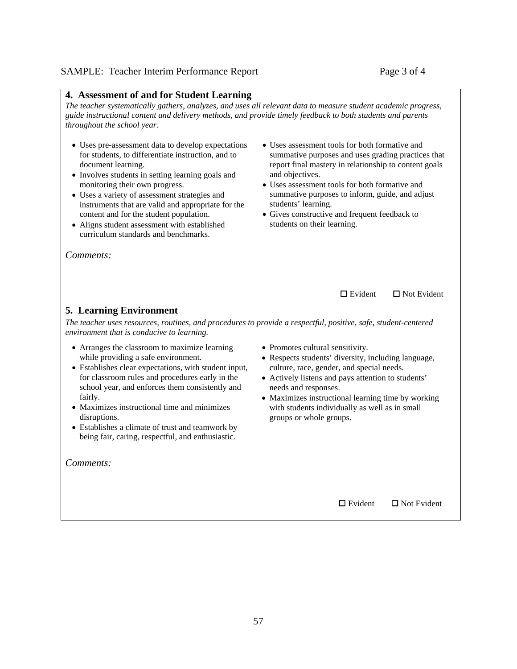#### SAMPLE: Teacher Interim Performance Report Page 3 of 4

#### **4. Assessment of and for Student Learning**

*The teacher systematically gathers, analyzes, and uses all relevant data to measure student academic progress, guide instructional content and delivery methods, and provide timely feedback to both students and parents throughout the school year.* 

- Uses pre-assessment data to develop expectations for students, to differentiate instruction, and to document learning.
- Involves students in setting learning goals and monitoring their own progress.
- Uses a variety of assessment strategies and instruments that are valid and appropriate for the content and for the student population.
- Aligns student assessment with established curriculum standards and benchmarks.
- Uses assessment tools for both formative and summative purposes and uses grading practices that report final mastery in relationship to content goals and objectives.
- Uses assessment tools for both formative and summative purposes to inform, guide, and adjust students' learning.
- Gives constructive and frequent feedback to students on their learning.

*Comments:* 

 $\Box$  Evident  $\Box$  Not Evident

#### **5. Learning Environment**

*The teacher uses resources, routines, and procedures to provide a respectful, positive, safe, student-centered environment that is conducive to learning.* 

- Arranges the classroom to maximize learning while providing a safe environment.
- Establishes clear expectations, with student input, for classroom rules and procedures early in the school year, and enforces them consistently and fairly.
- Maximizes instructional time and minimizes disruptions.
- Establishes a climate of trust and teamwork by being fair, caring, respectful, and enthusiastic.

*Comments:* 

- Promotes cultural sensitivity.
- Respects students' diversity, including language, culture, race, gender, and special needs.
- Actively listens and pays attention to students' needs and responses.
- Maximizes instructional learning time by working with students individually as well as in small groups or whole groups.

 $\Box$  Evident  $\Box$  Not Evident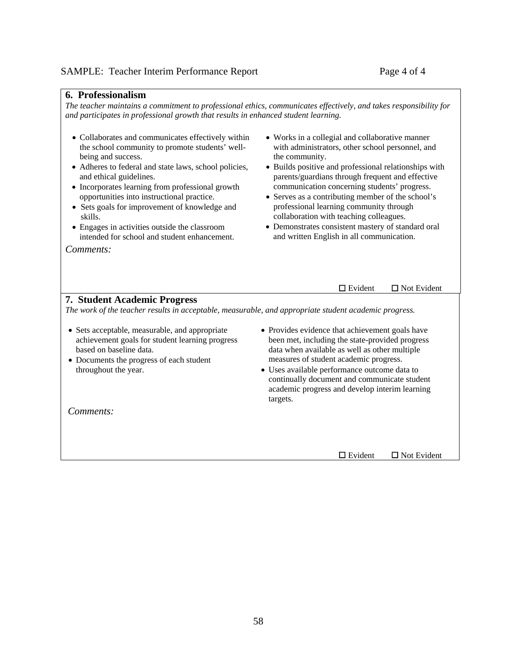#### **6. Professionalism**

*The teacher maintains a commitment to professional ethics, communicates effectively, and takes responsibility for and participates in professional growth that results in enhanced student learning.* 

- Collaborates and communicates effectively within the school community to promote students' wellbeing and success.
- Adheres to federal and state laws, school policies, and ethical guidelines.
- Incorporates learning from professional growth opportunities into instructional practice.
- Sets goals for improvement of knowledge and skills.
- Engages in activities outside the classroom intended for school and student enhancement.
- Works in a collegial and collaborative manner with administrators, other school personnel, and the community.
- Builds positive and professional relationships with parents/guardians through frequent and effective communication concerning students' progress.
- Serves as a contributing member of the school's professional learning community through collaboration with teaching colleagues.
- Demonstrates consistent mastery of standard oral and written English in all communication.

*Comments:* 

#### **7. Student Academic Progress**

*The work of the teacher results in acceptable, measurable, and appropriate student academic progress.* 

- Sets acceptable, measurable, and appropriate achievement goals for student learning progress based on baseline data.
- Documents the progress of each student throughout the year.
- Provides evidence that achievement goals have been met, including the state-provided progress data when available as well as other multiple measures of student academic progress.
- Uses available performance outcome data to continually document and communicate student academic progress and develop interim learning targets.

 *Comments:* 

□ Evident □ Not Evident

□ Evident □ Not Evident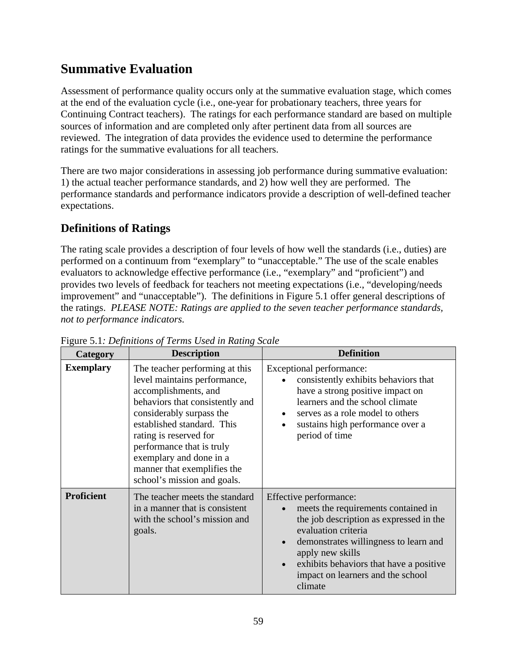# **Summative Evaluation**

Assessment of performance quality occurs only at the summative evaluation stage, which comes at the end of the evaluation cycle (i.e., one-year for probationary teachers, three years for Continuing Contract teachers). The ratings for each performance standard are based on multiple sources of information and are completed only after pertinent data from all sources are reviewed. The integration of data provides the evidence used to determine the performance ratings for the summative evaluations for all teachers.

There are two major considerations in assessing job performance during summative evaluation: 1) the actual teacher performance standards, and 2) how well they are performed. The performance standards and performance indicators provide a description of well-defined teacher expectations.

# **Definitions of Ratings**

The rating scale provides a description of four levels of how well the standards (i.e., duties) are performed on a continuum from "exemplary" to "unacceptable." The use of the scale enables evaluators to acknowledge effective performance (i.e., "exemplary" and "proficient") and provides two levels of feedback for teachers not meeting expectations (i.e., "developing/needs improvement" and "unacceptable"). The definitions in Figure 5.1 offer general descriptions of the ratings. *PLEASE NOTE: Ratings are applied to the seven teacher performance standards, not to performance indicators.*

| Category          | <b>Description</b>                                                                                                                                                                                                                                                                                                                  | <b>Definition</b>                                                                                                                                                                                                                                                                       |
|-------------------|-------------------------------------------------------------------------------------------------------------------------------------------------------------------------------------------------------------------------------------------------------------------------------------------------------------------------------------|-----------------------------------------------------------------------------------------------------------------------------------------------------------------------------------------------------------------------------------------------------------------------------------------|
| <b>Exemplary</b>  | The teacher performing at this<br>level maintains performance,<br>accomplishments, and<br>behaviors that consistently and<br>considerably surpass the<br>established standard. This<br>rating is reserved for<br>performance that is truly<br>exemplary and done in a<br>manner that exemplifies the<br>school's mission and goals. | Exceptional performance:<br>consistently exhibits behaviors that<br>have a strong positive impact on<br>learners and the school climate<br>serves as a role model to others<br>sustains high performance over a<br>period of time                                                       |
| <b>Proficient</b> | The teacher meets the standard<br>in a manner that is consistent<br>with the school's mission and<br>goals.                                                                                                                                                                                                                         | Effective performance:<br>meets the requirements contained in<br>the job description as expressed in the<br>evaluation criteria<br>demonstrates willingness to learn and<br>apply new skills<br>exhibits behaviors that have a positive<br>impact on learners and the school<br>climate |

Figure 5.1*: Definitions of Terms Used in Rating Scale*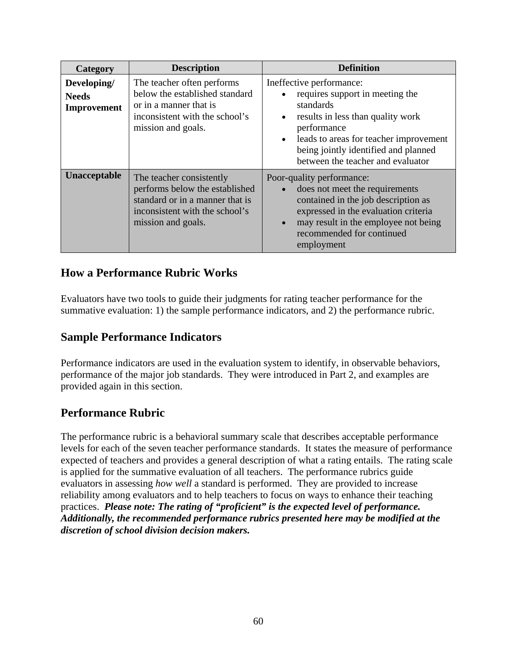| Category                                   | <b>Description</b>                                                                                                                                    | <b>Definition</b>                                                                                                                                                                                                                                                             |
|--------------------------------------------|-------------------------------------------------------------------------------------------------------------------------------------------------------|-------------------------------------------------------------------------------------------------------------------------------------------------------------------------------------------------------------------------------------------------------------------------------|
| Developing/<br><b>Needs</b><br>Improvement | The teacher often performs<br>below the established standard<br>or in a manner that is<br>inconsistent with the school's<br>mission and goals.        | Ineffective performance:<br>requires support in meeting the<br>standards<br>results in less than quality work<br>$\bullet$<br>performance<br>leads to areas for teacher improvement<br>$\bullet$<br>being jointly identified and planned<br>between the teacher and evaluator |
| Unacceptable                               | The teacher consistently<br>performs below the established<br>standard or in a manner that is<br>inconsistent with the school's<br>mission and goals. | Poor-quality performance:<br>does not meet the requirements<br>contained in the job description as<br>expressed in the evaluation criteria<br>may result in the employee not being<br>$\bullet$<br>recommended for continued<br>employment                                    |

### **How a Performance Rubric Works**

Evaluators have two tools to guide their judgments for rating teacher performance for the summative evaluation: 1) the sample performance indicators, and 2) the performance rubric.

### **Sample Performance Indicators**

Performance indicators are used in the evaluation system to identify, in observable behaviors, performance of the major job standards. They were introduced in Part 2, and examples are provided again in this section.

### **Performance Rubric**

The performance rubric is a behavioral summary scale that describes acceptable performance levels for each of the seven teacher performance standards. It states the measure of performance expected of teachers and provides a general description of what a rating entails. The rating scale is applied for the summative evaluation of all teachers. The performance rubrics guide evaluators in assessing *how well* a standard is performed. They are provided to increase reliability among evaluators and to help teachers to focus on ways to enhance their teaching practices. *Please note: The rating of "proficient" is the expected level of performance. Additionally, the recommended performance rubrics presented here may be modified at the discretion of school division decision makers.*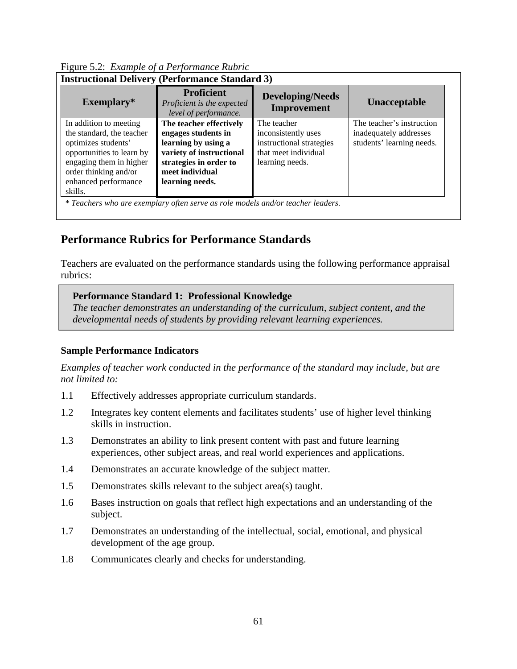| <b>Instructional Delivery (Performance Standard 3)</b>                                                                                                                                         |                                                                                                                                                                   |                                                                                                           |                                                                                  |
|------------------------------------------------------------------------------------------------------------------------------------------------------------------------------------------------|-------------------------------------------------------------------------------------------------------------------------------------------------------------------|-----------------------------------------------------------------------------------------------------------|----------------------------------------------------------------------------------|
| Exemplary*                                                                                                                                                                                     | <b>Proficient</b><br>Proficient is the expected<br>level of performance.                                                                                          | <b>Developing/Needs</b><br>Improvement                                                                    | <b>Unacceptable</b>                                                              |
| In addition to meeting<br>the standard, the teacher<br>optimizes students'<br>opportunities to learn by<br>engaging them in higher<br>order thinking and/or<br>enhanced performance<br>skills. | The teacher effectively<br>engages students in<br>learning by using a<br>variety of instructional<br>strategies in order to<br>meet individual<br>learning needs. | The teacher<br>inconsistently uses<br>instructional strategies<br>that meet individual<br>learning needs. | The teacher's instruction<br>inadequately addresses<br>students' learning needs. |

| Figure 5.2: Example of a Performance Rubric |  |
|---------------------------------------------|--|
|---------------------------------------------|--|

 *\* Teachers who are exemplary often serve as role models and/or teacher leaders.* 

### **Performance Rubrics for Performance Standards**

Teachers are evaluated on the performance standards using the following performance appraisal rubrics:

#### **Performance Standard 1: Professional Knowledge**

*The teacher demonstrates an understanding of the curriculum, subject content, and the developmental needs of students by providing relevant learning experiences.*

#### **Sample Performance Indicators**

*Examples of teacher work conducted in the performance of the standard may include, but are not limited to:*

- 1.1 Effectively addresses appropriate curriculum standards.
- 1.2 Integrates key content elements and facilitates students' use of higher level thinking skills in instruction.
- 1.3 Demonstrates an ability to link present content with past and future learning experiences, other subject areas, and real world experiences and applications.
- 1.4 Demonstrates an accurate knowledge of the subject matter.
- 1.5 Demonstrates skills relevant to the subject area(s) taught.
- 1.6 Bases instruction on goals that reflect high expectations and an understanding of the subject.
- 1.7 Demonstrates an understanding of the intellectual, social, emotional, and physical development of the age group.
- 1.8 Communicates clearly and checks for understanding.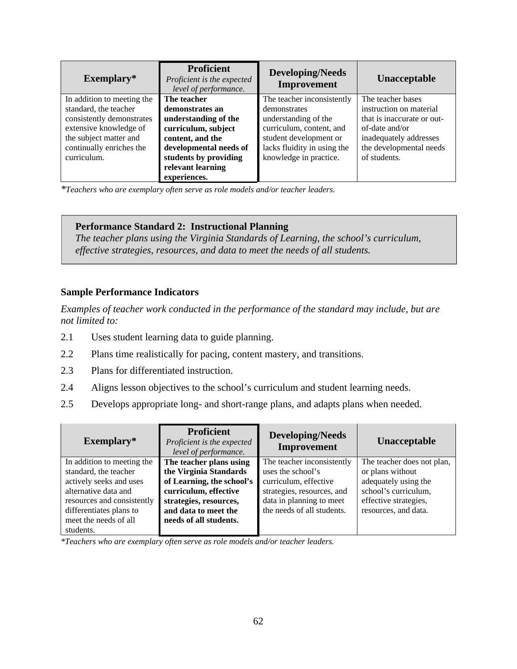| Exemplary*                 | <b>Proficient</b><br>Proficient is the expected<br>level of performance. | <b>Developing/Needs</b><br>Improvement | Unacceptable               |
|----------------------------|--------------------------------------------------------------------------|----------------------------------------|----------------------------|
| In addition to meeting the | The teacher                                                              | The teacher inconsistently             | The teacher bases          |
| standard, the teacher      | demonstrates an                                                          | demonstrates                           | instruction on material    |
| consistently demonstrates  | understanding of the                                                     | understanding of the                   | that is inaccurate or out- |
| extensive knowledge of     | curriculum, subject                                                      | curriculum, content, and               | of-date and/or             |
| the subject matter and     | content, and the                                                         | student development or                 | inadequately addresses     |
| continually enriches the   | developmental needs of                                                   | lacks fluidity in using the            | the developmental needs    |
| curriculum.                | students by providing                                                    | knowledge in practice.                 | of students.               |
|                            | relevant learning                                                        |                                        |                            |
|                            | experiences.                                                             |                                        |                            |

*\*Teachers who are exemplary often serve as role models and/or teacher leaders.* 

#### **Performance Standard 2: Instructional Planning**

*The teacher plans using the Virginia Standards of Learning, the school's curriculum, effective strategies, resources, and data to meet the needs of all students.* 

#### **Sample Performance Indicators**

*Examples of teacher work conducted in the performance of the standard may include, but are not limited to:*

- 2.1 Uses student learning data to guide planning.
- 2.2 Plans time realistically for pacing, content mastery, and transitions.
- 2.3 Plans for differentiated instruction.
- 2.4 Aligns lesson objectives to the school's curriculum and student learning needs.
- 2.5 Develops appropriate long- and short-range plans, and adapts plans when needed.

| Exemplary*                 | <b>Proficient</b><br>Proficient is the expected<br>level of performance. | <b>Developing/Needs</b><br>Improvement | Unacceptable               |
|----------------------------|--------------------------------------------------------------------------|----------------------------------------|----------------------------|
| In addition to meeting the | The teacher plans using                                                  | The teacher inconsistently             | The teacher does not plan, |
| standard, the teacher      | the Virginia Standards                                                   | uses the school's                      | or plans without           |
| actively seeks and uses    | of Learning, the school's                                                | curriculum, effective                  | adequately using the       |
| alternative data and       | curriculum, effective                                                    | strategies, resources, and             | school's curriculum,       |
| resources and consistently | strategies, resources,                                                   | data in planning to meet               | effective strategies,      |
| differentiates plans to    | and data to meet the                                                     | the needs of all students.             | resources, and data.       |
| meet the needs of all      | needs of all students.                                                   |                                        |                            |
| students.                  |                                                                          |                                        |                            |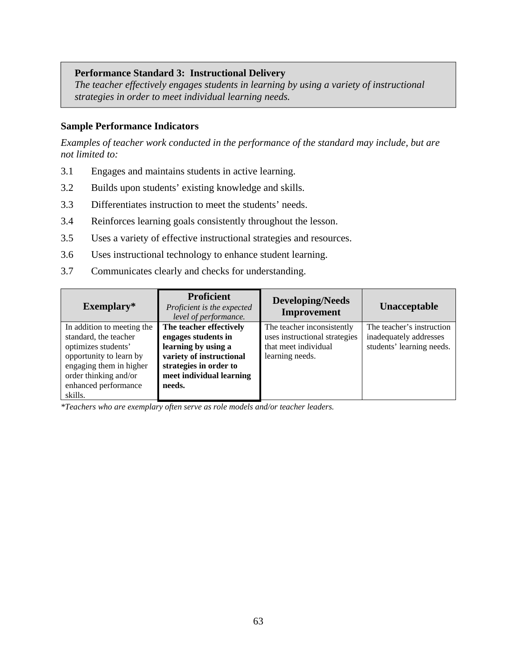#### **Performance Standard 3: Instructional Delivery**

*The teacher effectively engages students in learning by using a variety of instructional strategies in order to meet individual learning needs.* 

#### **Sample Performance Indicators**

*Examples of teacher work conducted in the performance of the standard may include, but are not limited to:* 

- 3.1 Engages and maintains students in active learning.
- 3.2 Builds upon students' existing knowledge and skills.
- 3.3 Differentiates instruction to meet the students' needs.
- 3.4 Reinforces learning goals consistently throughout the lesson.
- 3.5 Uses a variety of effective instructional strategies and resources.
- 3.6 Uses instructional technology to enhance student learning.
- 3.7 Communicates clearly and checks for understanding.

| Exemplary*                 | <b>Proficient</b><br>Proficient is the expected<br>level of performance. | <b>Developing/Needs</b><br>Improvement | Unacceptable              |
|----------------------------|--------------------------------------------------------------------------|----------------------------------------|---------------------------|
| In addition to meeting the | The teacher effectively                                                  | The teacher inconsistently             | The teacher's instruction |
| standard, the teacher      | engages students in                                                      | uses instructional strategies          | inadequately addresses    |
| optimizes students'        | learning by using a                                                      | that meet individual                   | students' learning needs. |
| opportunity to learn by    | variety of instructional                                                 | learning needs.                        |                           |
| engaging them in higher    | strategies in order to                                                   |                                        |                           |
| order thinking and/or      | meet individual learning                                                 |                                        |                           |
| enhanced performance       | needs.                                                                   |                                        |                           |
| skills.                    |                                                                          |                                        |                           |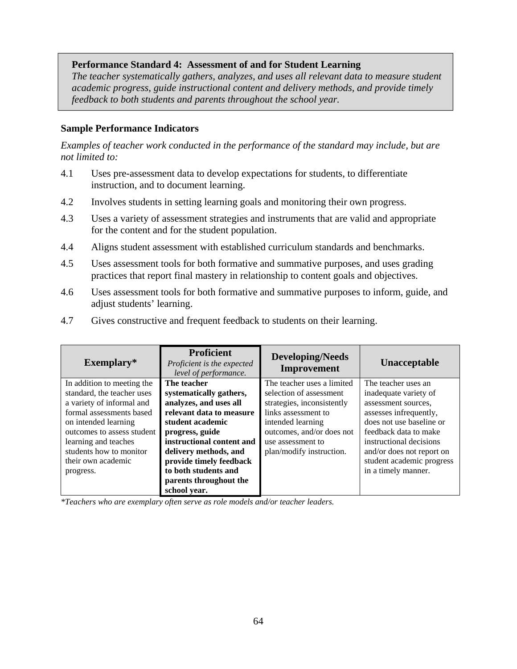#### **Performance Standard 4: Assessment of and for Student Learning**

*The teacher systematically gathers, analyzes, and uses all relevant data to measure student academic progress, guide instructional content and delivery methods, and provide timely feedback to both students and parents throughout the school year.* 

#### **Sample Performance Indicators**

*Examples of teacher work conducted in the performance of the standard may include, but are not limited to:*

- 4.1 Uses pre-assessment data to develop expectations for students, to differentiate instruction, and to document learning.
- 4.2 Involves students in setting learning goals and monitoring their own progress.
- 4.3 Uses a variety of assessment strategies and instruments that are valid and appropriate for the content and for the student population.
- 4.4 Aligns student assessment with established curriculum standards and benchmarks.
- 4.5 Uses assessment tools for both formative and summative purposes, and uses grading practices that report final mastery in relationship to content goals and objectives.
- 4.6 Uses assessment tools for both formative and summative purposes to inform, guide, and adjust students' learning.
- 4.7 Gives constructive and frequent feedback to students on their learning.

| Exemplary*                 | <b>Proficient</b><br>Proficient is the expected<br>level of performance. | <b>Developing/Needs</b><br>Improvement | Unacceptable              |
|----------------------------|--------------------------------------------------------------------------|----------------------------------------|---------------------------|
| In addition to meeting the | The teacher                                                              | The teacher uses a limited             | The teacher uses an       |
| standard, the teacher uses | systematically gathers,                                                  | selection of assessment                | inadequate variety of     |
| a variety of informal and  | analyzes, and uses all                                                   | strategies, inconsistently             | assessment sources,       |
| formal assessments based   | relevant data to measure                                                 | links assessment to                    | assesses infrequently,    |
| on intended learning       | student academic                                                         | intended learning                      | does not use baseline or  |
| outcomes to assess student | progress, guide                                                          | outcomes, and/or does not              | feedback data to make     |
| learning and teaches       | instructional content and                                                | use assessment to                      | instructional decisions   |
| students how to monitor    | delivery methods, and                                                    | plan/modify instruction.               | and/or does not report on |
| their own academic         | provide timely feedback                                                  |                                        | student academic progress |
| progress.                  | to both students and                                                     |                                        | in a timely manner.       |
|                            | parents throughout the                                                   |                                        |                           |
|                            | school year.                                                             |                                        |                           |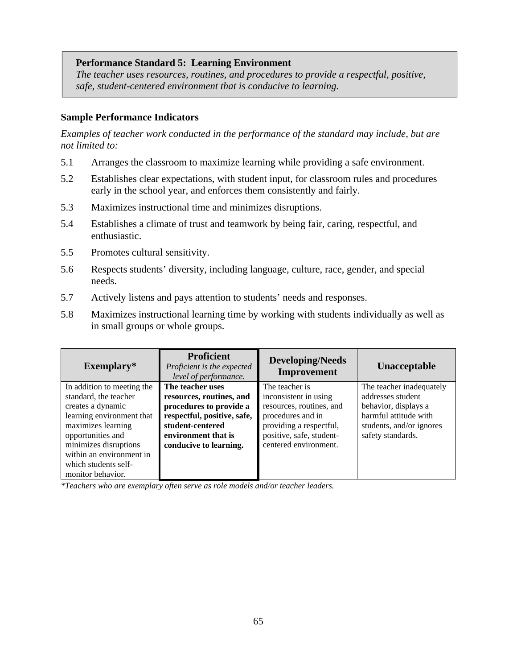#### **Performance Standard 5: Learning Environment**

*The teacher uses resources, routines, and procedures to provide a respectful, positive, safe, student-centered environment that is conducive to learning.*

#### **Sample Performance Indicators**

*Examples of teacher work conducted in the performance of the standard may include, but are not limited to:*

- 5.1 Arranges the classroom to maximize learning while providing a safe environment.
- 5.2 Establishes clear expectations, with student input, for classroom rules and procedures early in the school year, and enforces them consistently and fairly.
- 5.3 Maximizes instructional time and minimizes disruptions.
- 5.4 Establishes a climate of trust and teamwork by being fair, caring, respectful, and enthusiastic.
- 5.5 Promotes cultural sensitivity.
- 5.6 Respects students' diversity, including language, culture, race, gender, and special needs.
- 5.7 Actively listens and pays attention to students' needs and responses.
- 5.8 Maximizes instructional learning time by working with students individually as well as in small groups or whole groups.

| Exemplary*                                                                                                                                                                                                                                         | <b>Proficient</b><br>Proficient is the expected<br>level of performance.                                                                                                    | <b>Developing/Needs</b><br>Improvement                                                                                                                                   | Unacceptable                                                                                                                                    |
|----------------------------------------------------------------------------------------------------------------------------------------------------------------------------------------------------------------------------------------------------|-----------------------------------------------------------------------------------------------------------------------------------------------------------------------------|--------------------------------------------------------------------------------------------------------------------------------------------------------------------------|-------------------------------------------------------------------------------------------------------------------------------------------------|
| In addition to meeting the<br>standard, the teacher<br>creates a dynamic<br>learning environment that<br>maximizes learning<br>opportunities and<br>minimizes disruptions<br>within an environment in<br>which students self-<br>monitor behavior. | The teacher uses<br>resources, routines, and<br>procedures to provide a<br>respectful, positive, safe,<br>student-centered<br>environment that is<br>conducive to learning. | The teacher is<br>inconsistent in using<br>resources, routines, and<br>procedures and in<br>providing a respectful,<br>positive, safe, student-<br>centered environment. | The teacher inadequately<br>addresses student<br>behavior, displays a<br>harmful attitude with<br>students, and/or ignores<br>safety standards. |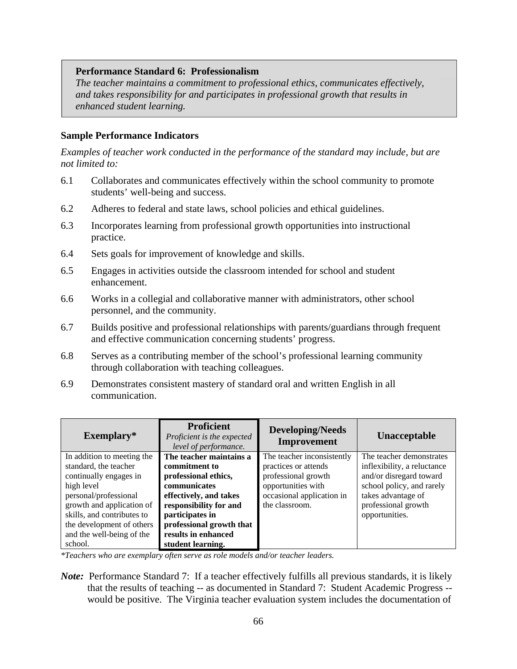#### **Performance Standard 6: Professionalism**

*The teacher maintains a commitment to professional ethics, communicates effectively, and takes responsibility for and participates in professional growth that results in enhanced student learning.* 

#### **Sample Performance Indicators**

*Examples of teacher work conducted in the performance of the standard may include, but are not limited to:*

- 6.1 Collaborates and communicates effectively within the school community to promote students' well-being and success.
- 6.2 Adheres to federal and state laws, school policies and ethical guidelines.
- 6.3 Incorporates learning from professional growth opportunities into instructional practice.
- 6.4 Sets goals for improvement of knowledge and skills.
- 6.5 Engages in activities outside the classroom intended for school and student enhancement.
- 6.6 Works in a collegial and collaborative manner with administrators, other school personnel, and the community.
- 6.7 Builds positive and professional relationships with parents/guardians through frequent and effective communication concerning students' progress.
- 6.8 Serves as a contributing member of the school's professional learning community through collaboration with teaching colleagues.
- 6.9 Demonstrates consistent mastery of standard oral and written English in all communication.

| Exemplary*                 | <b>Proficient</b><br>Proficient is the expected<br>level of performance. | <b>Developing/Needs</b><br>Improvement | Unacceptable                |
|----------------------------|--------------------------------------------------------------------------|----------------------------------------|-----------------------------|
| In addition to meeting the | The teacher maintains a                                                  | The teacher inconsistently             | The teacher demonstrates    |
| standard, the teacher      | commitment to                                                            | practices or attends                   | inflexibility, a reluctance |
| continually engages in     | professional ethics,                                                     | professional growth                    | and/or disregard toward     |
| high level                 | communicates                                                             | opportunities with                     | school policy, and rarely   |
| personal/professional      | effectively, and takes                                                   | occasional application in              | takes advantage of          |
| growth and application of  | responsibility for and                                                   | the classroom.                         | professional growth         |
| skills, and contributes to | participates in                                                          |                                        | opportunities.              |
| the development of others  | professional growth that                                                 |                                        |                             |
| and the well-being of the  | results in enhanced                                                      |                                        |                             |
| school.                    | student learning.                                                        |                                        |                             |

*\*Teachers who are exemplary often serve as role models and/or teacher leaders.* 

*Note*: Performance Standard 7: If a teacher effectively fulfills all previous standards, it is likely that the results of teaching -- as documented in Standard 7: Student Academic Progress - would be positive. The Virginia teacher evaluation system includes the documentation of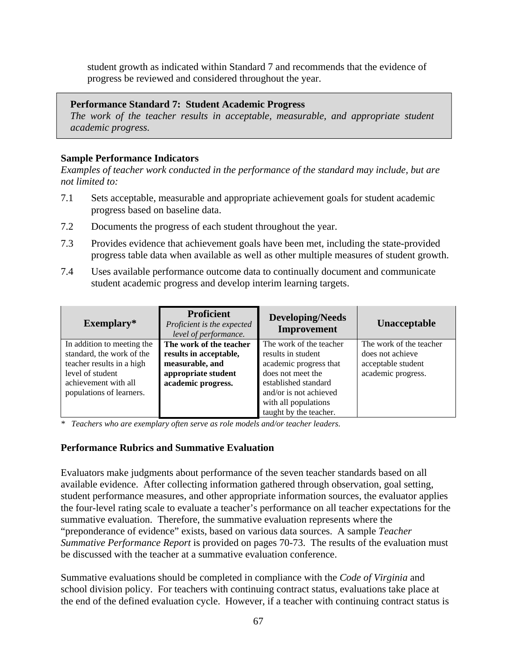student growth as indicated within Standard 7 and recommends that the evidence of progress be reviewed and considered throughout the year.

#### **Performance Standard 7: Student Academic Progress**

The work of the teacher results in acceptable, measurable, and appropriate student *academic progress.* 

#### **Sample Performance Indicators**

*Examples of teacher work conducted in the performance of the standard may include, but are not limited to:*

- 7.1 Sets acceptable, measurable and appropriate achievement goals for student academic progress based on baseline data.
- 7.2 Documents the progress of each student throughout the year.
- 7.3 Provides evidence that achievement goals have been met, including the state-provided progress table data when available as well as other multiple measures of student growth.
- 7.4 Uses available performance outcome data to continually document and communicate student academic progress and develop interim learning targets.

| Exemplary*                 | <b>Proficient</b><br>Proficient is the expected<br>level of performance. | <b>Developing/Needs</b><br>Improvement | Unacceptable            |
|----------------------------|--------------------------------------------------------------------------|----------------------------------------|-------------------------|
| In addition to meeting the | The work of the teacher                                                  | The work of the teacher                | The work of the teacher |
| standard, the work of the  | results in acceptable,                                                   | results in student                     | does not achieve        |
| teacher results in a high  | measurable, and                                                          | academic progress that                 | acceptable student      |
| level of student           | appropriate student                                                      | does not meet the                      | academic progress.      |
| achievement with all       | academic progress.                                                       | established standard                   |                         |
| populations of learners.   |                                                                          | and/or is not achieved                 |                         |
|                            |                                                                          | with all populations                   |                         |
|                            |                                                                          | taught by the teacher.                 |                         |

*\* Teachers who are exemplary often serve as role models and/or teacher leaders.* 

#### **Performance Rubrics and Summative Evaluation**

Evaluators make judgments about performance of the seven teacher standards based on all available evidence. After collecting information gathered through observation, goal setting, student performance measures, and other appropriate information sources, the evaluator applies the four-level rating scale to evaluate a teacher's performance on all teacher expectations for the summative evaluation. Therefore, the summative evaluation represents where the "preponderance of evidence" exists, based on various data sources. A sample *Teacher Summative Performance Report* is provided on pages 70-73. The results of the evaluation must be discussed with the teacher at a summative evaluation conference.

Summative evaluations should be completed in compliance with the *Code of Virginia* and school division policy. For teachers with continuing contract status, evaluations take place at the end of the defined evaluation cycle. However, if a teacher with continuing contract status is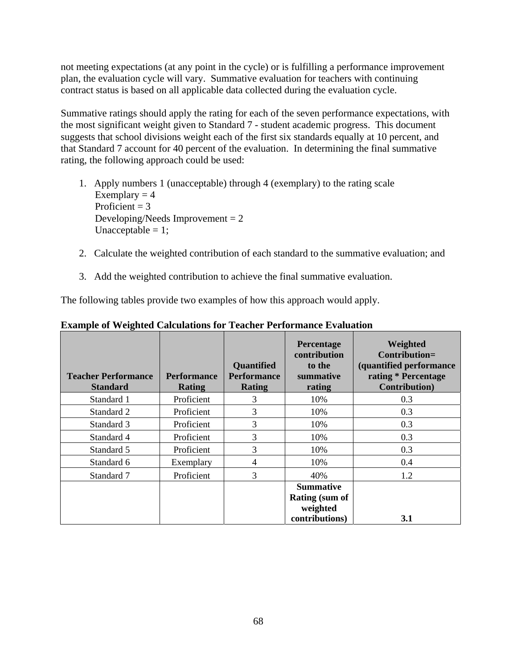not meeting expectations (at any point in the cycle) or is fulfilling a performance improvement plan, the evaluation cycle will vary. Summative evaluation for teachers with continuing contract status is based on all applicable data collected during the evaluation cycle.

Summative ratings should apply the rating for each of the seven performance expectations, with the most significant weight given to Standard 7 - student academic progress. This document suggests that school divisions weight each of the first six standards equally at 10 percent, and that Standard 7 account for 40 percent of the evaluation. In determining the final summative rating, the following approach could be used:

- 1. Apply numbers 1 (unacceptable) through 4 (exemplary) to the rating scale Exemplary  $= 4$ Proficient  $= 3$ Developing/Needs Improvement = 2 Unacceptable  $= 1$ ;
- 2. Calculate the weighted contribution of each standard to the summative evaluation; and
- 3. Add the weighted contribution to achieve the final summative evaluation.

The following tables provide two examples of how this approach would apply.

| <b>Teacher Performance</b><br><b>Standard</b> | <b>Performance</b><br><b>Rating</b> | <b>Quantified</b><br><b>Performance</b><br><b>Rating</b> | Percentage<br>contribution<br>to the<br>summative<br>rating      | Weighted<br>Contribution=<br><i>(quantified performance)</i><br>rating * Percentage<br><b>Contribution</b> ) |
|-----------------------------------------------|-------------------------------------|----------------------------------------------------------|------------------------------------------------------------------|--------------------------------------------------------------------------------------------------------------|
| Standard 1                                    | Proficient                          | 3                                                        | 10%                                                              | 0.3                                                                                                          |
| Standard 2                                    | Proficient                          | 3                                                        | 10%                                                              | 0.3                                                                                                          |
| Standard 3                                    | Proficient                          | 3                                                        | 10%                                                              | 0.3                                                                                                          |
| Standard 4                                    | Proficient                          | 3                                                        | 10%                                                              | 0.3                                                                                                          |
| Standard 5                                    | Proficient                          | 3                                                        | 10%                                                              | 0.3                                                                                                          |
| Standard 6                                    | Exemplary                           | 4                                                        | 10%                                                              | 0.4                                                                                                          |
| Standard 7                                    | Proficient                          | 3                                                        | 40%                                                              | 1.2                                                                                                          |
|                                               |                                     |                                                          | <b>Summative</b><br>Rating (sum of<br>weighted<br>contributions) | 3.1                                                                                                          |

#### **Example of Weighted Calculations for Teacher Performance Evaluation**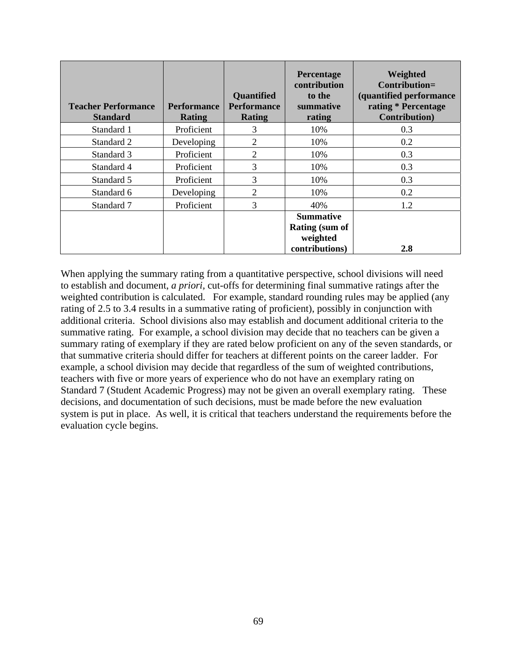| <b>Teacher Performance</b><br><b>Standard</b> | <b>Performance</b><br><b>Rating</b> | <b>Quantified</b><br><b>Performance</b><br><b>Rating</b> | Percentage<br>contribution<br>to the<br>summative<br>rating      | Weighted<br>$Contribution =$<br><i>(quantified performance)</i><br>rating * Percentage<br><b>Contribution</b> ) |
|-----------------------------------------------|-------------------------------------|----------------------------------------------------------|------------------------------------------------------------------|-----------------------------------------------------------------------------------------------------------------|
| Standard 1                                    | Proficient                          | 3                                                        | 10%                                                              | 0.3                                                                                                             |
| Standard 2                                    | Developing                          | $\overline{2}$                                           | 10%                                                              | 0.2                                                                                                             |
| Standard 3                                    | Proficient                          | $\overline{2}$                                           | 10%                                                              | 0.3                                                                                                             |
| Standard 4                                    | Proficient                          | 3                                                        | 10%                                                              | 0.3                                                                                                             |
| Standard 5                                    | Proficient                          | 3                                                        | 10%                                                              | 0.3                                                                                                             |
| Standard 6                                    | Developing                          | $\overline{2}$                                           | 10%                                                              | 0.2                                                                                                             |
| Standard 7                                    | Proficient                          | 3                                                        | 40%                                                              | 1.2                                                                                                             |
|                                               |                                     |                                                          | <b>Summative</b><br>Rating (sum of<br>weighted<br>contributions) | 2.8                                                                                                             |

When applying the summary rating from a quantitative perspective, school divisions will need to establish and document, *a priori,* cut-offs for determining final summative ratings after the weighted contribution is calculated. For example, standard rounding rules may be applied (any rating of 2.5 to 3.4 results in a summative rating of proficient), possibly in conjunction with additional criteria. School divisions also may establish and document additional criteria to the summative rating. For example, a school division may decide that no teachers can be given a summary rating of exemplary if they are rated below proficient on any of the seven standards, or that summative criteria should differ for teachers at different points on the career ladder. For example, a school division may decide that regardless of the sum of weighted contributions, teachers with five or more years of experience who do not have an exemplary rating on Standard 7 (Student Academic Progress) may not be given an overall exemplary rating. These decisions, and documentation of such decisions, must be made before the new evaluation system is put in place. As well, it is critical that teachers understand the requirements before the evaluation cycle begins.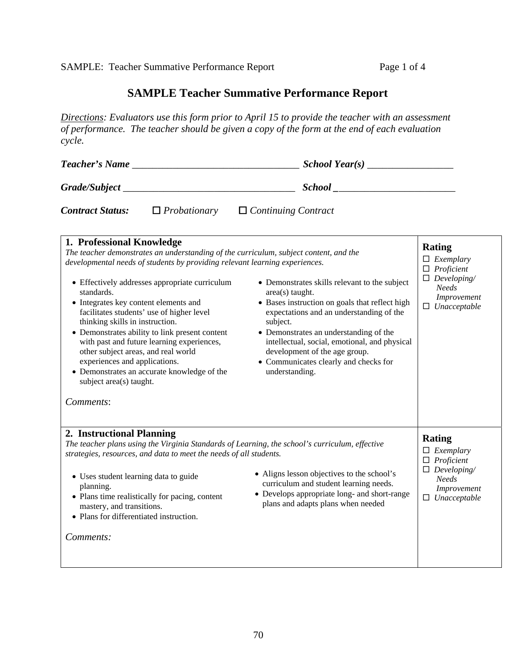SAMPLE: Teacher Summative Performance Report Page 1 of 4

### **SAMPLE Teacher Summative Performance Report**

*Directions: Evaluators use this form prior to April 15 to provide the teacher with an assessment of performance. The teacher should be given a copy of the form at the end of each evaluation cycle.* 

| <b>Teacher's Name</b>   |                     | $School$ Year $(s)$        |  |
|-------------------------|---------------------|----------------------------|--|
| Grade/Subject           |                     | <b>School</b>              |  |
| <b>Contract Status:</b> | $\Box$ Probationary | $\Box$ Continuing Contract |  |

| 1. Professional Knowledge<br>The teacher demonstrates an understanding of the curriculum, subject content, and the<br>developmental needs of students by providing relevant learning experiences.<br>• Effectively addresses appropriate curriculum<br>standards.<br>• Integrates key content elements and<br>facilitates students' use of higher level<br>thinking skills in instruction.<br>• Demonstrates ability to link present content<br>with past and future learning experiences,<br>other subject areas, and real world<br>experiences and applications.<br>• Demonstrates an accurate knowledge of the<br>subject area(s) taught.<br>Comments: | • Demonstrates skills relevant to the subject<br>$area(s)$ taught.<br>• Bases instruction on goals that reflect high<br>expectations and an understanding of the<br>subject.<br>• Demonstrates an understanding of the<br>intellectual, social, emotional, and physical<br>development of the age group.<br>• Communicates clearly and checks for<br>understanding. | Rating<br>$\Box$ Exemplary<br>$\Box$ Proficient<br>$\Box$ Developing/<br><b>Needs</b><br>Improvement<br>$\Box$ Unacceptable |
|-----------------------------------------------------------------------------------------------------------------------------------------------------------------------------------------------------------------------------------------------------------------------------------------------------------------------------------------------------------------------------------------------------------------------------------------------------------------------------------------------------------------------------------------------------------------------------------------------------------------------------------------------------------|---------------------------------------------------------------------------------------------------------------------------------------------------------------------------------------------------------------------------------------------------------------------------------------------------------------------------------------------------------------------|-----------------------------------------------------------------------------------------------------------------------------|
| 2. Instructional Planning<br>The teacher plans using the Virginia Standards of Learning, the school's curriculum, effective<br>strategies, resources, and data to meet the needs of all students.<br>• Aligns lesson objectives to the school's<br>• Uses student learning data to guide<br>curriculum and student learning needs.<br>planning.<br>• Develops appropriate long- and short-range<br>• Plans time realistically for pacing, content<br>plans and adapts plans when needed<br>mastery, and transitions.<br>• Plans for differentiated instruction.<br>Comments:                                                                              |                                                                                                                                                                                                                                                                                                                                                                     | Rating<br>$\Box$ Exemplary<br>$\Box$ Proficient<br>$\Box$ Developing/<br><b>Needs</b><br>Improvement<br>$\Box$ Unacceptable |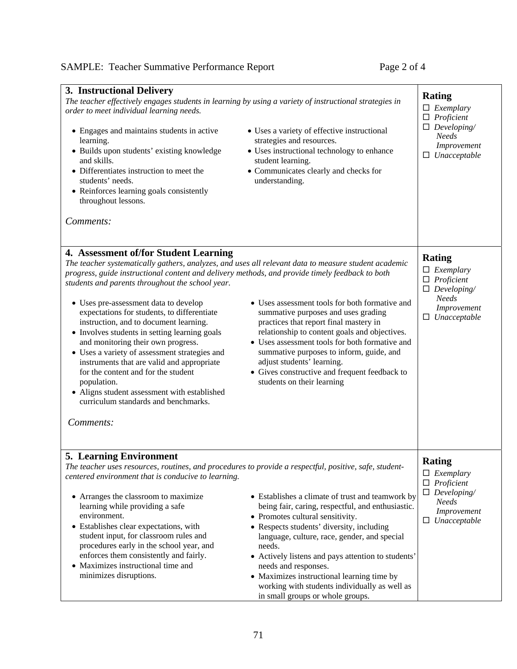# SAMPLE: Teacher Summative Performance Report Page 2 of 4

| 3. Instructional Delivery<br>The teacher effectively engages students in learning by using a variety of instructional strategies in<br>order to meet individual learning needs.<br>• Engages and maintains students in active<br>learning.<br>• Builds upon students' existing knowledge<br>and skills.<br>• Differentiates instruction to meet the<br>students' needs.<br>• Reinforces learning goals consistently<br>throughout lessons.                                                                                                                                                                                                                                                                                                                                                           | • Uses a variety of effective instructional<br>strategies and resources.<br>• Uses instructional technology to enhance<br>student learning.<br>• Communicates clearly and checks for<br>understanding.                                                                                                                                                                                                                                                            | <b>Rating</b><br>$\Box$ Exemplary<br>$\Box$ Proficient<br>$\Box$ Developing/<br><b>Needs</b><br>Improvement<br>$\Box$ Unacceptable |
|------------------------------------------------------------------------------------------------------------------------------------------------------------------------------------------------------------------------------------------------------------------------------------------------------------------------------------------------------------------------------------------------------------------------------------------------------------------------------------------------------------------------------------------------------------------------------------------------------------------------------------------------------------------------------------------------------------------------------------------------------------------------------------------------------|-------------------------------------------------------------------------------------------------------------------------------------------------------------------------------------------------------------------------------------------------------------------------------------------------------------------------------------------------------------------------------------------------------------------------------------------------------------------|------------------------------------------------------------------------------------------------------------------------------------|
| Comments:<br>4. Assessment of/for Student Learning<br>The teacher systematically gathers, analyzes, and uses all relevant data to measure student academic<br>progress, guide instructional content and delivery methods, and provide timely feedback to both<br>students and parents throughout the school year.<br>• Uses pre-assessment data to develop<br>expectations for students, to differentiate<br>instruction, and to document learning.<br>• Involves students in setting learning goals<br>and monitoring their own progress.<br>• Uses a variety of assessment strategies and<br>instruments that are valid and appropriate<br>for the content and for the student<br>population.<br>• Aligns student assessment with established<br>curriculum standards and benchmarks.<br>Comments: | • Uses assessment tools for both formative and<br>summative purposes and uses grading<br>practices that report final mastery in<br>relationship to content goals and objectives.<br>• Uses assessment tools for both formative and<br>summative purposes to inform, guide, and<br>adjust students' learning.<br>• Gives constructive and frequent feedback to<br>students on their learning                                                                       | <b>Rating</b><br>$\Box$ Exemplary<br>$\Box$ Proficient<br>$\Box$ Developing/<br><b>Needs</b><br>Improvement<br>$\Box$ Unacceptable |
| <b>5. Learning Environment</b><br>The teacher uses resources, routines, and procedures to provide a respectful, positive, safe, student-<br>centered environment that is conducive to learning.<br>• Arranges the classroom to maximize<br>learning while providing a safe<br>environment.<br>• Establishes clear expectations, with<br>student input, for classroom rules and<br>procedures early in the school year, and<br>enforces them consistently and fairly.<br>• Maximizes instructional time and<br>minimizes disruptions.                                                                                                                                                                                                                                                                 | • Establishes a climate of trust and teamwork by<br>being fair, caring, respectful, and enthusiastic.<br>• Promotes cultural sensitivity.<br>• Respects students' diversity, including<br>language, culture, race, gender, and special<br>needs.<br>• Actively listens and pays attention to students'<br>needs and responses.<br>• Maximizes instructional learning time by<br>working with students individually as well as<br>in small groups or whole groups. | <b>Rating</b><br>$\Box$ Exemplary<br>$\Box$ Proficient<br>$\Box$ Developing/<br><b>Needs</b><br>Improvement<br>Unacceptable<br>⊔   |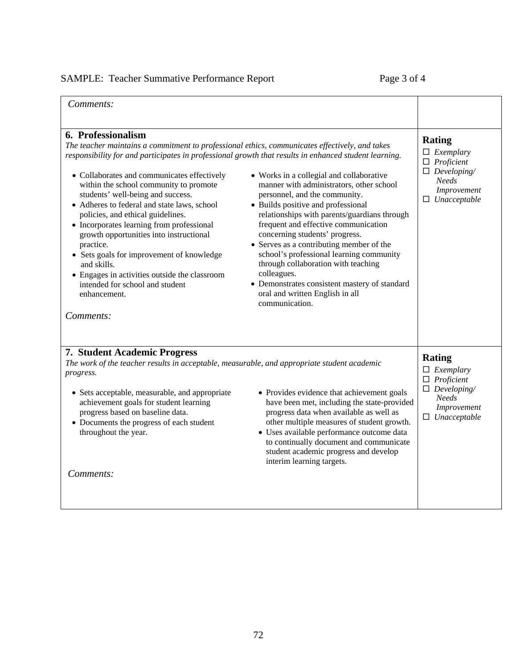# SAMPLE: Teacher Summative Performance Report Page 3 of 4

| Comments:                                                                                                                                                                                                                                                                                                                                                                                                                                                                                                                                                                                                                                                                                                                         |                                                                                                                                                                                                                                                                                                                                                                                                                                                                                                                                           |                                                                                                                                    |
|-----------------------------------------------------------------------------------------------------------------------------------------------------------------------------------------------------------------------------------------------------------------------------------------------------------------------------------------------------------------------------------------------------------------------------------------------------------------------------------------------------------------------------------------------------------------------------------------------------------------------------------------------------------------------------------------------------------------------------------|-------------------------------------------------------------------------------------------------------------------------------------------------------------------------------------------------------------------------------------------------------------------------------------------------------------------------------------------------------------------------------------------------------------------------------------------------------------------------------------------------------------------------------------------|------------------------------------------------------------------------------------------------------------------------------------|
| 6. Professionalism<br>The teacher maintains a commitment to professional ethics, communicates effectively, and takes<br>responsibility for and participates in professional growth that results in enhanced student learning.<br>• Collaborates and communicates effectively<br>within the school community to promote<br>students' well-being and success.<br>• Adheres to federal and state laws, school<br>policies, and ethical guidelines.<br>• Incorporates learning from professional<br>growth opportunities into instructional<br>practice.<br>• Sets goals for improvement of knowledge<br>and skills.<br>• Engages in activities outside the classroom<br>intended for school and student<br>enhancement.<br>Comments: | • Works in a collegial and collaborative<br>manner with administrators, other school<br>personnel, and the community.<br>• Builds positive and professional<br>relationships with parents/guardians through<br>frequent and effective communication<br>concerning students' progress.<br>• Serves as a contributing member of the<br>school's professional learning community<br>through collaboration with teaching<br>colleagues.<br>• Demonstrates consistent mastery of standard<br>oral and written English in all<br>communication. | <b>Rating</b><br>$\Box$ Exemplary<br>$\Box$ Proficient<br>$\Box$ Developing/<br><b>Needs</b><br>Improvement<br>$\Box$ Unacceptable |
| 7. Student Academic Progress<br>The work of the teacher results in acceptable, measurable, and appropriate student academic<br>progress.<br>• Sets acceptable, measurable, and appropriate<br>• Provides evidence that achievement goals<br>achievement goals for student learning<br>have been met, including the state-provided<br>progress based on baseline data.<br>progress data when available as well as<br>other multiple measures of student growth.<br>• Documents the progress of each student<br>· Uses available performance outcome data<br>throughout the year.<br>to continually document and communicate<br>student academic progress and develop<br>interim learning targets.<br>Comments:                     |                                                                                                                                                                                                                                                                                                                                                                                                                                                                                                                                           | Rating<br>$\Box$ Exemplary<br>$\Box$ Proficient<br>$\Box$ Developing/<br><b>Needs</b><br>Improvement<br>$\Box$ Unacceptable        |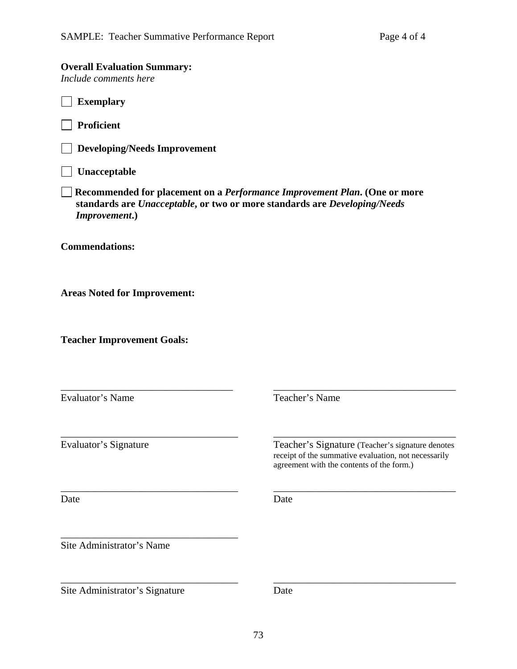# **Overall Evaluation Summary:**

*Include comments here* 

| <b>Exemplary</b>                    |                                                                                                                                                        |
|-------------------------------------|--------------------------------------------------------------------------------------------------------------------------------------------------------|
| Proficient                          |                                                                                                                                                        |
| <b>Developing/Needs Improvement</b> |                                                                                                                                                        |
| Unacceptable                        |                                                                                                                                                        |
| Improvement.)                       | Recommended for placement on a Performance Improvement Plan. (One or more<br>standards are Unacceptable, or two or more standards are Developing/Needs |
| <b>Commendations:</b>               |                                                                                                                                                        |
| <b>Areas Noted for Improvement:</b> |                                                                                                                                                        |
| <b>Teacher Improvement Goals:</b>   |                                                                                                                                                        |
| <b>Evaluator's Name</b>             | Teacher's Name                                                                                                                                         |
| Evaluator's Signature               | Teacher's Signature (Teacher's signature denotes<br>receipt of the summative evaluation, not necessarily<br>agreement with the contents of the form.)  |
| Date                                | Date                                                                                                                                                   |
| Site Administrator's Name           |                                                                                                                                                        |
| Site Administrator's Signature      | Date                                                                                                                                                   |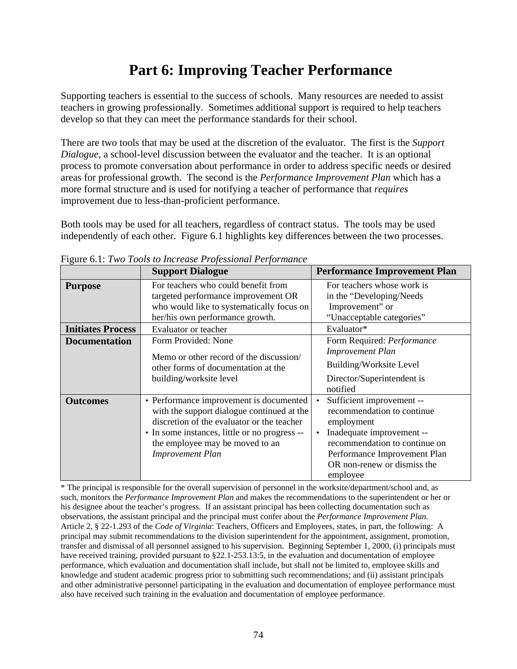# **Part 6: Improving Teacher Performance**

Supporting teachers is essential to the success of schools. Many resources are needed to assist teachers in growing professionally. Sometimes additional support is required to help teachers develop so that they can meet the performance standards for their school.

There are two tools that may be used at the discretion of the evaluator. The first is the *Support Dialogue*, a school-level discussion between the evaluator and the teacher. It is an optional process to promote conversation about performance in order to address specific needs or desired areas for professional growth. The second is the *Performance Improvement Plan* which has a more formal structure and is used for notifying a teacher of performance that *requires* improvement due to less-than-proficient performance.

Both tools may be used for all teachers, regardless of contract status. The tools may be used independently of each other. Figure 6.1 highlights key differences between the two processes.

|                          | <b>Support Dialogue</b>                                                                                                                                                                                                                            | <b>Performance Improvement Plan</b>                                                                                                                                                                            |
|--------------------------|----------------------------------------------------------------------------------------------------------------------------------------------------------------------------------------------------------------------------------------------------|----------------------------------------------------------------------------------------------------------------------------------------------------------------------------------------------------------------|
| <b>Purpose</b>           | For teachers who could benefit from<br>targeted performance improvement OR<br>who would like to systematically focus on<br>her/his own performance growth.                                                                                         | For teachers whose work is<br>in the "Developing/Needs"<br>Improvement" or<br>"Unacceptable categories"                                                                                                        |
| <b>Initiates Process</b> | <b>Evaluator or teacher</b>                                                                                                                                                                                                                        | Evaluator*                                                                                                                                                                                                     |
| <b>Documentation</b>     | Form Provided: None<br>Memo or other record of the discussion/<br>other forms of documentation at the<br>building/worksite level                                                                                                                   | Form Required: Performance<br><b>Improvement Plan</b><br>Building/Worksite Level<br>Director/Superintendent is<br>notified                                                                                     |
| <b>Outcomes</b>          | • Performance improvement is documented<br>with the support dialogue continued at the<br>discretion of the evaluator or the teacher<br>• In some instances, little or no progress --<br>the employee may be moved to an<br><b>Improvement Plan</b> | Sufficient improvement --<br>recommendation to continue<br>employment<br>Inadequate improvement --<br>recommendation to continue on<br>Performance Improvement Plan<br>OR non-renew or dismiss the<br>employee |

Figure 6.1: *Two Tools to Increase Professional Performance*

\* The principal is responsible for the overall supervision of personnel in the worksite/department/school and, as such, monitors the *Performance Improvement Plan* and makes the recommendations to the superintendent or her or his designee about the teacher's progress. If an assistant principal has been collecting documentation such as observations, the assistant principal and the principal must confer about the *Performance Improvement Plan*. Article 2, § 22-1.293 of the *Code of Virginia*: Teachers, Officers and Employees, states, in part, the following: A principal may submit recommendations to the division superintendent for the appointment, assignment, promotion, transfer and dismissal of all personnel assigned to his supervision. Beginning September 1, 2000, (i) principals must have received training, provided pursuant to §22.1-253.13:5, in the evaluation and documentation of employee performance, which evaluation and documentation shall include, but shall not be limited to, employee skills and knowledge and student academic progress prior to submitting such recommendations; and (ii) assistant principals and other administrative personnel participating in the evaluation and documentation of employee performance must also have received such training in the evaluation and documentation of employee performance.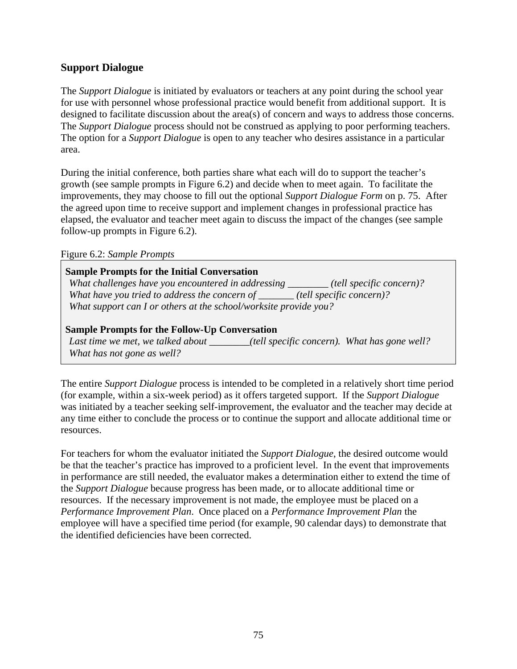#### **Support Dialogue**

The *Support Dialogue* is initiated by evaluators or teachers at any point during the school year for use with personnel whose professional practice would benefit from additional support. It is designed to facilitate discussion about the area(s) of concern and ways to address those concerns. The *Support Dialogue* process should not be construed as applying to poor performing teachers. The option for a *Support Dialogue* is open to any teacher who desires assistance in a particular area.

During the initial conference, both parties share what each will do to support the teacher's growth (see sample prompts in Figure 6.2) and decide when to meet again. To facilitate the improvements, they may choose to fill out the optional *Support Dialogue Form* on p. 75. After the agreed upon time to receive support and implement changes in professional practice has elapsed, the evaluator and teacher meet again to discuss the impact of the changes (see sample follow-up prompts in Figure 6.2).

#### Figure 6.2: *Sample Prompts*

#### **Sample Prompts for the Initial Conversation**

*What challenges have you encountered in addressing \_\_\_\_\_\_\_\_ (tell specific concern)? What have you tried to address the concern of \_\_\_\_\_\_\_ (tell specific concern)? What support can I or others at the school/worksite provide you?* 

#### **Sample Prompts for the Follow-Up Conversation**

*Last time we met, we talked about* (*tell specific concern*). What has gone well? *What has not gone as well?* 

The entire *Support Dialogue* process is intended to be completed in a relatively short time period (for example, within a six-week period) as it offers targeted support. If the *Support Dialogue* was initiated by a teacher seeking self-improvement, the evaluator and the teacher may decide at any time either to conclude the process or to continue the support and allocate additional time or resources.

For teachers for whom the evaluator initiated the *Support Dialogue*, the desired outcome would be that the teacher's practice has improved to a proficient level. In the event that improvements in performance are still needed, the evaluator makes a determination either to extend the time of the *Support Dialogue* because progress has been made, or to allocate additional time or resources. If the necessary improvement is not made, the employee must be placed on a *Performance Improvement Plan*. Once placed on a *Performance Improvement Plan* the employee will have a specified time period (for example, 90 calendar days) to demonstrate that the identified deficiencies have been corrected.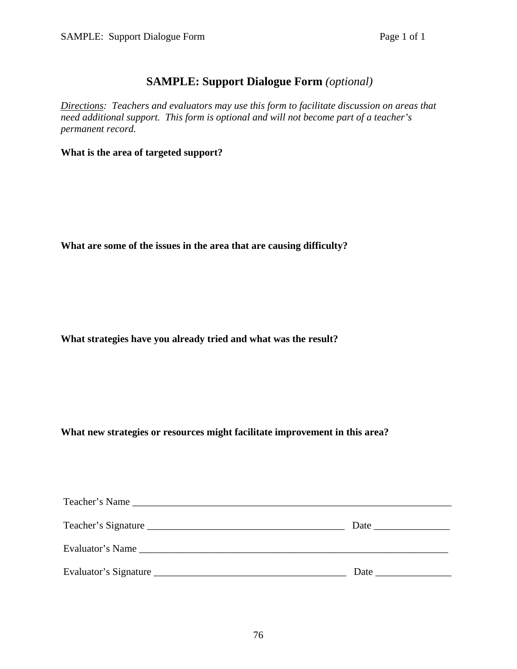### **SAMPLE: Support Dialogue Form** *(optional)*

*Directions: Teachers and evaluators may use this form to facilitate discussion on areas that need additional support. This form is optional and will not become part of a teacher's permanent record.* 

**What is the area of targeted support?** 

**What are some of the issues in the area that are causing difficulty?** 

**What strategies have you already tried and what was the result?** 

**What new strategies or resources might facilitate improvement in this area?** 

| Teacher's Name        |      |
|-----------------------|------|
|                       |      |
| Evaluator's Name      |      |
| Evaluator's Signature | Date |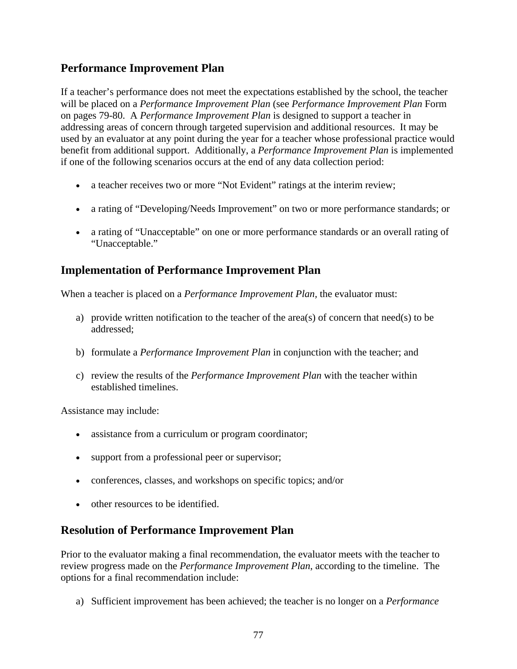### **Performance Improvement Plan**

If a teacher's performance does not meet the expectations established by the school, the teacher will be placed on a *Performance Improvement Plan* (see *Performance Improvement Plan* Form on pages 79-80. A *Performance Improvement Plan* is designed to support a teacher in addressing areas of concern through targeted supervision and additional resources. It may be used by an evaluator at any point during the year for a teacher whose professional practice would benefit from additional support. Additionally, a *Performance Improvement Plan* is implemented if one of the following scenarios occurs at the end of any data collection period:

- a teacher receives two or more "Not Evident" ratings at the interim review;
- a rating of "Developing/Needs Improvement" on two or more performance standards; or
- a rating of "Unacceptable" on one or more performance standards or an overall rating of "Unacceptable."

### **Implementation of Performance Improvement Plan**

When a teacher is placed on a *Performance Improvement Plan,* the evaluator must:

- a) provide written notification to the teacher of the area(s) of concern that need(s) to be addressed;
- b) formulate a *Performance Improvement Plan* in conjunction with the teacher; and
- c) review the results of the *Performance Improvement Plan* with the teacher within established timelines.

Assistance may include:

- assistance from a curriculum or program coordinator;
- support from a professional peer or supervisor;
- conferences, classes, and workshops on specific topics; and/or
- other resources to be identified.

#### **Resolution of Performance Improvement Plan**

Prior to the evaluator making a final recommendation, the evaluator meets with the teacher to review progress made on the *Performance Improvement Plan*, according to the timeline. The options for a final recommendation include:

a) Sufficient improvement has been achieved; the teacher is no longer on a *Performance*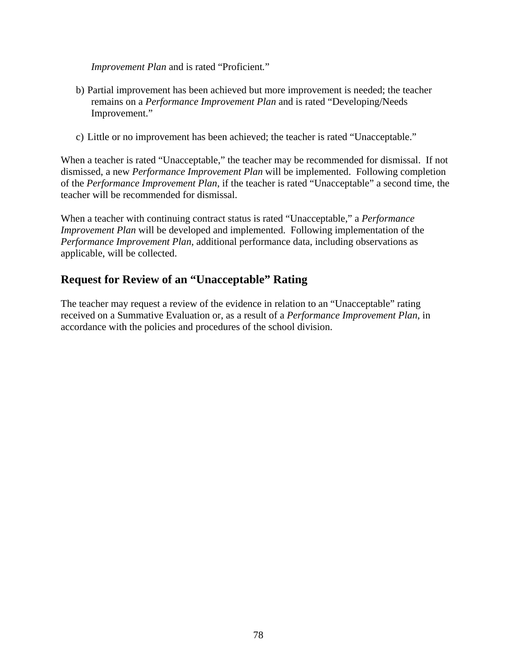*Improvement Plan* and is rated "Proficient*.*"

- b) Partial improvement has been achieved but more improvement is needed; the teacher remains on a *Performance Improvement Plan* and is rated "Developing/Needs Improvement."
- c) Little or no improvement has been achieved; the teacher is rated "Unacceptable."

When a teacher is rated "Unacceptable," the teacher may be recommended for dismissal. If not dismissed, a new *Performance Improvement Plan* will be implemented. Following completion of the *Performance Improvement Plan*, if the teacher is rated "Unacceptable" a second time, the teacher will be recommended for dismissal.

When a teacher with continuing contract status is rated "Unacceptable," a *Performance Improvement Plan* will be developed and implemented. Following implementation of the *Performance Improvement Plan*, additional performance data, including observations as applicable, will be collected.

#### **Request for Review of an "Unacceptable" Rating**

The teacher may request a review of the evidence in relation to an "Unacceptable" rating received on a Summative Evaluation or, as a result of a *Performance Improvement Plan*, in accordance with the policies and procedures of the school division.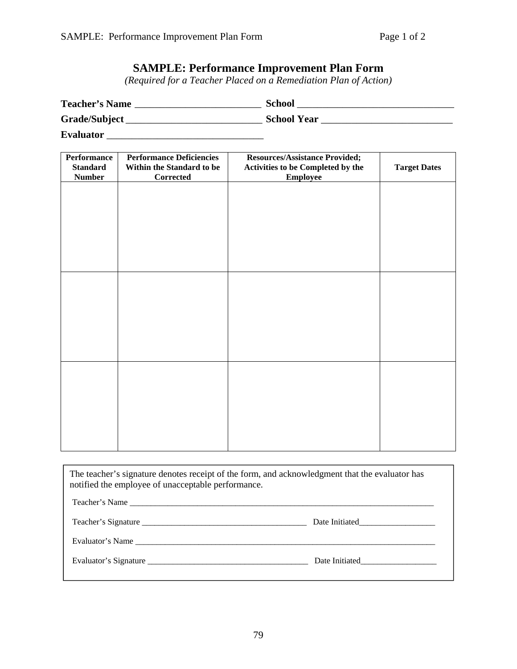# **SAMPLE: Performance Improvement Plan Form**

*(Required for a Teacher Placed on a Remediation Plan of Action)*

| <b>Teacher's Name</b> | <b>School</b>      |
|-----------------------|--------------------|
| Grade/Subject         | <b>School Year</b> |
| <b>Evaluator</b>      |                    |

| Performance<br><b>Standard</b><br><b>Number</b> | <b>Performance Deficiencies</b><br>Within the Standard to be<br><b>Corrected</b> | <b>Resources/Assistance Provided;</b><br>Activities to be Completed by the<br><b>Employee</b> | <b>Target Dates</b> |
|-------------------------------------------------|----------------------------------------------------------------------------------|-----------------------------------------------------------------------------------------------|---------------------|
|                                                 |                                                                                  |                                                                                               |                     |
|                                                 |                                                                                  |                                                                                               |                     |
|                                                 |                                                                                  |                                                                                               |                     |
|                                                 |                                                                                  |                                                                                               |                     |
|                                                 |                                                                                  |                                                                                               |                     |
|                                                 |                                                                                  |                                                                                               |                     |
|                                                 |                                                                                  |                                                                                               |                     |
|                                                 |                                                                                  |                                                                                               |                     |
|                                                 |                                                                                  |                                                                                               |                     |

| The teacher's signature denotes receipt of the form, and acknowledgment that the evaluator has<br>notified the employee of unacceptable performance. |                |  |
|------------------------------------------------------------------------------------------------------------------------------------------------------|----------------|--|
| Teacher's Name                                                                                                                                       |                |  |
|                                                                                                                                                      |                |  |
| Evaluator's Name                                                                                                                                     |                |  |
| Evaluator's Signature                                                                                                                                | Date Initiated |  |
|                                                                                                                                                      |                |  |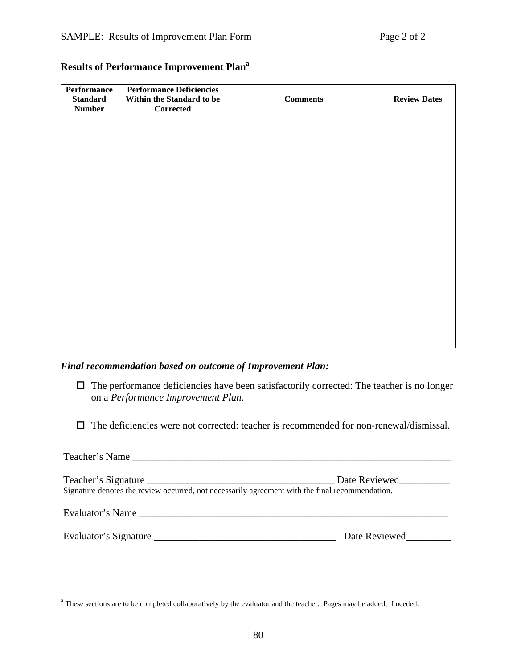#### **Results of Performance Improvement Plan<sup>a</sup>**

| Performance<br><b>Standard</b><br><b>Number</b> | <b>Performance Deficiencies</b><br>Within the Standard to be<br>Corrected | <b>Comments</b> | <b>Review Dates</b> |
|-------------------------------------------------|---------------------------------------------------------------------------|-----------------|---------------------|
|                                                 |                                                                           |                 |                     |
|                                                 |                                                                           |                 |                     |
|                                                 |                                                                           |                 |                     |
|                                                 |                                                                           |                 |                     |
|                                                 |                                                                           |                 |                     |
|                                                 |                                                                           |                 |                     |
|                                                 |                                                                           |                 |                     |

#### *Final recommendation based on outcome of Improvement Plan:*

 $\overline{a}$ 

 $\Box$  The performance deficiencies have been satisfactorily corrected: The teacher is no longer on a *Performance Improvement Plan*.

 $\Box$  The deficiencies were not corrected: teacher is recommended for non-renewal/dismissal.

| Teacher's Name                                                                                  |               |
|-------------------------------------------------------------------------------------------------|---------------|
| Signature denotes the review occurred, not necessarily agreement with the final recommendation. | Date Reviewed |
| Evaluator's Name                                                                                |               |
| Evaluator's Signature                                                                           | Date Reviewed |

<sup>&</sup>lt;sup>a</sup> These sections are to be completed collaboratively by the evaluator and the teacher. Pages may be added, if needed.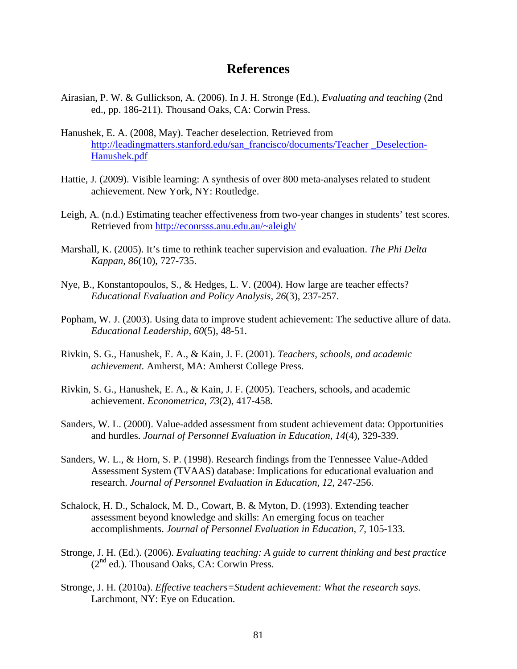#### **References**

- Airasian, P. W. & Gullickson, A. (2006). In J. H. Stronge (Ed.), *Evaluating and teaching* (2nd ed., pp. 186-211). Thousand Oaks, CA: Corwin Press.
- Hanushek, E. A. (2008, May). Teacher deselection. Retrieved from http://leadingmatters.stanford.edu/san\_francisco/documents/Teacher Deselection-Hanushek.pdf
- Hattie, J. (2009). Visible learning: A synthesis of over 800 meta-analyses related to student achievement. New York, NY: Routledge.
- Leigh, A. (n.d.) Estimating teacher effectiveness from two-year changes in students' test scores. Retrieved from http://econrsss.anu.edu.au/~aleigh/
- Marshall, K. (2005). It's time to rethink teacher supervision and evaluation. *The Phi Delta Kappan, 86*(10), 727-735.
- Nye, B., Konstantopoulos, S., & Hedges, L. V. (2004). How large are teacher effects? *Educational Evaluation and Policy Analysis, 26*(3), 237-257.
- Popham, W. J. (2003). Using data to improve student achievement: The seductive allure of data. *Educational Leadership, 60*(5), 48-51.
- Rivkin, S. G., Hanushek, E. A., & Kain, J. F. (2001). *Teachers, schools, and academic achievement.* Amherst, MA: Amherst College Press.
- Rivkin, S. G., Hanushek, E. A., & Kain, J. F. (2005). Teachers, schools, and academic achievement. *Econometrica, 73*(2), 417-458.
- Sanders, W. L. (2000). Value-added assessment from student achievement data: Opportunities and hurdles. *Journal of Personnel Evaluation in Education, 14*(4), 329-339.
- Sanders, W. L., & Horn, S. P. (1998). Research findings from the Tennessee Value-Added Assessment System (TVAAS) database: Implications for educational evaluation and research. *Journal of Personnel Evaluation in Education, 12*, 247-256.
- Schalock, H. D., Schalock, M. D., Cowart, B. & Myton, D. (1993). Extending teacher assessment beyond knowledge and skills: An emerging focus on teacher accomplishments. *Journal of Personnel Evaluation in Education, 7,* 105-133.
- Stronge, J. H. (Ed.). (2006). *Evaluating teaching: A guide to current thinking and best practice*  $(2^{nd}$  ed.). Thousand Oaks, CA: Corwin Press.
- Stronge, J. H. (2010a). *Effective teachers=Student achievement: What the research says*. Larchmont, NY: Eye on Education.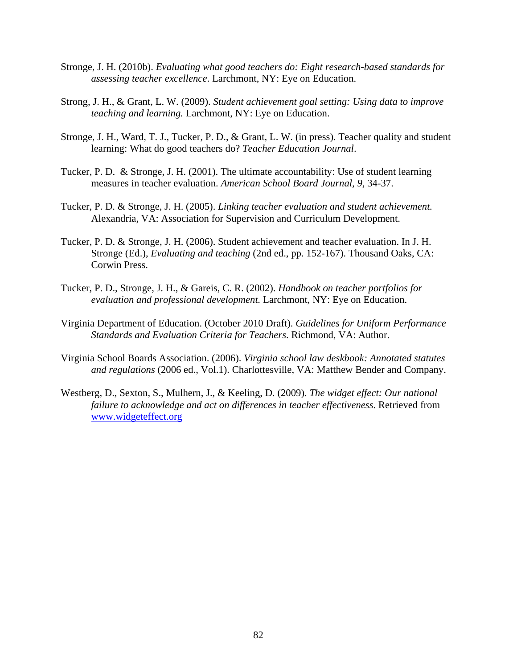- Stronge, J. H. (2010b). *Evaluating what good teachers do: Eight research-based standards for assessing teacher excellence*. Larchmont, NY: Eye on Education.
- Strong, J. H., & Grant, L. W. (2009). *Student achievement goal setting: Using data to improve teaching and learning.* Larchmont, NY: Eye on Education.
- Stronge, J. H., Ward, T. J., Tucker, P. D., & Grant, L. W. (in press). Teacher quality and student learning: What do good teachers do? *Teacher Education Journal*.
- Tucker, P. D. & Stronge, J. H. (2001). The ultimate accountability: Use of student learning measures in teacher evaluation. *American School Board Journal, 9*, 34-37.
- Tucker, P. D. & Stronge, J. H. (2005). *Linking teacher evaluation and student achievement.* Alexandria, VA: Association for Supervision and Curriculum Development.
- Tucker, P. D. & Stronge, J. H. (2006). Student achievement and teacher evaluation. In J. H. Stronge (Ed.), *Evaluating and teaching* (2nd ed., pp. 152-167). Thousand Oaks, CA: Corwin Press.
- Tucker, P. D., Stronge, J. H., & Gareis, C. R. (2002). *Handbook on teacher portfolios for evaluation and professional development.* Larchmont, NY: Eye on Education.
- Virginia Department of Education. (October 2010 Draft). *Guidelines for Uniform Performance Standards and Evaluation Criteria for Teachers*. Richmond, VA: Author.
- Virginia School Boards Association. (2006). *Virginia school law deskbook: Annotated statutes and regulations* (2006 ed., Vol.1). Charlottesville, VA: Matthew Bender and Company.
- Westberg, D., Sexton, S., Mulhern, J., & Keeling, D. (2009). *The widget effect: Our national failure to acknowledge and act on differences in teacher effectiveness*. Retrieved from www.widgeteffect.org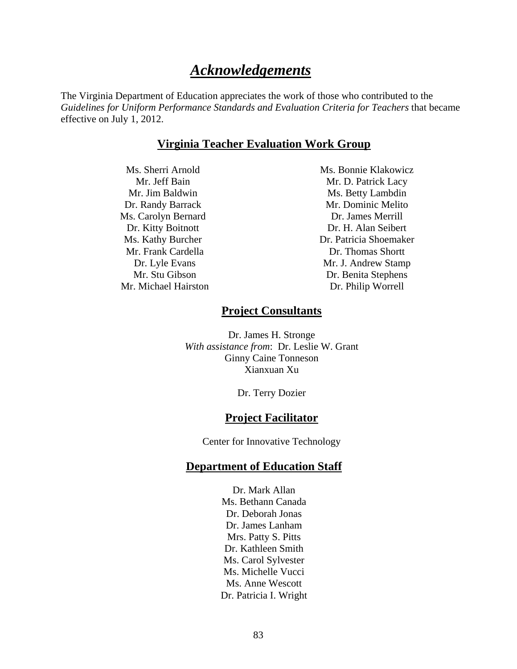# *Acknowledgements*

The Virginia Department of Education appreciates the work of those who contributed to the *Guidelines for Uniform Performance Standards and Evaluation Criteria for Teachers* that became effective on July 1, 2012.

#### **Virginia Teacher Evaluation Work Group**

Ms. Sherri Arnold Mr. Jeff Bain Mr. Jim Baldwin Dr. Randy Barrack Ms. Carolyn Bernard Dr. Kitty Boitnott Ms. Kathy Burcher Mr. Frank Cardella Dr. Lyle Evans Mr. Stu Gibson Mr. Michael Hairston

Ms. Bonnie Klakowicz Mr. D. Patrick Lacy Ms. Betty Lambdin Mr. Dominic Melito Dr. James Merrill Dr. H. Alan Seibert Dr. Patricia Shoemaker Dr. Thomas Shortt Mr. J. Andrew Stamp Dr. Benita Stephens Dr. Philip Worrell

#### **Project Consultants**

Dr. James H. Stronge *With assistance from*: Dr. Leslie W. Grant Ginny Caine Tonneson Xianxuan Xu

Dr. Terry Dozier

#### **Project Facilitator**

Center for Innovative Technology

#### **Department of Education Staff**

Dr. Mark Allan Ms. Bethann Canada Dr. Deborah Jonas Dr. James Lanham Mrs. Patty S. Pitts Dr. Kathleen Smith Ms. Carol Sylvester Ms. Michelle Vucci Ms. Anne Wescott Dr. Patricia I. Wright